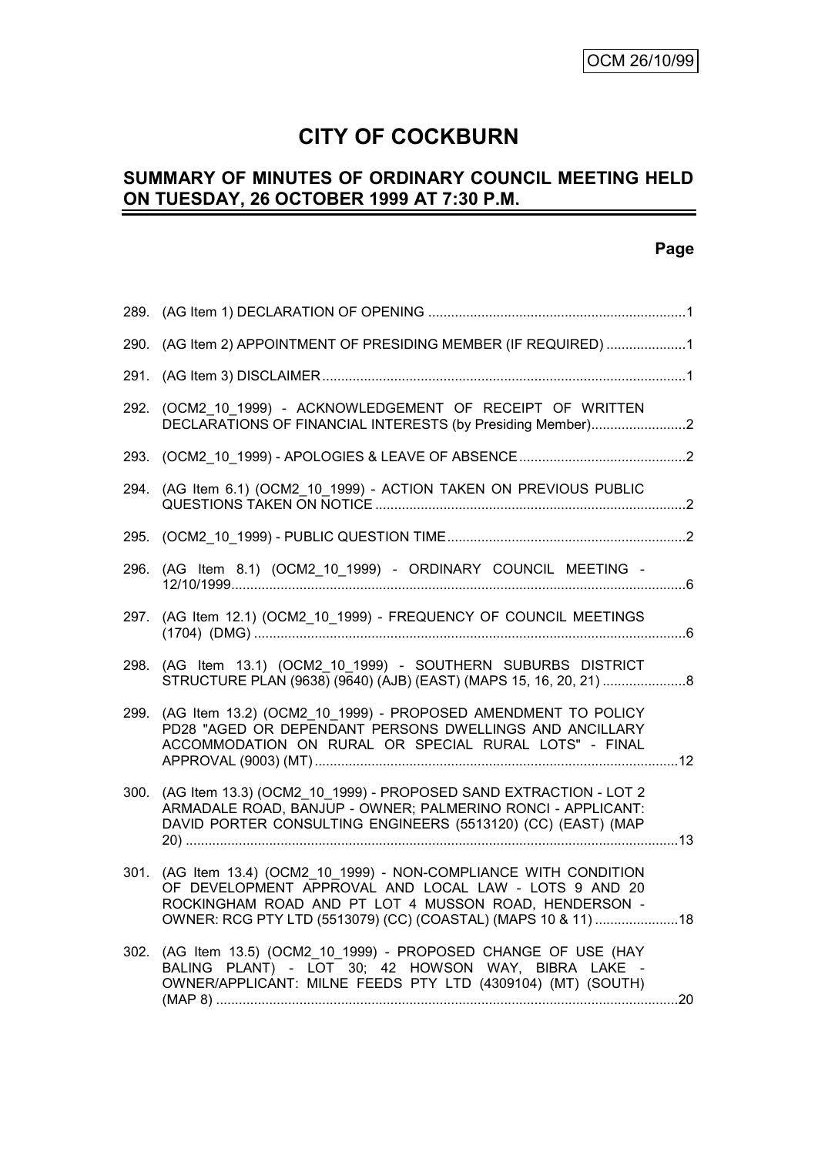# **CITY OF COCKBURN**

# **SUMMARY OF MINUTES OF ORDINARY COUNCIL MEETING HELD ON TUESDAY, 26 OCTOBER 1999 AT 7:30 P.M.**

### **Page**

| 290. (AG Item 2) APPOINTMENT OF PRESIDING MEMBER (IF REQUIRED) 1<br>(OCM2 10 1999) - ACKNOWLEDGEMENT OF RECEIPT OF WRITTEN<br>292.<br>DECLARATIONS OF FINANCIAL INTERESTS (by Presiding Member)2<br>294. (AG Item 6.1) (OCM2 10 1999) - ACTION TAKEN ON PREVIOUS PUBLIC<br>296. (AG Item 8.1) (OCM2_10_1999) - ORDINARY COUNCIL MEETING -<br>(AG Item 12.1) (OCM2_10_1999) - FREQUENCY OF COUNCIL MEETINGS<br>297.<br>298. (AG Item 13.1) (OCM2 10 1999) - SOUTHERN SUBURBS DISTRICT<br>(AG Item 13.2) (OCM2_10_1999) - PROPOSED AMENDMENT TO POLICY<br>299.<br>PD28 "AGED OR DEPENDANT PERSONS DWELLINGS AND ANCILLARY<br>ACCOMMODATION ON RURAL OR SPECIAL RURAL LOTS" - FINAL<br>300. (AG Item 13.3) (OCM2_10_1999) - PROPOSED SAND EXTRACTION - LOT 2<br>ARMADALE ROAD, BANJUP - OWNER; PALMERINO RONCI - APPLICANT:<br>DAVID PORTER CONSULTING ENGINEERS (5513120) (CC) (EAST) (MAP<br>301. (AG Item 13.4) (OCM2 10 1999) - NON-COMPLIANCE WITH CONDITION<br>OF DEVELOPMENT APPROVAL AND LOCAL LAW - LOTS 9 AND 20<br>ROCKINGHAM ROAD AND PT LOT 4 MUSSON ROAD, HENDERSON -<br>OWNER: RCG PTY LTD (5513079) (CC) (COASTAL) (MAPS 10 & 11)  18<br>(AG Item 13.5) (OCM2_10_1999) - PROPOSED CHANGE OF USE (HAY<br>302.<br>BALING PLANT) - LOT 30; 42 HOWSON WAY, BIBRA LAKE -<br>OWNER/APPLICANT: MILNE FEEDS PTY LTD (4309104) (MT) (SOUTH) |  |  |
|-------------------------------------------------------------------------------------------------------------------------------------------------------------------------------------------------------------------------------------------------------------------------------------------------------------------------------------------------------------------------------------------------------------------------------------------------------------------------------------------------------------------------------------------------------------------------------------------------------------------------------------------------------------------------------------------------------------------------------------------------------------------------------------------------------------------------------------------------------------------------------------------------------------------------------------------------------------------------------------------------------------------------------------------------------------------------------------------------------------------------------------------------------------------------------------------------------------------------------------------------------------------------------------------------------------------------------------------------|--|--|
|                                                                                                                                                                                                                                                                                                                                                                                                                                                                                                                                                                                                                                                                                                                                                                                                                                                                                                                                                                                                                                                                                                                                                                                                                                                                                                                                                 |  |  |
|                                                                                                                                                                                                                                                                                                                                                                                                                                                                                                                                                                                                                                                                                                                                                                                                                                                                                                                                                                                                                                                                                                                                                                                                                                                                                                                                                 |  |  |
|                                                                                                                                                                                                                                                                                                                                                                                                                                                                                                                                                                                                                                                                                                                                                                                                                                                                                                                                                                                                                                                                                                                                                                                                                                                                                                                                                 |  |  |
|                                                                                                                                                                                                                                                                                                                                                                                                                                                                                                                                                                                                                                                                                                                                                                                                                                                                                                                                                                                                                                                                                                                                                                                                                                                                                                                                                 |  |  |
|                                                                                                                                                                                                                                                                                                                                                                                                                                                                                                                                                                                                                                                                                                                                                                                                                                                                                                                                                                                                                                                                                                                                                                                                                                                                                                                                                 |  |  |
|                                                                                                                                                                                                                                                                                                                                                                                                                                                                                                                                                                                                                                                                                                                                                                                                                                                                                                                                                                                                                                                                                                                                                                                                                                                                                                                                                 |  |  |
|                                                                                                                                                                                                                                                                                                                                                                                                                                                                                                                                                                                                                                                                                                                                                                                                                                                                                                                                                                                                                                                                                                                                                                                                                                                                                                                                                 |  |  |
|                                                                                                                                                                                                                                                                                                                                                                                                                                                                                                                                                                                                                                                                                                                                                                                                                                                                                                                                                                                                                                                                                                                                                                                                                                                                                                                                                 |  |  |
|                                                                                                                                                                                                                                                                                                                                                                                                                                                                                                                                                                                                                                                                                                                                                                                                                                                                                                                                                                                                                                                                                                                                                                                                                                                                                                                                                 |  |  |
|                                                                                                                                                                                                                                                                                                                                                                                                                                                                                                                                                                                                                                                                                                                                                                                                                                                                                                                                                                                                                                                                                                                                                                                                                                                                                                                                                 |  |  |
|                                                                                                                                                                                                                                                                                                                                                                                                                                                                                                                                                                                                                                                                                                                                                                                                                                                                                                                                                                                                                                                                                                                                                                                                                                                                                                                                                 |  |  |
|                                                                                                                                                                                                                                                                                                                                                                                                                                                                                                                                                                                                                                                                                                                                                                                                                                                                                                                                                                                                                                                                                                                                                                                                                                                                                                                                                 |  |  |
|                                                                                                                                                                                                                                                                                                                                                                                                                                                                                                                                                                                                                                                                                                                                                                                                                                                                                                                                                                                                                                                                                                                                                                                                                                                                                                                                                 |  |  |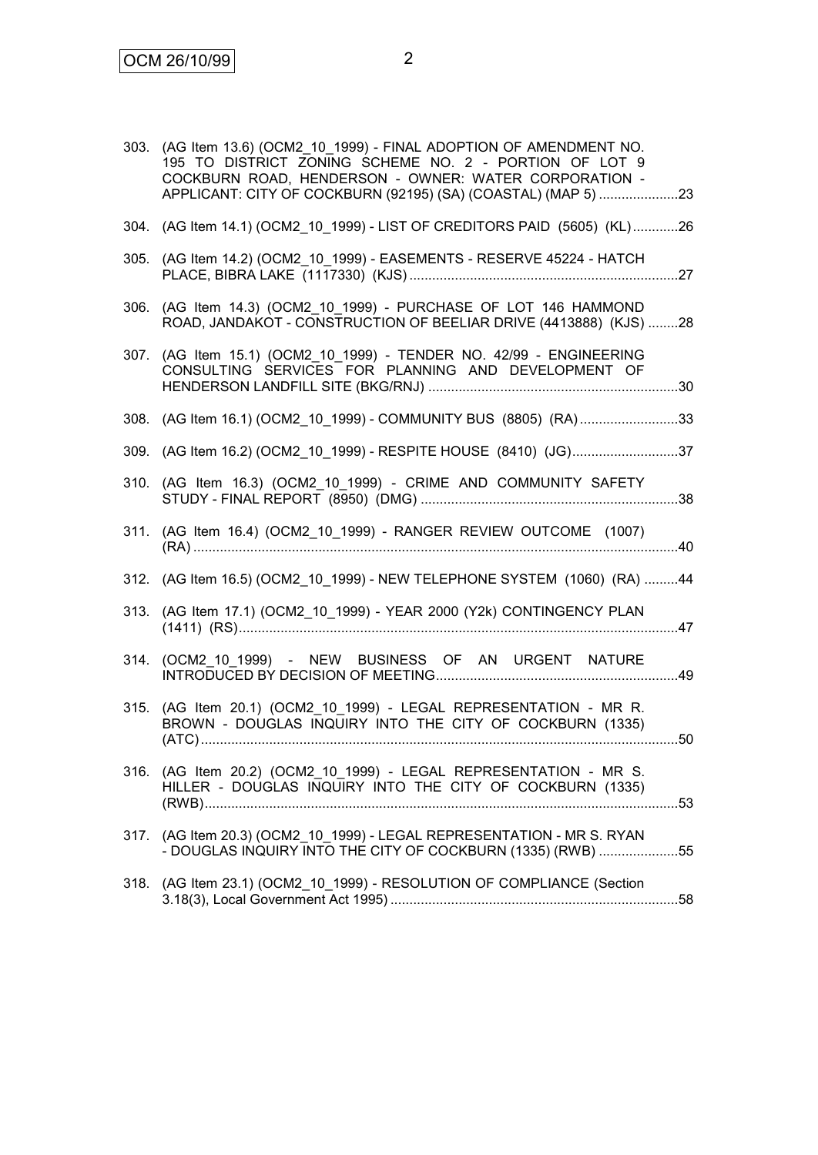| 303. (AG Item 13.6) (OCM2 10 1999) - FINAL ADOPTION OF AMENDMENT NO.<br>195 TO DISTRICT ZONING SCHEME NO. 2 - PORTION OF LOT 9<br>COCKBURN ROAD, HENDERSON - OWNER: WATER CORPORATION -<br>APPLICANT: CITY OF COCKBURN (92195) (SA) (COASTAL) (MAP 5) 23 |  |
|----------------------------------------------------------------------------------------------------------------------------------------------------------------------------------------------------------------------------------------------------------|--|
| 304. (AG Item 14.1) (OCM2 10 1999) - LIST OF CREDITORS PAID (5605) (KL)26                                                                                                                                                                                |  |
| 305. (AG Item 14.2) (OCM2_10_1999) - EASEMENTS - RESERVE 45224 - HATCH                                                                                                                                                                                   |  |
| 306. (AG Item 14.3) (OCM2_10_1999) - PURCHASE OF LOT 146 HAMMOND<br>ROAD, JANDAKOT - CONSTRUCTION OF BEELIAR DRIVE (4413888) (KJS) 28                                                                                                                    |  |
| 307. (AG Item 15.1) (OCM2_10_1999) - TENDER NO. 42/99 - ENGINEERING<br>CONSULTING SERVICES FOR PLANNING AND DEVELOPMENT OF                                                                                                                               |  |
| 308. (AG Item 16.1) (OCM2_10_1999) - COMMUNITY BUS (8805) (RA)33                                                                                                                                                                                         |  |
| 309. (AG Item 16.2) (OCM2_10_1999) - RESPITE HOUSE (8410) (JG)37                                                                                                                                                                                         |  |
| 310. (AG Item 16.3) (OCM2_10_1999) - CRIME AND COMMUNITY SAFETY                                                                                                                                                                                          |  |
| 311. (AG Item 16.4) (OCM2_10_1999) - RANGER REVIEW OUTCOME (1007)                                                                                                                                                                                        |  |
| 312. (AG Item 16.5) (OCM2_10_1999) - NEW TELEPHONE SYSTEM (1060) (RA) 44                                                                                                                                                                                 |  |
| 313. (AG Item 17.1) (OCM2_10_1999) - YEAR 2000 (Y2k) CONTINGENCY PLAN                                                                                                                                                                                    |  |
| 314. (OCM2 10 1999) - NEW BUSINESS OF AN URGENT NATURE                                                                                                                                                                                                   |  |
| 315. (AG Item 20.1) (OCM2 10 1999) - LEGAL REPRESENTATION - MR R.<br>BROWN - DOUGLAS INQUIRY INTO THE CITY OF COCKBURN (1335)                                                                                                                            |  |
| 316. (AG Item 20.2) (OCM2_10_1999) - LEGAL REPRESENTATION - MR S.<br>HILLER - DOUGLAS INQUIRY INTO THE CITY OF COCKBURN (1335)                                                                                                                           |  |
| 317. (AG Item 20.3) (OCM2_10_1999) - LEGAL REPRESENTATION - MR S. RYAN<br>- DOUGLAS INQUIRY INTO THE CITY OF COCKBURN (1335) (RWB) 55                                                                                                                    |  |
| 318. (AG Item 23.1) (OCM2_10_1999) - RESOLUTION OF COMPLIANCE (Section                                                                                                                                                                                   |  |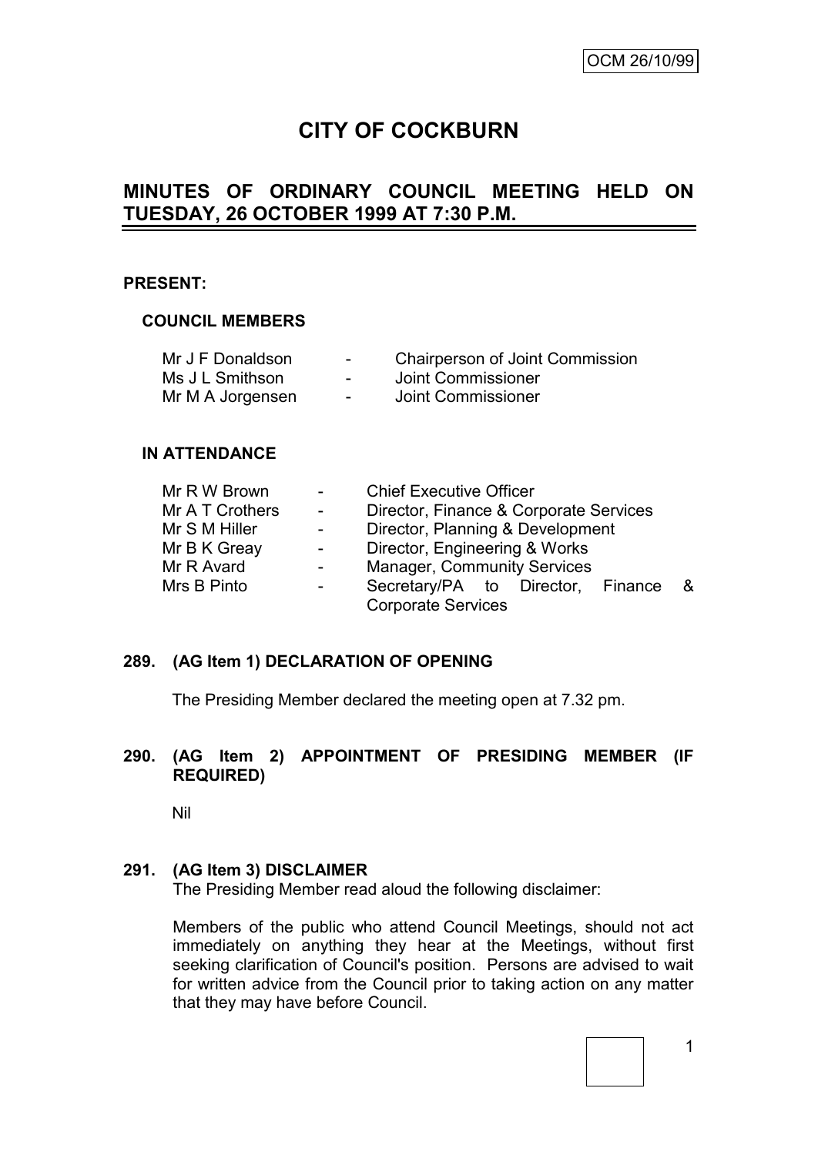# **CITY OF COCKBURN**

# **MINUTES OF ORDINARY COUNCIL MEETING HELD ON TUESDAY, 26 OCTOBER 1999 AT 7:30 P.M.**

### **PRESENT:**

### **COUNCIL MEMBERS**

| Mr J F Donaldson | $\sim$ | <b>Chairperson of Joint Commission</b> |
|------------------|--------|----------------------------------------|
| Ms J L Smithson  | $\sim$ | Joint Commissioner                     |
| Mr M A Jorgensen | $\sim$ | Joint Commissioner                     |

### **IN ATTENDANCE**

| Mr R W Brown    |                      | <b>Chief Executive Officer</b>         |     |  |  |  |
|-----------------|----------------------|----------------------------------------|-----|--|--|--|
| Mr A T Crothers | $\sim 100$ m $^{-1}$ | Director, Finance & Corporate Services |     |  |  |  |
| Mr S M Hiller   | $\sim$               | Director, Planning & Development       |     |  |  |  |
| Mr B K Greay    |                      | Director, Engineering & Works          |     |  |  |  |
| Mr R Avard      |                      | <b>Manager, Community Services</b>     |     |  |  |  |
| Mrs B Pinto     | $\sim$               | Secretary/PA to Director, Finance      | - & |  |  |  |
|                 |                      | <b>Corporate Services</b>              |     |  |  |  |

### **289. (AG Item 1) DECLARATION OF OPENING**

The Presiding Member declared the meeting open at 7.32 pm.

### **290. (AG Item 2) APPOINTMENT OF PRESIDING MEMBER (IF REQUIRED)**

Nil

### **291. (AG Item 3) DISCLAIMER**

The Presiding Member read aloud the following disclaimer:

Members of the public who attend Council Meetings, should not act immediately on anything they hear at the Meetings, without first seeking clarification of Council's position. Persons are advised to wait for written advice from the Council prior to taking action on any matter that they may have before Council.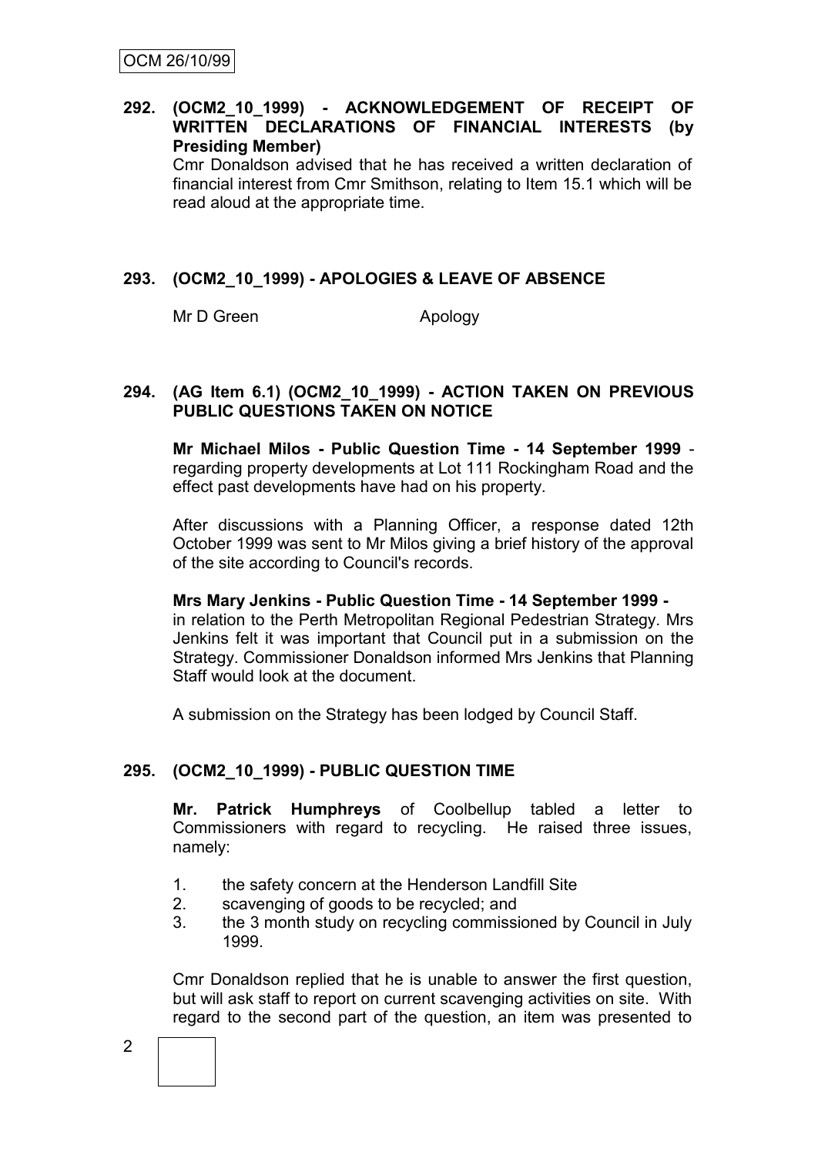## **292. (OCM2\_10\_1999) - ACKNOWLEDGEMENT OF RECEIPT OF WRITTEN DECLARATIONS OF FINANCIAL INTERESTS (by Presiding Member)**

Cmr Donaldson advised that he has received a written declaration of financial interest from Cmr Smithson, relating to Item 15.1 which will be read aloud at the appropriate time.

# **293. (OCM2\_10\_1999) - APOLOGIES & LEAVE OF ABSENCE**

Mr D Green Apology

### **294. (AG Item 6.1) (OCM2\_10\_1999) - ACTION TAKEN ON PREVIOUS PUBLIC QUESTIONS TAKEN ON NOTICE**

**Mr Michael Milos - Public Question Time - 14 September 1999** regarding property developments at Lot 111 Rockingham Road and the effect past developments have had on his property.

After discussions with a Planning Officer, a response dated 12th October 1999 was sent to Mr Milos giving a brief history of the approval of the site according to Council's records.

### **Mrs Mary Jenkins - Public Question Time - 14 September 1999**  in relation to the Perth Metropolitan Regional Pedestrian Strategy. Mrs Jenkins felt it was important that Council put in a submission on the Strategy. Commissioner Donaldson informed Mrs Jenkins that Planning Staff would look at the document.

A submission on the Strategy has been lodged by Council Staff.

# **295. (OCM2\_10\_1999) - PUBLIC QUESTION TIME**

**Mr. Patrick Humphreys** of Coolbellup tabled a letter to Commissioners with regard to recycling. He raised three issues, namely:

- 1. the safety concern at the Henderson Landfill Site
- 2. scavenging of goods to be recycled; and
- 3. the 3 month study on recycling commissioned by Council in July 1999.

Cmr Donaldson replied that he is unable to answer the first question, but will ask staff to report on current scavenging activities on site. With regard to the second part of the question, an item was presented to

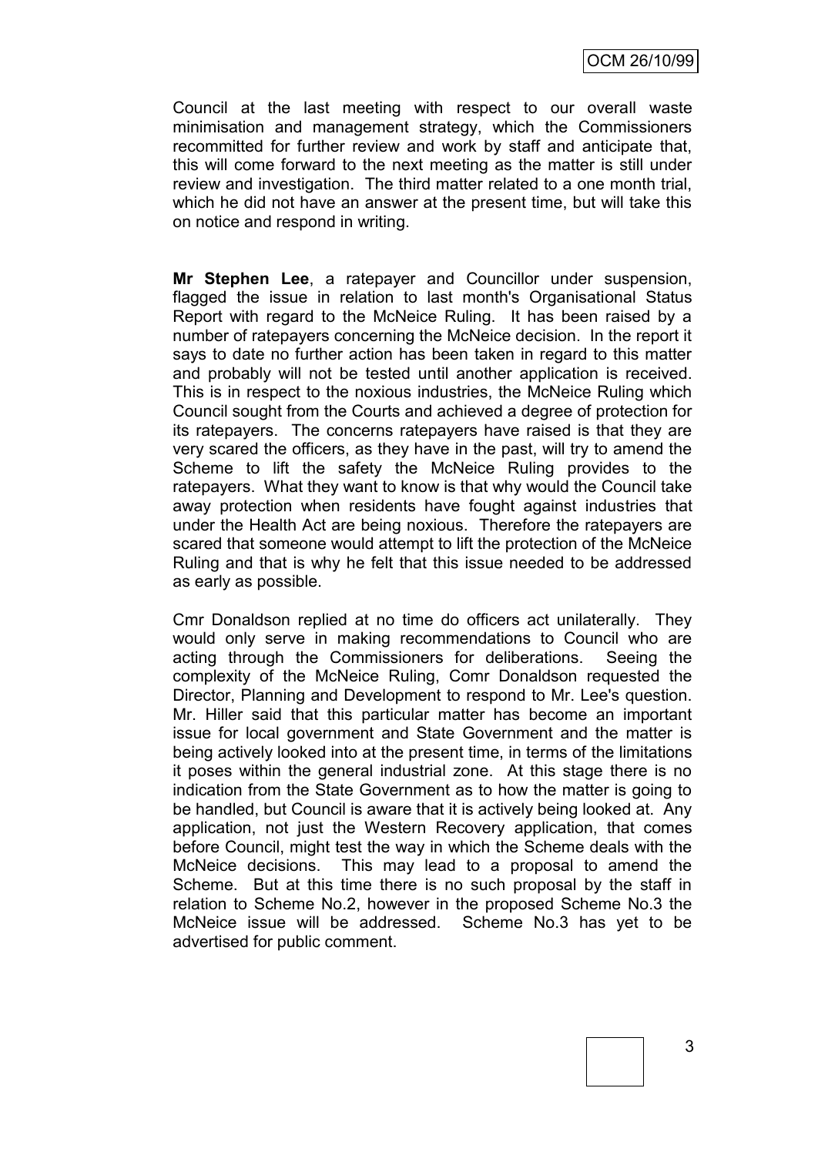Council at the last meeting with respect to our overall waste minimisation and management strategy, which the Commissioners recommitted for further review and work by staff and anticipate that, this will come forward to the next meeting as the matter is still under review and investigation. The third matter related to a one month trial, which he did not have an answer at the present time, but will take this on notice and respond in writing.

**Mr Stephen Lee**, a ratepayer and Councillor under suspension, flagged the issue in relation to last month's Organisational Status Report with regard to the McNeice Ruling. It has been raised by a number of ratepayers concerning the McNeice decision. In the report it says to date no further action has been taken in regard to this matter and probably will not be tested until another application is received. This is in respect to the noxious industries, the McNeice Ruling which Council sought from the Courts and achieved a degree of protection for its ratepayers. The concerns ratepayers have raised is that they are very scared the officers, as they have in the past, will try to amend the Scheme to lift the safety the McNeice Ruling provides to the ratepayers. What they want to know is that why would the Council take away protection when residents have fought against industries that under the Health Act are being noxious. Therefore the ratepayers are scared that someone would attempt to lift the protection of the McNeice Ruling and that is why he felt that this issue needed to be addressed as early as possible.

Cmr Donaldson replied at no time do officers act unilaterally. They would only serve in making recommendations to Council who are acting through the Commissioners for deliberations. Seeing the complexity of the McNeice Ruling, Comr Donaldson requested the Director, Planning and Development to respond to Mr. Lee's question. Mr. Hiller said that this particular matter has become an important issue for local government and State Government and the matter is being actively looked into at the present time, in terms of the limitations it poses within the general industrial zone. At this stage there is no indication from the State Government as to how the matter is going to be handled, but Council is aware that it is actively being looked at. Any application, not just the Western Recovery application, that comes before Council, might test the way in which the Scheme deals with the McNeice decisions. This may lead to a proposal to amend the Scheme. But at this time there is no such proposal by the staff in relation to Scheme No.2, however in the proposed Scheme No.3 the McNeice issue will be addressed. Scheme No.3 has yet to be advertised for public comment.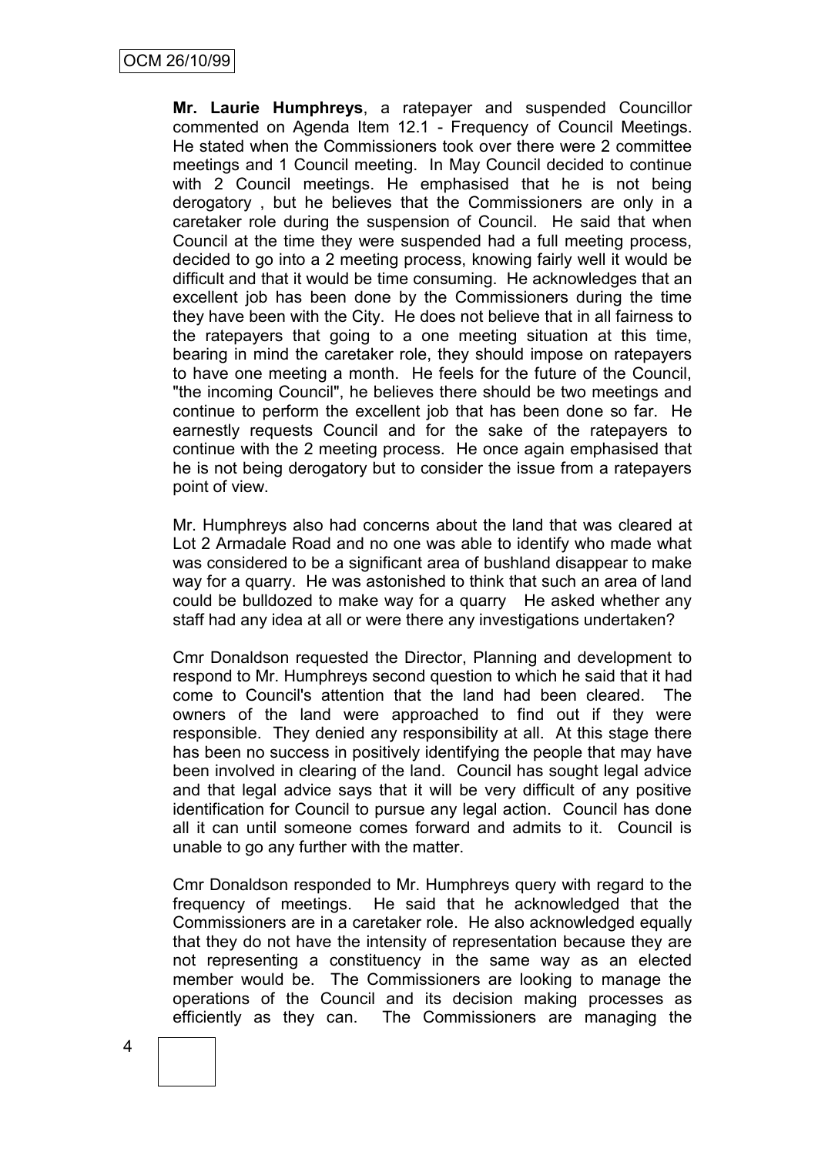**Mr. Laurie Humphreys**, a ratepayer and suspended Councillor commented on Agenda Item 12.1 - Frequency of Council Meetings. He stated when the Commissioners took over there were 2 committee meetings and 1 Council meeting. In May Council decided to continue with 2 Council meetings. He emphasised that he is not being derogatory , but he believes that the Commissioners are only in a caretaker role during the suspension of Council. He said that when Council at the time they were suspended had a full meeting process, decided to go into a 2 meeting process, knowing fairly well it would be difficult and that it would be time consuming. He acknowledges that an excellent job has been done by the Commissioners during the time they have been with the City. He does not believe that in all fairness to the ratepayers that going to a one meeting situation at this time, bearing in mind the caretaker role, they should impose on ratepayers to have one meeting a month. He feels for the future of the Council, "the incoming Council", he believes there should be two meetings and continue to perform the excellent job that has been done so far. He earnestly requests Council and for the sake of the ratepayers to continue with the 2 meeting process. He once again emphasised that he is not being derogatory but to consider the issue from a ratepayers point of view.

Mr. Humphreys also had concerns about the land that was cleared at Lot 2 Armadale Road and no one was able to identify who made what was considered to be a significant area of bushland disappear to make way for a quarry. He was astonished to think that such an area of land could be bulldozed to make way for a quarry He asked whether any staff had any idea at all or were there any investigations undertaken?

Cmr Donaldson requested the Director, Planning and development to respond to Mr. Humphreys second question to which he said that it had come to Council's attention that the land had been cleared. The owners of the land were approached to find out if they were responsible. They denied any responsibility at all. At this stage there has been no success in positively identifying the people that may have been involved in clearing of the land. Council has sought legal advice and that legal advice says that it will be very difficult of any positive identification for Council to pursue any legal action. Council has done all it can until someone comes forward and admits to it. Council is unable to go any further with the matter.

Cmr Donaldson responded to Mr. Humphreys query with regard to the frequency of meetings. He said that he acknowledged that the Commissioners are in a caretaker role. He also acknowledged equally that they do not have the intensity of representation because they are not representing a constituency in the same way as an elected member would be. The Commissioners are looking to manage the operations of the Council and its decision making processes as efficiently as they can. The Commissioners are managing the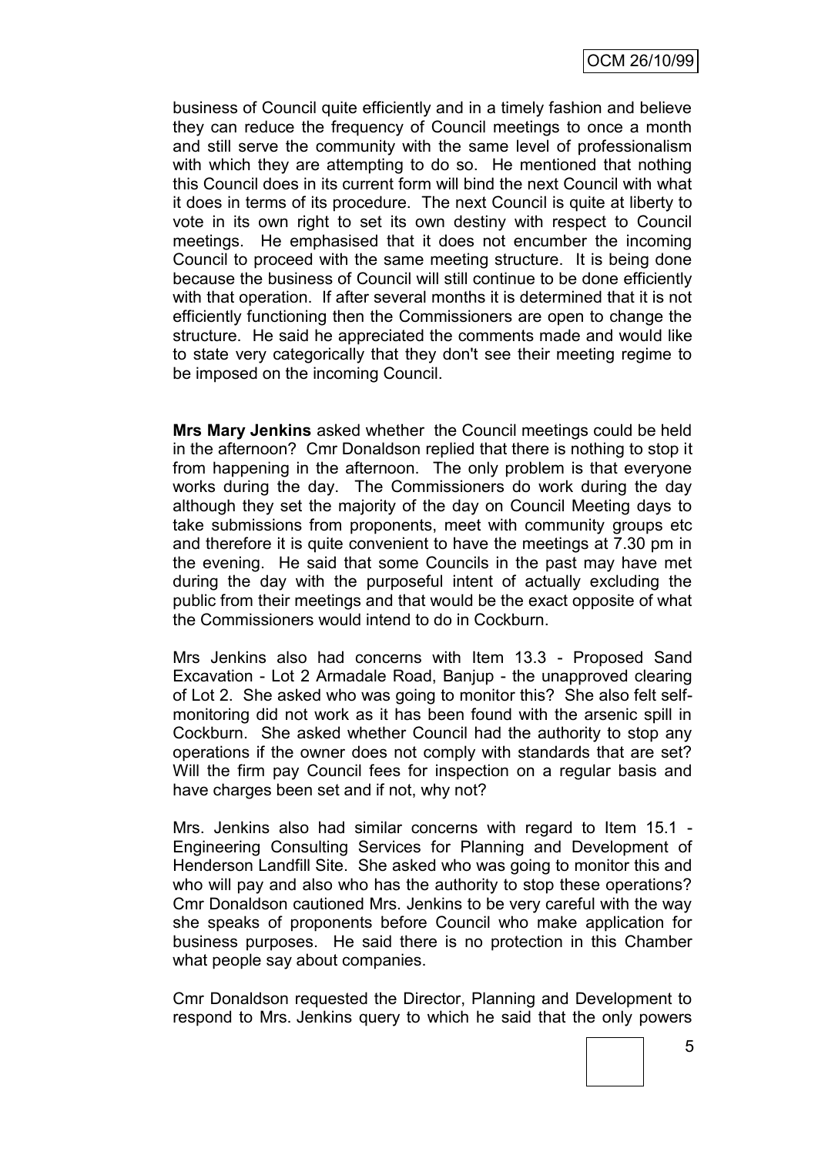business of Council quite efficiently and in a timely fashion and believe they can reduce the frequency of Council meetings to once a month and still serve the community with the same level of professionalism with which they are attempting to do so. He mentioned that nothing this Council does in its current form will bind the next Council with what it does in terms of its procedure. The next Council is quite at liberty to vote in its own right to set its own destiny with respect to Council meetings. He emphasised that it does not encumber the incoming Council to proceed with the same meeting structure. It is being done because the business of Council will still continue to be done efficiently with that operation. If after several months it is determined that it is not efficiently functioning then the Commissioners are open to change the structure. He said he appreciated the comments made and would like to state very categorically that they don't see their meeting regime to be imposed on the incoming Council.

**Mrs Mary Jenkins** asked whether the Council meetings could be held in the afternoon? Cmr Donaldson replied that there is nothing to stop it from happening in the afternoon. The only problem is that everyone works during the day. The Commissioners do work during the day although they set the majority of the day on Council Meeting days to take submissions from proponents, meet with community groups etc and therefore it is quite convenient to have the meetings at 7.30 pm in the evening. He said that some Councils in the past may have met during the day with the purposeful intent of actually excluding the public from their meetings and that would be the exact opposite of what the Commissioners would intend to do in Cockburn.

Mrs Jenkins also had concerns with Item 13.3 - Proposed Sand Excavation - Lot 2 Armadale Road, Banjup - the unapproved clearing of Lot 2. She asked who was going to monitor this? She also felt selfmonitoring did not work as it has been found with the arsenic spill in Cockburn. She asked whether Council had the authority to stop any operations if the owner does not comply with standards that are set? Will the firm pay Council fees for inspection on a regular basis and have charges been set and if not, why not?

Mrs. Jenkins also had similar concerns with regard to Item 15.1 - Engineering Consulting Services for Planning and Development of Henderson Landfill Site. She asked who was going to monitor this and who will pay and also who has the authority to stop these operations? Cmr Donaldson cautioned Mrs. Jenkins to be very careful with the way she speaks of proponents before Council who make application for business purposes. He said there is no protection in this Chamber what people say about companies.

Cmr Donaldson requested the Director, Planning and Development to respond to Mrs. Jenkins query to which he said that the only powers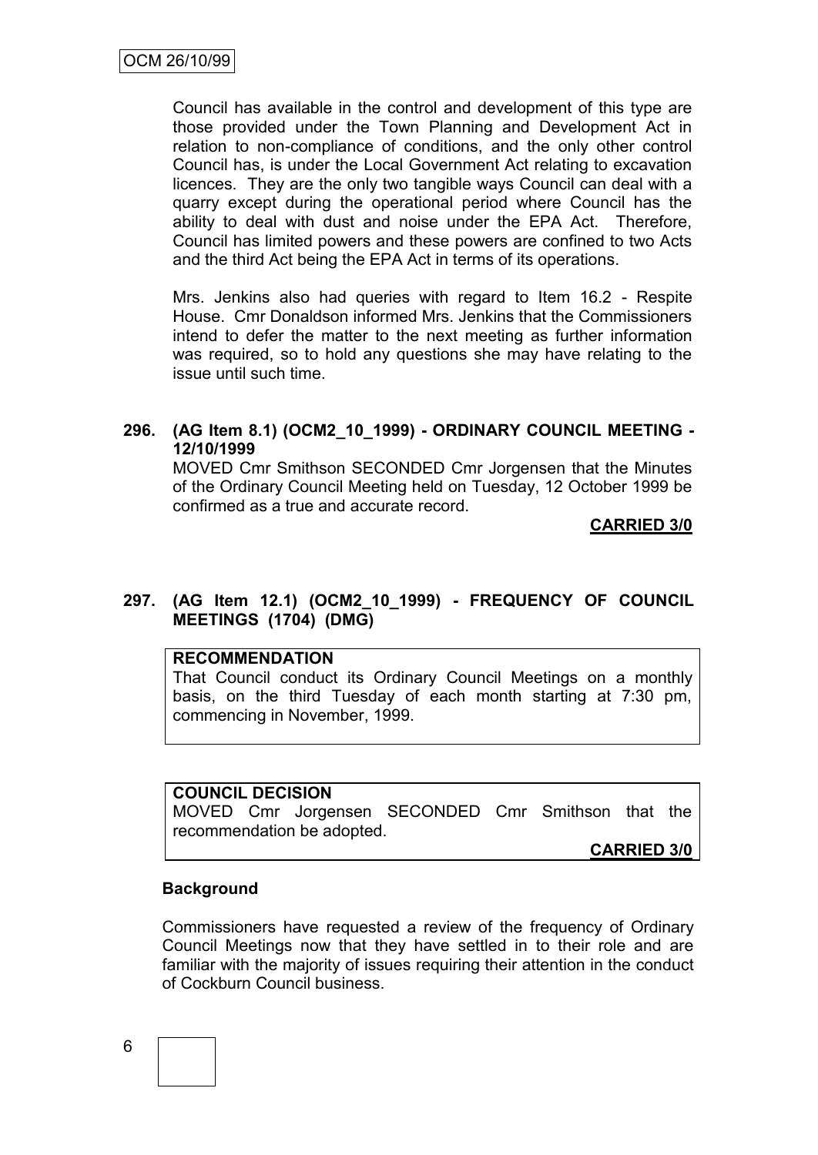Council has available in the control and development of this type are those provided under the Town Planning and Development Act in relation to non-compliance of conditions, and the only other control Council has, is under the Local Government Act relating to excavation licences. They are the only two tangible ways Council can deal with a quarry except during the operational period where Council has the ability to deal with dust and noise under the EPA Act. Therefore, Council has limited powers and these powers are confined to two Acts and the third Act being the EPA Act in terms of its operations.

Mrs. Jenkins also had queries with regard to Item 16.2 - Respite House. Cmr Donaldson informed Mrs. Jenkins that the Commissioners intend to defer the matter to the next meeting as further information was required, so to hold any questions she may have relating to the issue until such time.

### **296. (AG Item 8.1) (OCM2\_10\_1999) - ORDINARY COUNCIL MEETING - 12/10/1999**

MOVED Cmr Smithson SECONDED Cmr Jorgensen that the Minutes of the Ordinary Council Meeting held on Tuesday, 12 October 1999 be confirmed as a true and accurate record.

**CARRIED 3/0**

# **297. (AG Item 12.1) (OCM2\_10\_1999) - FREQUENCY OF COUNCIL MEETINGS (1704) (DMG)**

### **RECOMMENDATION**

That Council conduct its Ordinary Council Meetings on a monthly basis, on the third Tuesday of each month starting at 7:30 pm, commencing in November, 1999.

# **COUNCIL DECISION**

MOVED Cmr Jorgensen SECONDED Cmr Smithson that the recommendation be adopted.

**CARRIED 3/0**

### **Background**

Commissioners have requested a review of the frequency of Ordinary Council Meetings now that they have settled in to their role and are familiar with the majority of issues requiring their attention in the conduct of Cockburn Council business.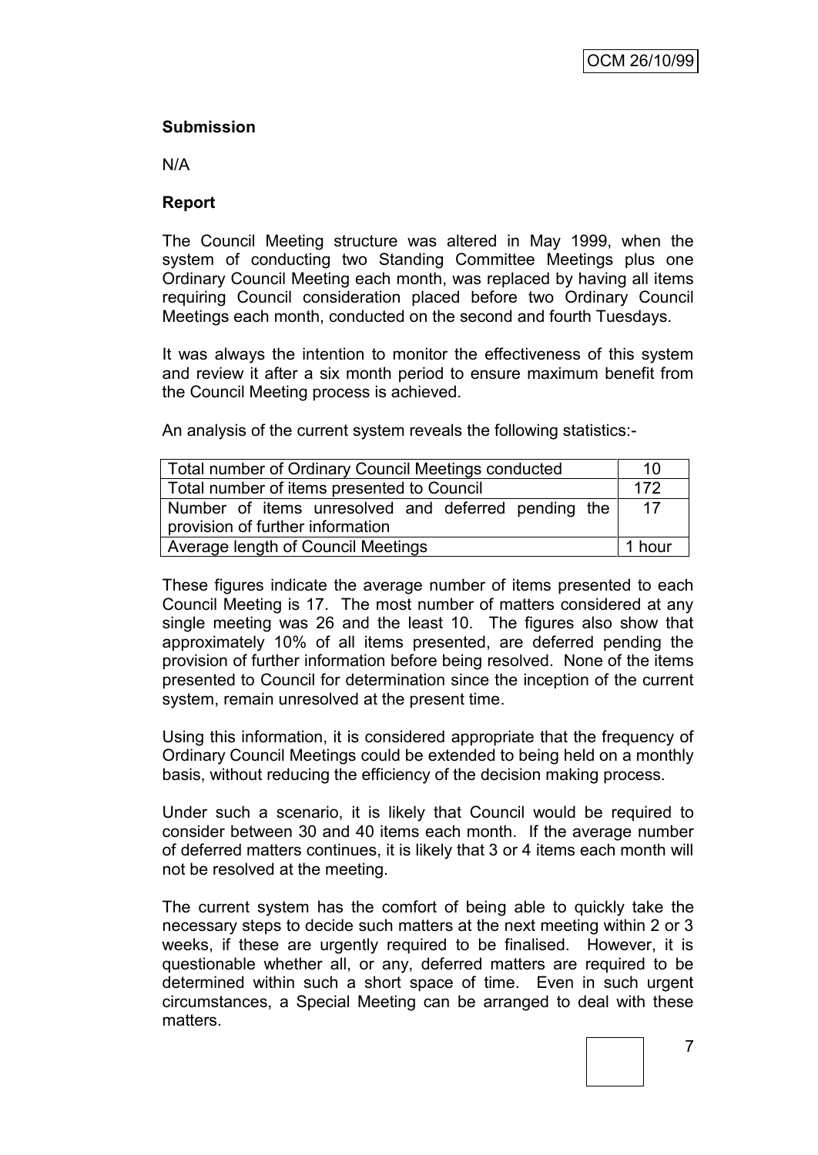# **Submission**

N/A

## **Report**

The Council Meeting structure was altered in May 1999, when the system of conducting two Standing Committee Meetings plus one Ordinary Council Meeting each month, was replaced by having all items requiring Council consideration placed before two Ordinary Council Meetings each month, conducted on the second and fourth Tuesdays.

It was always the intention to monitor the effectiveness of this system and review it after a six month period to ensure maximum benefit from the Council Meeting process is achieved.

An analysis of the current system reveals the following statistics:-

| Total number of Ordinary Council Meetings conducted |    |  |  |
|-----------------------------------------------------|----|--|--|
| Total number of items presented to Council          |    |  |  |
| Number of items unresolved and deferred pending the | 17 |  |  |
| provision of further information                    |    |  |  |
| Average length of Council Meetings                  |    |  |  |

These figures indicate the average number of items presented to each Council Meeting is 17. The most number of matters considered at any single meeting was 26 and the least 10. The figures also show that approximately 10% of all items presented, are deferred pending the provision of further information before being resolved. None of the items presented to Council for determination since the inception of the current system, remain unresolved at the present time.

Using this information, it is considered appropriate that the frequency of Ordinary Council Meetings could be extended to being held on a monthly basis, without reducing the efficiency of the decision making process.

Under such a scenario, it is likely that Council would be required to consider between 30 and 40 items each month. If the average number of deferred matters continues, it is likely that 3 or 4 items each month will not be resolved at the meeting.

The current system has the comfort of being able to quickly take the necessary steps to decide such matters at the next meeting within 2 or 3 weeks, if these are urgently required to be finalised. However, it is questionable whether all, or any, deferred matters are required to be determined within such a short space of time. Even in such urgent circumstances, a Special Meeting can be arranged to deal with these matters.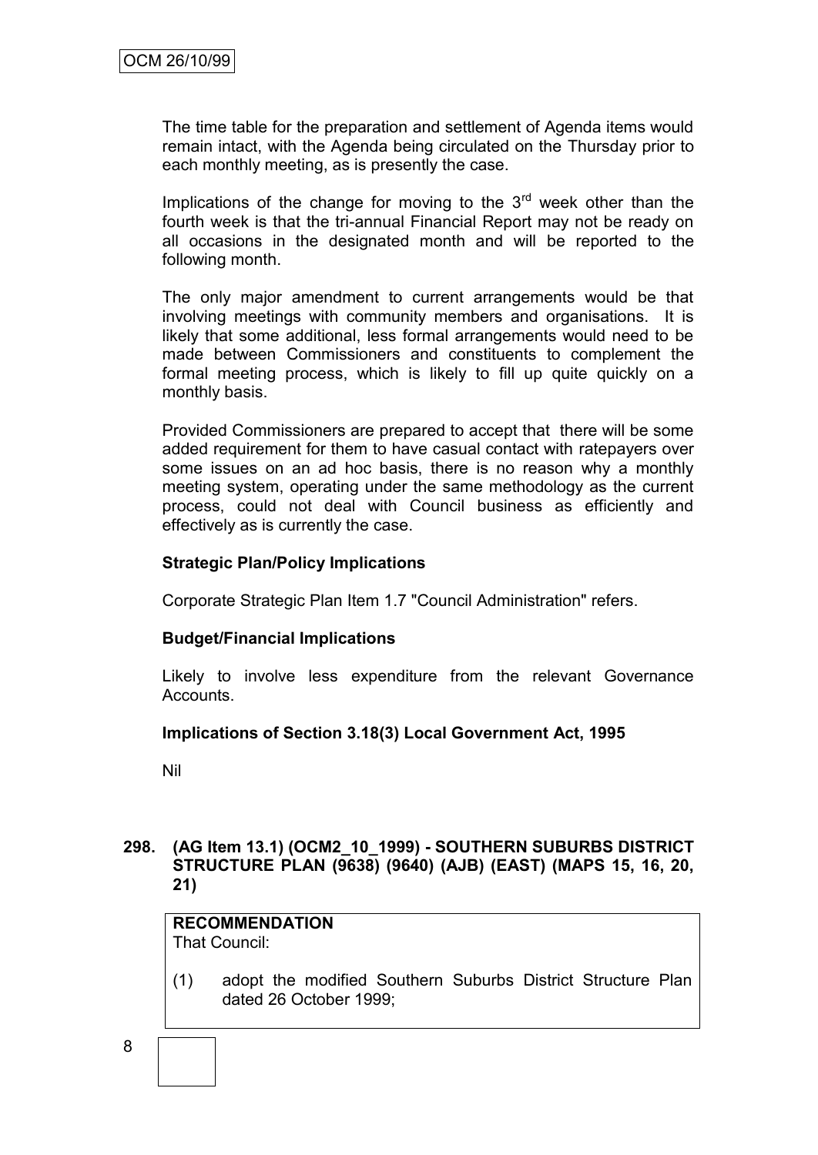The time table for the preparation and settlement of Agenda items would remain intact, with the Agenda being circulated on the Thursday prior to each monthly meeting, as is presently the case.

Implications of the change for moving to the  $3<sup>rd</sup>$  week other than the fourth week is that the tri-annual Financial Report may not be ready on all occasions in the designated month and will be reported to the following month.

The only major amendment to current arrangements would be that involving meetings with community members and organisations. It is likely that some additional, less formal arrangements would need to be made between Commissioners and constituents to complement the formal meeting process, which is likely to fill up quite quickly on a monthly basis.

Provided Commissioners are prepared to accept that there will be some added requirement for them to have casual contact with ratepayers over some issues on an ad hoc basis, there is no reason why a monthly meeting system, operating under the same methodology as the current process, could not deal with Council business as efficiently and effectively as is currently the case.

### **Strategic Plan/Policy Implications**

Corporate Strategic Plan Item 1.7 "Council Administration" refers.

# **Budget/Financial Implications**

Likely to involve less expenditure from the relevant Governance Accounts.

### **Implications of Section 3.18(3) Local Government Act, 1995**

Nil

### **298. (AG Item 13.1) (OCM2\_10\_1999) - SOUTHERN SUBURBS DISTRICT STRUCTURE PLAN (9638) (9640) (AJB) (EAST) (MAPS 15, 16, 20, 21)**

# **RECOMMENDATION**

That Council:

(1) adopt the modified Southern Suburbs District Structure Plan dated 26 October 1999;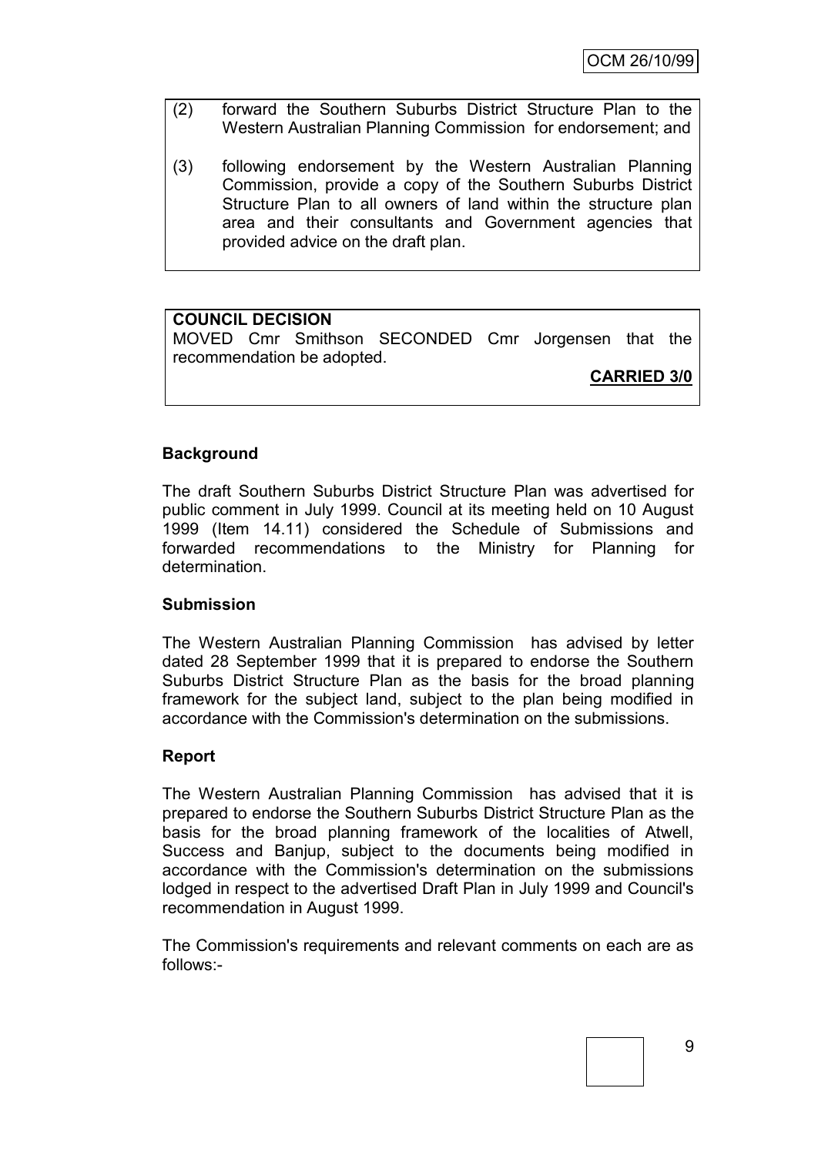OCM 26/10/99

- (2) forward the Southern Suburbs District Structure Plan to the Western Australian Planning Commission for endorsement; and
- (3) following endorsement by the Western Australian Planning Commission, provide a copy of the Southern Suburbs District Structure Plan to all owners of land within the structure plan area and their consultants and Government agencies that provided advice on the draft plan.

# **COUNCIL DECISION**

MOVED Cmr Smithson SECONDED Cmr Jorgensen that the recommendation be adopted.

**CARRIED 3/0**

### **Background**

The draft Southern Suburbs District Structure Plan was advertised for public comment in July 1999. Council at its meeting held on 10 August 1999 (Item 14.11) considered the Schedule of Submissions and forwarded recommendations to the Ministry for Planning for determination.

### **Submission**

The Western Australian Planning Commission has advised by letter dated 28 September 1999 that it is prepared to endorse the Southern Suburbs District Structure Plan as the basis for the broad planning framework for the subject land, subject to the plan being modified in accordance with the Commission's determination on the submissions.

### **Report**

The Western Australian Planning Commission has advised that it is prepared to endorse the Southern Suburbs District Structure Plan as the basis for the broad planning framework of the localities of Atwell, Success and Banjup, subject to the documents being modified in accordance with the Commission's determination on the submissions lodged in respect to the advertised Draft Plan in July 1999 and Council's recommendation in August 1999.

The Commission's requirements and relevant comments on each are as follows:-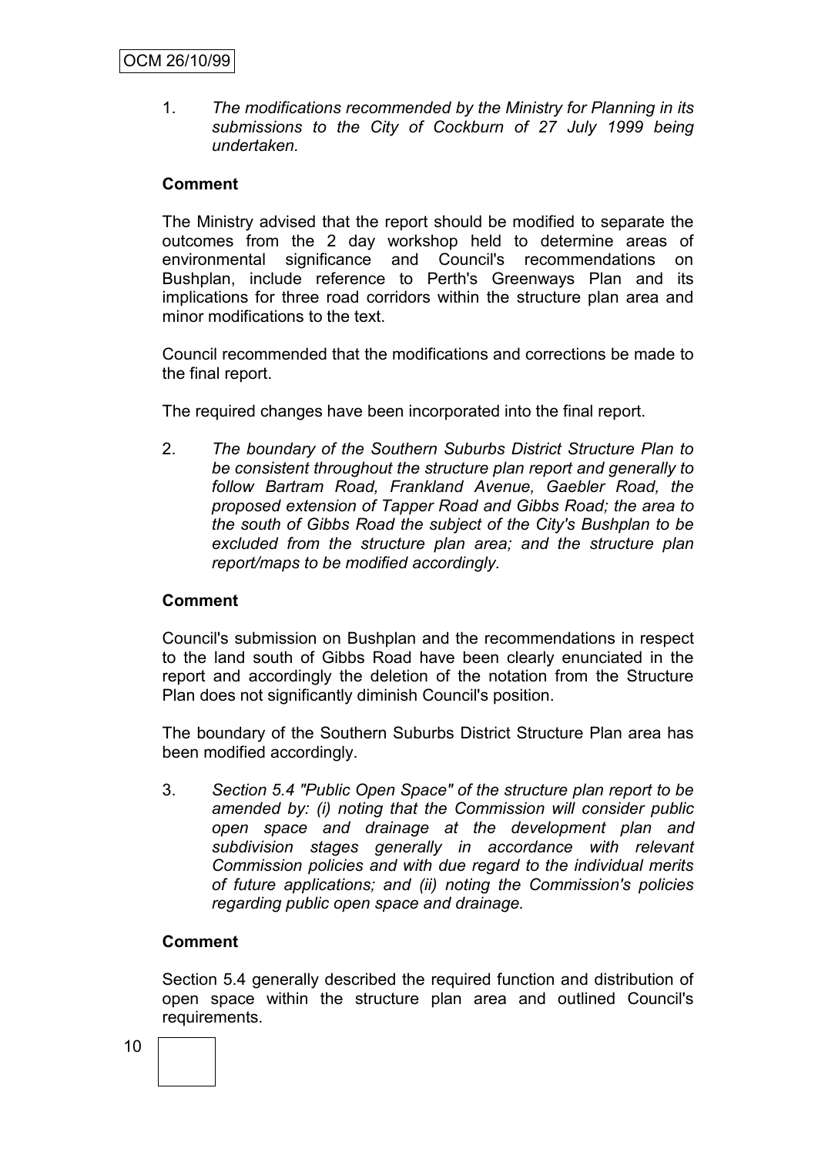1. *The modifications recommended by the Ministry for Planning in its submissions to the City of Cockburn of 27 July 1999 being undertaken.*

## **Comment**

The Ministry advised that the report should be modified to separate the outcomes from the 2 day workshop held to determine areas of environmental significance and Council's recommendations on Bushplan, include reference to Perth's Greenways Plan and its implications for three road corridors within the structure plan area and minor modifications to the text.

Council recommended that the modifications and corrections be made to the final report.

The required changes have been incorporated into the final report.

2. *The boundary of the Southern Suburbs District Structure Plan to be consistent throughout the structure plan report and generally to follow Bartram Road, Frankland Avenue, Gaebler Road, the proposed extension of Tapper Road and Gibbs Road; the area to the south of Gibbs Road the subject of the City's Bushplan to be excluded from the structure plan area; and the structure plan report/maps to be modified accordingly.*

### **Comment**

Council's submission on Bushplan and the recommendations in respect to the land south of Gibbs Road have been clearly enunciated in the report and accordingly the deletion of the notation from the Structure Plan does not significantly diminish Council's position.

The boundary of the Southern Suburbs District Structure Plan area has been modified accordingly.

3. *Section 5.4 "Public Open Space" of the structure plan report to be amended by: (i) noting that the Commission will consider public open space and drainage at the development plan and subdivision stages generally in accordance with relevant Commission policies and with due regard to the individual merits of future applications; and (ii) noting the Commission's policies regarding public open space and drainage.*

### **Comment**

Section 5.4 generally described the required function and distribution of open space within the structure plan area and outlined Council's requirements.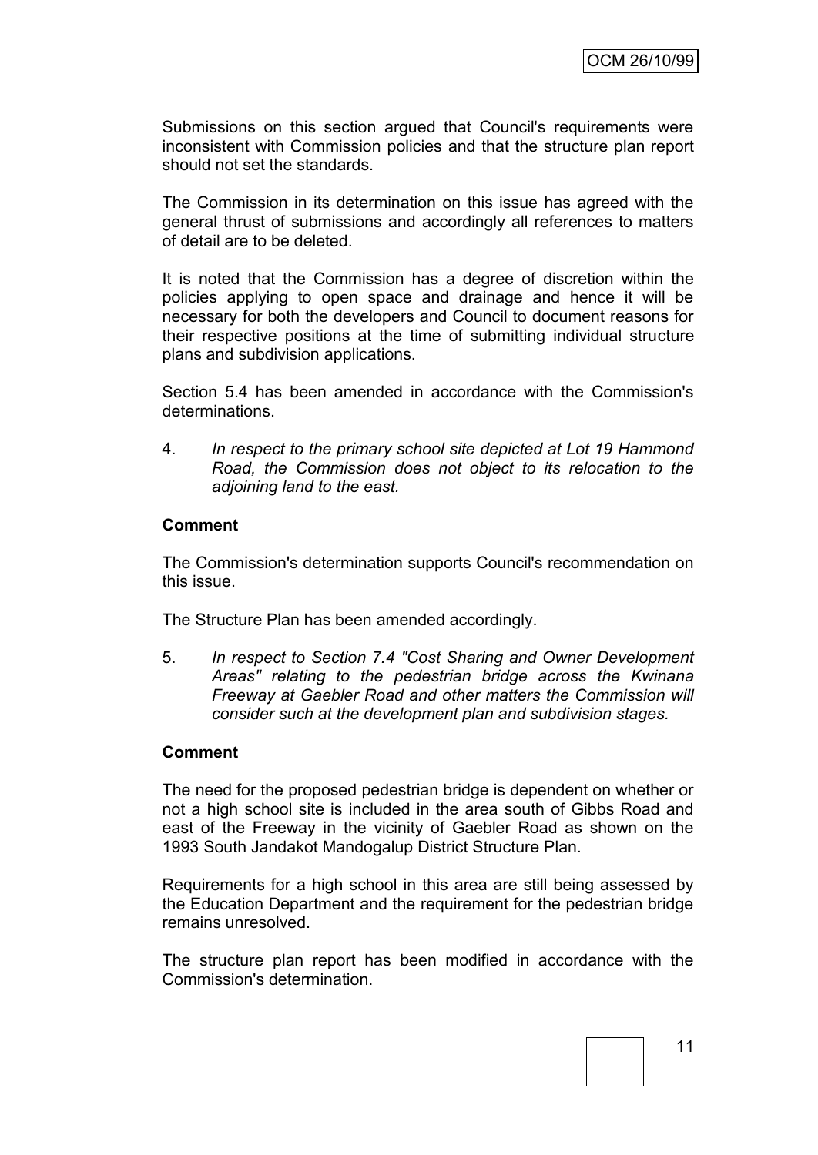Submissions on this section argued that Council's requirements were inconsistent with Commission policies and that the structure plan report should not set the standards.

The Commission in its determination on this issue has agreed with the general thrust of submissions and accordingly all references to matters of detail are to be deleted.

It is noted that the Commission has a degree of discretion within the policies applying to open space and drainage and hence it will be necessary for both the developers and Council to document reasons for their respective positions at the time of submitting individual structure plans and subdivision applications.

Section 5.4 has been amended in accordance with the Commission's determinations.

4. *In respect to the primary school site depicted at Lot 19 Hammond Road, the Commission does not object to its relocation to the adjoining land to the east.*

### **Comment**

The Commission's determination supports Council's recommendation on this issue.

The Structure Plan has been amended accordingly.

5. *In respect to Section 7.4 "Cost Sharing and Owner Development Areas" relating to the pedestrian bridge across the Kwinana Freeway at Gaebler Road and other matters the Commission will consider such at the development plan and subdivision stages.*

### **Comment**

The need for the proposed pedestrian bridge is dependent on whether or not a high school site is included in the area south of Gibbs Road and east of the Freeway in the vicinity of Gaebler Road as shown on the 1993 South Jandakot Mandogalup District Structure Plan.

Requirements for a high school in this area are still being assessed by the Education Department and the requirement for the pedestrian bridge remains unresolved.

The structure plan report has been modified in accordance with the Commission's determination.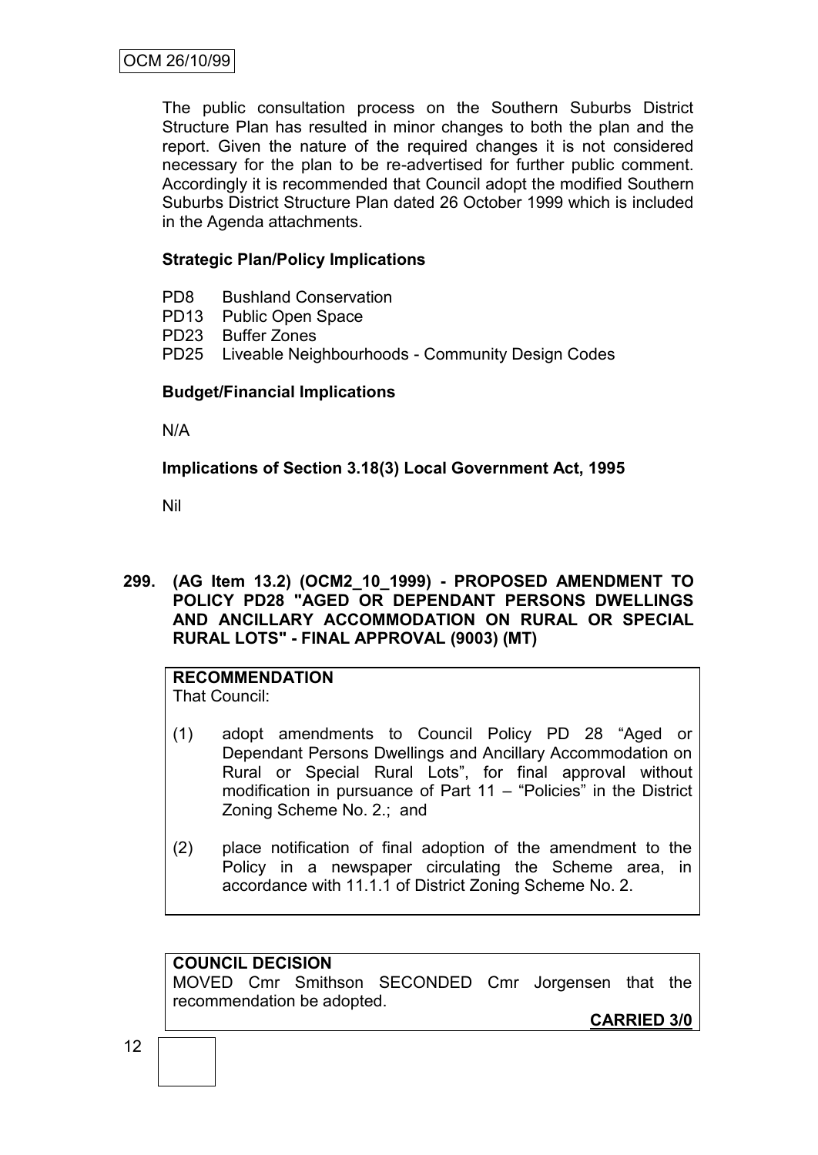The public consultation process on the Southern Suburbs District Structure Plan has resulted in minor changes to both the plan and the report. Given the nature of the required changes it is not considered necessary for the plan to be re-advertised for further public comment. Accordingly it is recommended that Council adopt the modified Southern Suburbs District Structure Plan dated 26 October 1999 which is included in the Agenda attachments.

# **Strategic Plan/Policy Implications**

- PD8 Bushland Conservation
- PD13 Public Open Space
- PD23 Buffer Zones
- PD25 Liveable Neighbourhoods Community Design Codes

# **Budget/Financial Implications**

N/A

# **Implications of Section 3.18(3) Local Government Act, 1995**

Nil

**299. (AG Item 13.2) (OCM2\_10\_1999) - PROPOSED AMENDMENT TO POLICY PD28 "AGED OR DEPENDANT PERSONS DWELLINGS AND ANCILLARY ACCOMMODATION ON RURAL OR SPECIAL RURAL LOTS" - FINAL APPROVAL (9003) (MT)**

**RECOMMENDATION** That Council:

- (1) adopt amendments to Council Policy PD 28 "Aged or Dependant Persons Dwellings and Ancillary Accommodation on Rural or Special Rural Lots", for final approval without modification in pursuance of Part 11 – "Policies" in the District Zoning Scheme No. 2.; and
- (2) place notification of final adoption of the amendment to the Policy in a newspaper circulating the Scheme area, in accordance with 11.1.1 of District Zoning Scheme No. 2.

### **COUNCIL DECISION**

MOVED Cmr Smithson SECONDED Cmr Jorgensen that the recommendation be adopted.

**CARRIED 3/0**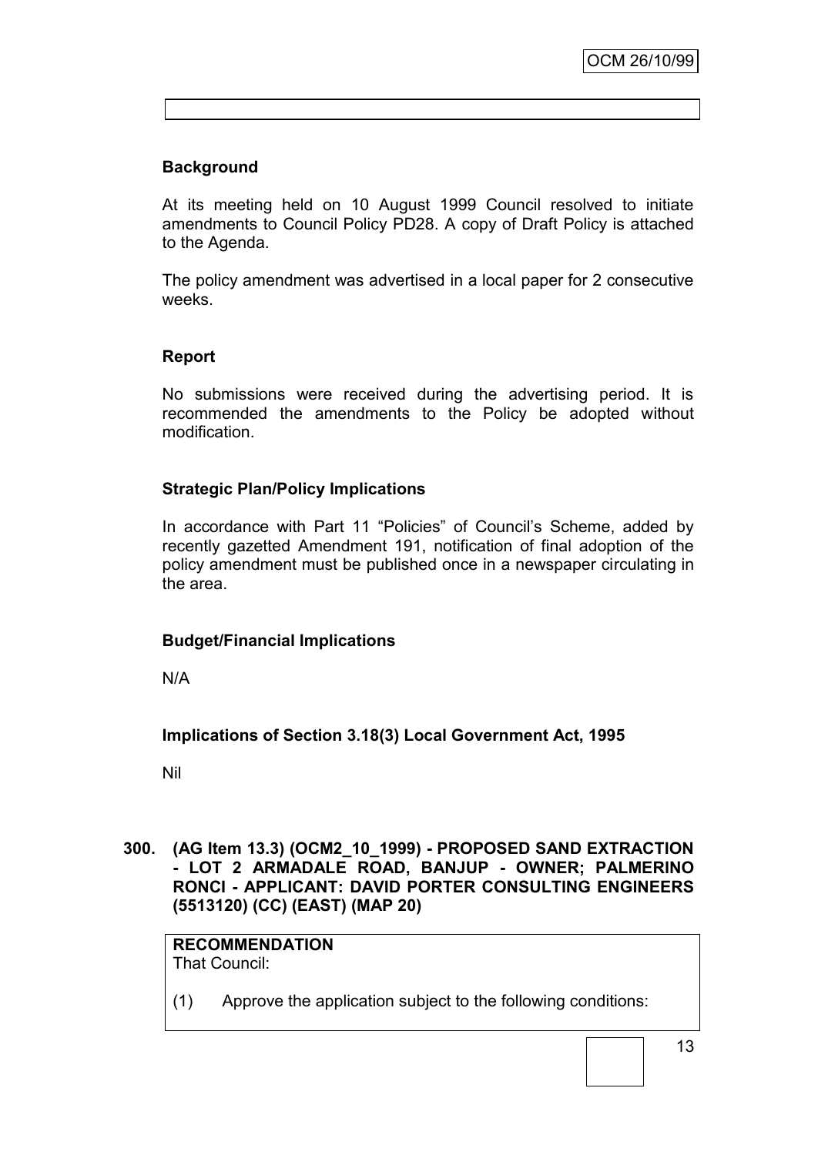# **Background**

At its meeting held on 10 August 1999 Council resolved to initiate amendments to Council Policy PD28. A copy of Draft Policy is attached to the Agenda.

The policy amendment was advertised in a local paper for 2 consecutive weeks.

### **Report**

No submissions were received during the advertising period. It is recommended the amendments to the Policy be adopted without modification.

# **Strategic Plan/Policy Implications**

In accordance with Part 11 "Policies" of Council"s Scheme, added by recently gazetted Amendment 191, notification of final adoption of the policy amendment must be published once in a newspaper circulating in the area.

### **Budget/Financial Implications**

N/A

### **Implications of Section 3.18(3) Local Government Act, 1995**

Nil

**300. (AG Item 13.3) (OCM2\_10\_1999) - PROPOSED SAND EXTRACTION - LOT 2 ARMADALE ROAD, BANJUP - OWNER; PALMERINO RONCI - APPLICANT: DAVID PORTER CONSULTING ENGINEERS (5513120) (CC) (EAST) (MAP 20)**

#### **RECOMMENDATION** That Council:

(1) Approve the application subject to the following conditions: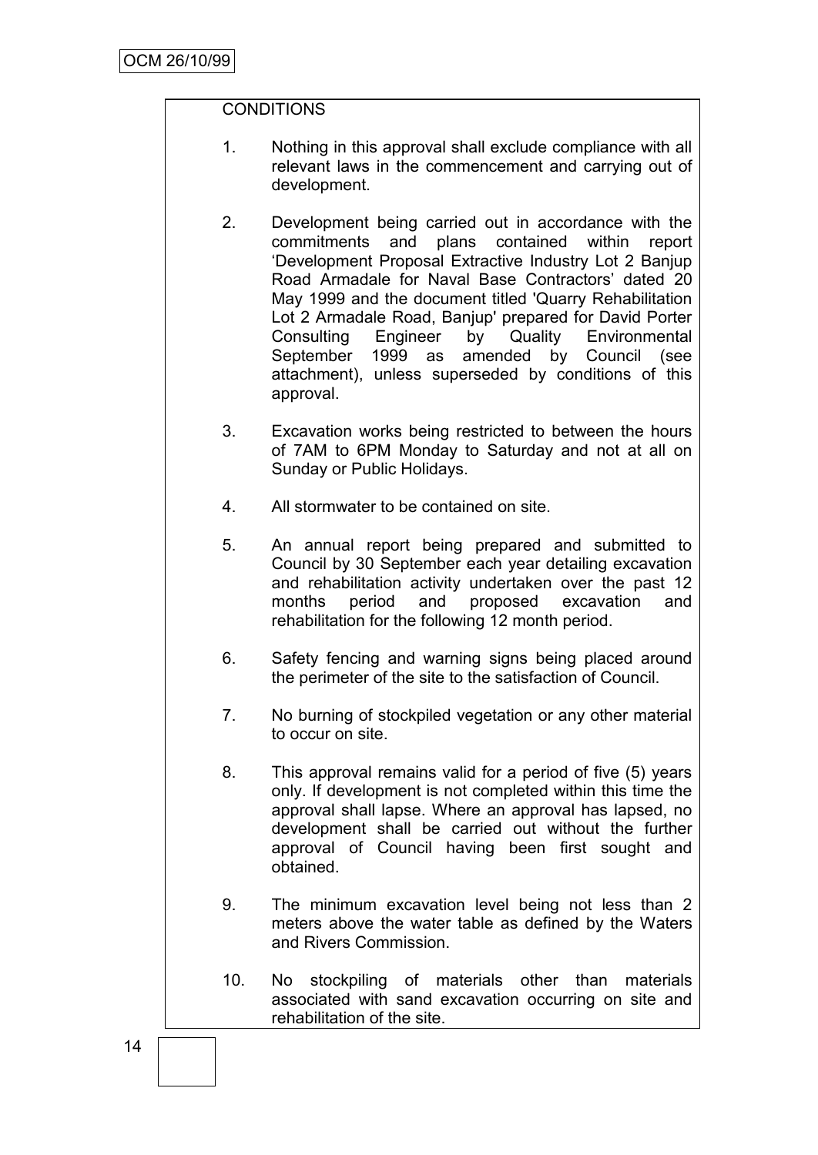# **CONDITIONS**

- 1. Nothing in this approval shall exclude compliance with all relevant laws in the commencement and carrying out of development.
- 2. Development being carried out in accordance with the commitments and plans contained within report "Development Proposal Extractive Industry Lot 2 Banjup Road Armadale for Naval Base Contractors" dated 20 May 1999 and the document titled 'Quarry Rehabilitation Lot 2 Armadale Road, Banjup' prepared for David Porter Consulting Engineer by Quality Environmental September 1999 as amended by Council (see attachment), unless superseded by conditions of this approval.
- 3. Excavation works being restricted to between the hours of 7AM to 6PM Monday to Saturday and not at all on Sunday or Public Holidays.
- 4. All stormwater to be contained on site.
- 5. An annual report being prepared and submitted to Council by 30 September each year detailing excavation and rehabilitation activity undertaken over the past 12 months period and proposed excavation and rehabilitation for the following 12 month period.
- 6. Safety fencing and warning signs being placed around the perimeter of the site to the satisfaction of Council.
- 7. No burning of stockpiled vegetation or any other material to occur on site.
- 8. This approval remains valid for a period of five (5) years only. If development is not completed within this time the approval shall lapse. Where an approval has lapsed, no development shall be carried out without the further approval of Council having been first sought and obtained.
- 9. The minimum excavation level being not less than 2 meters above the water table as defined by the Waters and Rivers Commission.
- 10. No stockpiling of materials other than materials associated with sand excavation occurring on site and rehabilitation of the site.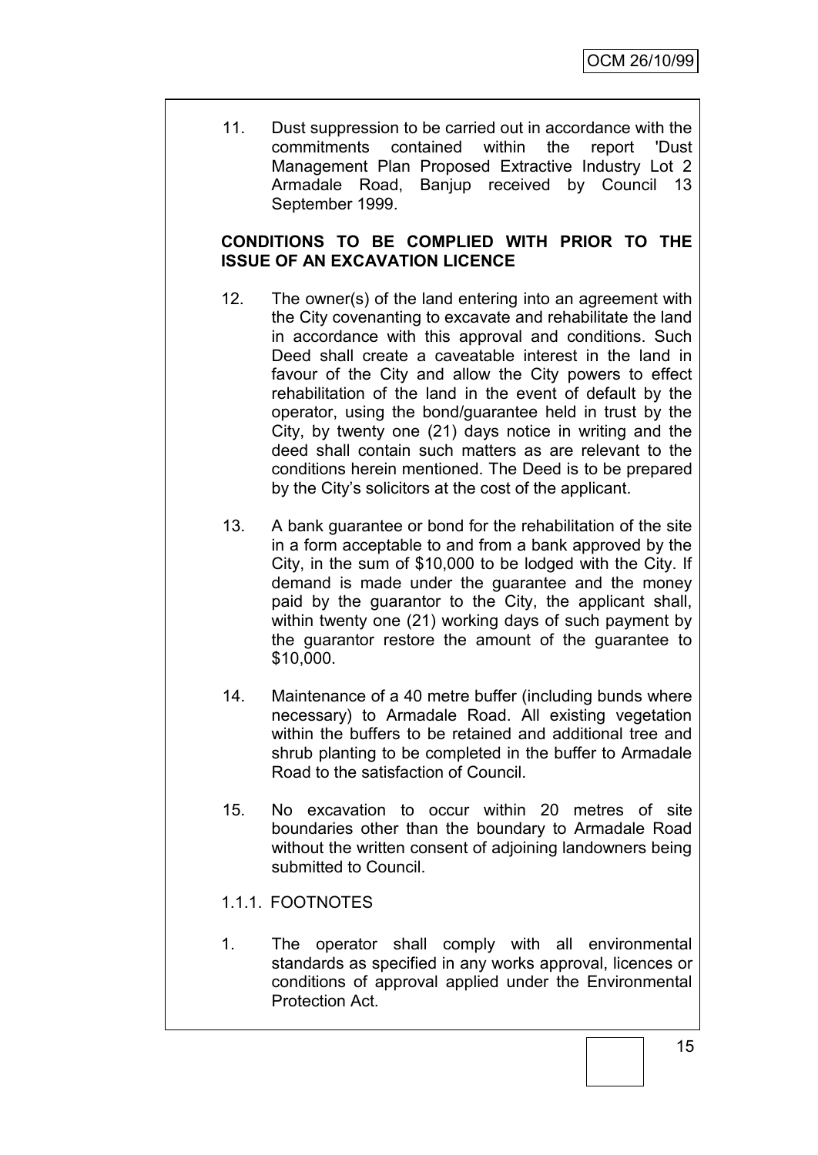11. Dust suppression to be carried out in accordance with the commitments contained within the report 'Dust Management Plan Proposed Extractive Industry Lot 2 Armadale Road, Banjup received by Council 13 September 1999.

## **CONDITIONS TO BE COMPLIED WITH PRIOR TO THE ISSUE OF AN EXCAVATION LICENCE**

- 12. The owner(s) of the land entering into an agreement with the City covenanting to excavate and rehabilitate the land in accordance with this approval and conditions. Such Deed shall create a caveatable interest in the land in favour of the City and allow the City powers to effect rehabilitation of the land in the event of default by the operator, using the bond/guarantee held in trust by the City, by twenty one (21) days notice in writing and the deed shall contain such matters as are relevant to the conditions herein mentioned. The Deed is to be prepared by the City"s solicitors at the cost of the applicant.
- 13. A bank guarantee or bond for the rehabilitation of the site in a form acceptable to and from a bank approved by the City, in the sum of \$10,000 to be lodged with the City. If demand is made under the guarantee and the money paid by the guarantor to the City, the applicant shall, within twenty one (21) working days of such payment by the guarantor restore the amount of the guarantee to \$10,000.
- 14. Maintenance of a 40 metre buffer (including bunds where necessary) to Armadale Road. All existing vegetation within the buffers to be retained and additional tree and shrub planting to be completed in the buffer to Armadale Road to the satisfaction of Council.
- 15. No excavation to occur within 20 metres of site boundaries other than the boundary to Armadale Road without the written consent of adjoining landowners being submitted to Council.
- 1.1.1. FOOTNOTES
- 1. The operator shall comply with all environmental standards as specified in any works approval, licences or conditions of approval applied under the Environmental Protection Act.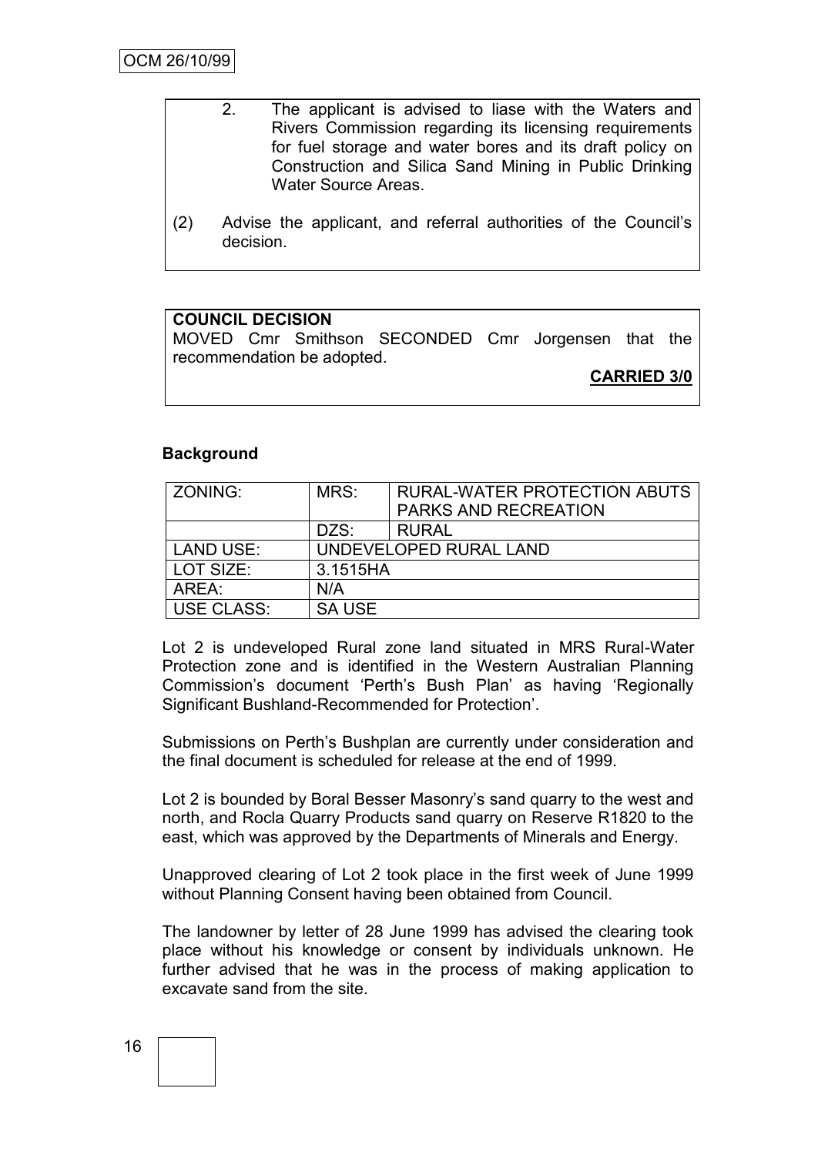- 2. The applicant is advised to liase with the Waters and Rivers Commission regarding its licensing requirements for fuel storage and water bores and its draft policy on Construction and Silica Sand Mining in Public Drinking Water Source Areas.
- (2) Advise the applicant, and referral authorities of the Council"s decision.

### **COUNCIL DECISION**

MOVED Cmr Smithson SECONDED Cmr Jorgensen that the recommendation be adopted.

**CARRIED 3/0**

### **Background**

| ZONING:          | MRS:<br><b>RURAL-WATER PROTECTION ABUTS</b> |                      |  |
|------------------|---------------------------------------------|----------------------|--|
|                  |                                             | PARKS AND RECREATION |  |
|                  | DZS:                                        | <b>RURAL</b>         |  |
| <b>LAND USE:</b> | UNDEVELOPED RURAL LAND                      |                      |  |
| LOT SIZE:        | 3.1515HA                                    |                      |  |
| AREA:            | N/A                                         |                      |  |
| USE CLASS:       | <b>SA USE</b>                               |                      |  |

Lot 2 is undeveloped Rural zone land situated in MRS Rural-Water Protection zone and is identified in the Western Australian Planning Commission"s document "Perth"s Bush Plan" as having "Regionally Significant Bushland-Recommended for Protection".

Submissions on Perth's Bushplan are currently under consideration and the final document is scheduled for release at the end of 1999.

Lot 2 is bounded by Boral Besser Masonry"s sand quarry to the west and north, and Rocla Quarry Products sand quarry on Reserve R1820 to the east, which was approved by the Departments of Minerals and Energy.

Unapproved clearing of Lot 2 took place in the first week of June 1999 without Planning Consent having been obtained from Council.

The landowner by letter of 28 June 1999 has advised the clearing took place without his knowledge or consent by individuals unknown. He further advised that he was in the process of making application to excavate sand from the site.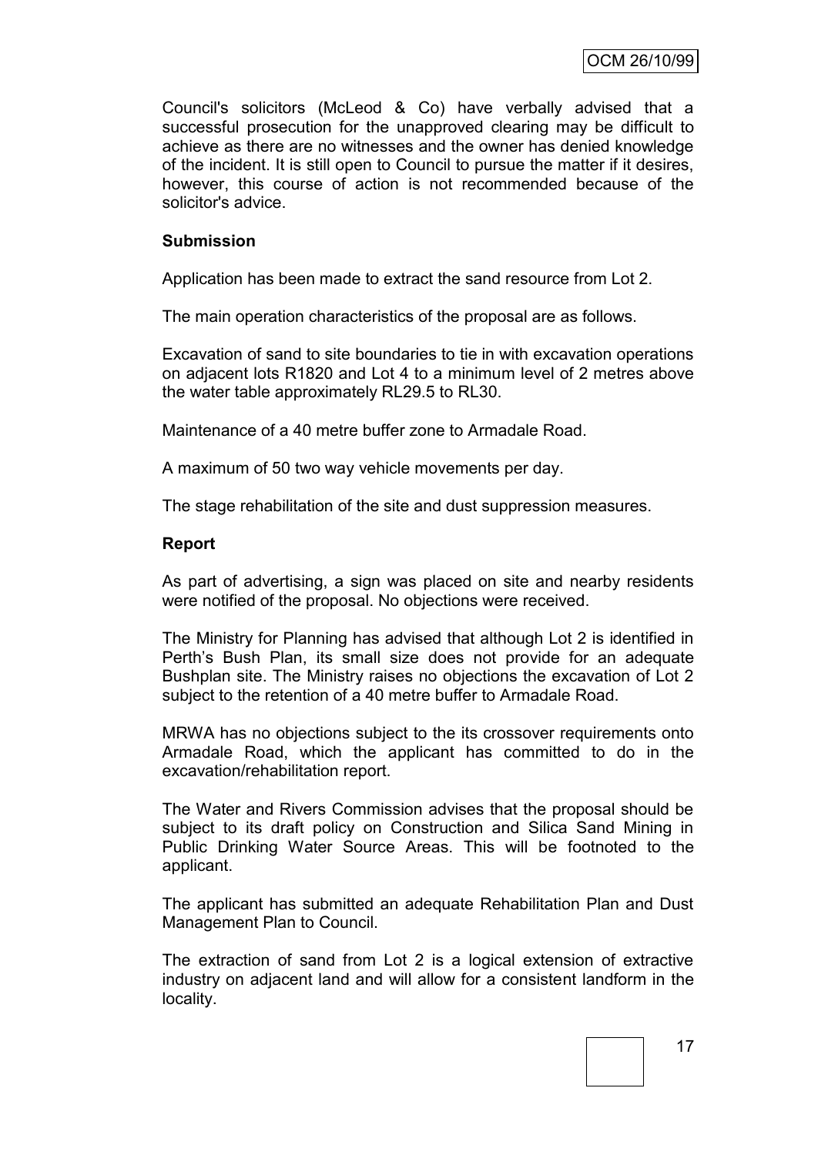Council's solicitors (McLeod & Co) have verbally advised that a successful prosecution for the unapproved clearing may be difficult to achieve as there are no witnesses and the owner has denied knowledge of the incident. It is still open to Council to pursue the matter if it desires, however, this course of action is not recommended because of the solicitor's advice.

### **Submission**

Application has been made to extract the sand resource from Lot 2.

The main operation characteristics of the proposal are as follows.

Excavation of sand to site boundaries to tie in with excavation operations on adjacent lots R1820 and Lot 4 to a minimum level of 2 metres above the water table approximately RL29.5 to RL30.

Maintenance of a 40 metre buffer zone to Armadale Road.

A maximum of 50 two way vehicle movements per day.

The stage rehabilitation of the site and dust suppression measures.

### **Report**

As part of advertising, a sign was placed on site and nearby residents were notified of the proposal. No objections were received.

The Ministry for Planning has advised that although Lot 2 is identified in Perth"s Bush Plan, its small size does not provide for an adequate Bushplan site. The Ministry raises no objections the excavation of Lot 2 subject to the retention of a 40 metre buffer to Armadale Road.

MRWA has no objections subject to the its crossover requirements onto Armadale Road, which the applicant has committed to do in the excavation/rehabilitation report.

The Water and Rivers Commission advises that the proposal should be subject to its draft policy on Construction and Silica Sand Mining in Public Drinking Water Source Areas. This will be footnoted to the applicant.

The applicant has submitted an adequate Rehabilitation Plan and Dust Management Plan to Council.

The extraction of sand from Lot 2 is a logical extension of extractive industry on adjacent land and will allow for a consistent landform in the locality.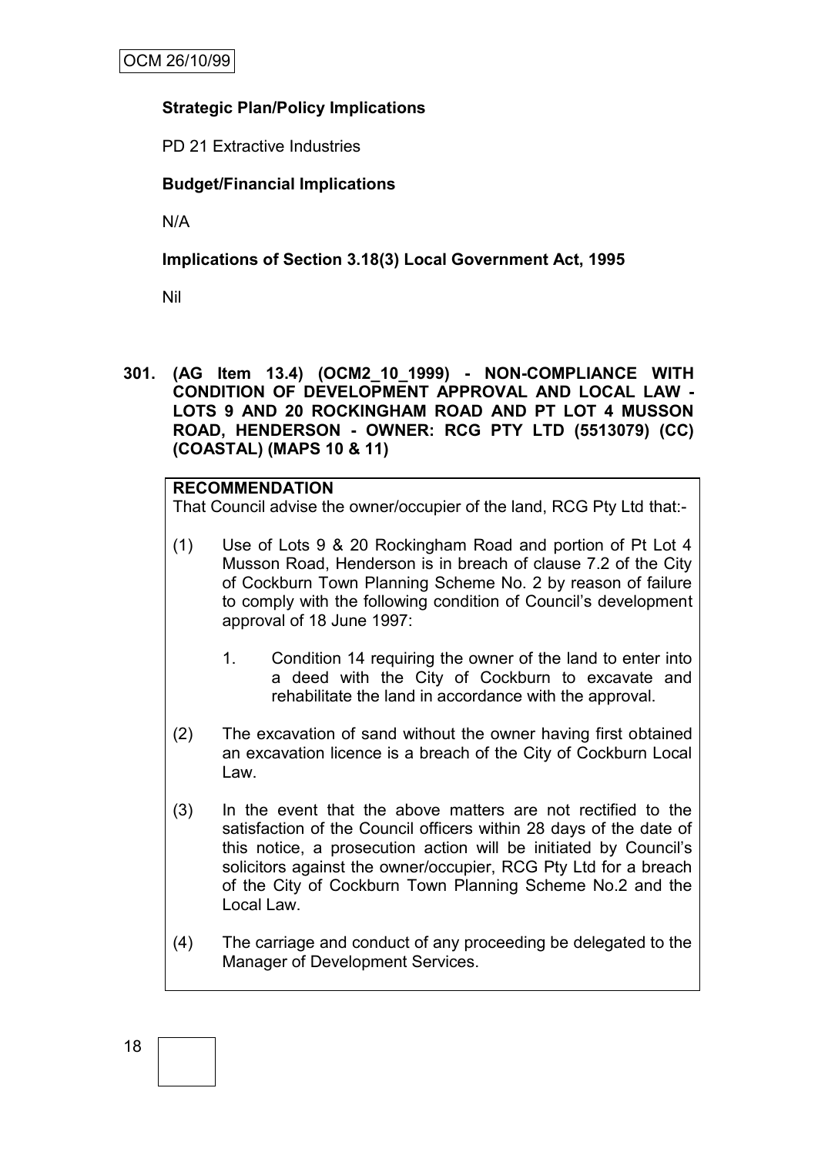# **Strategic Plan/Policy Implications**

PD 21 Extractive Industries

# **Budget/Financial Implications**

N/A

# **Implications of Section 3.18(3) Local Government Act, 1995**

Nil

**301. (AG Item 13.4) (OCM2\_10\_1999) - NON-COMPLIANCE WITH CONDITION OF DEVELOPMENT APPROVAL AND LOCAL LAW - LOTS 9 AND 20 ROCKINGHAM ROAD AND PT LOT 4 MUSSON ROAD, HENDERSON - OWNER: RCG PTY LTD (5513079) (CC) (COASTAL) (MAPS 10 & 11)**

### **RECOMMENDATION**

That Council advise the owner/occupier of the land, RCG Pty Ltd that:-

- (1) Use of Lots 9 & 20 Rockingham Road and portion of Pt Lot 4 Musson Road, Henderson is in breach of clause 7.2 of the City of Cockburn Town Planning Scheme No. 2 by reason of failure to comply with the following condition of Council"s development approval of 18 June 1997:
	- 1. Condition 14 requiring the owner of the land to enter into a deed with the City of Cockburn to excavate and rehabilitate the land in accordance with the approval.
- (2) The excavation of sand without the owner having first obtained an excavation licence is a breach of the City of Cockburn Local Law.
- (3) In the event that the above matters are not rectified to the satisfaction of the Council officers within 28 days of the date of this notice, a prosecution action will be initiated by Council"s solicitors against the owner/occupier, RCG Pty Ltd for a breach of the City of Cockburn Town Planning Scheme No.2 and the Local Law.
- (4) The carriage and conduct of any proceeding be delegated to the Manager of Development Services.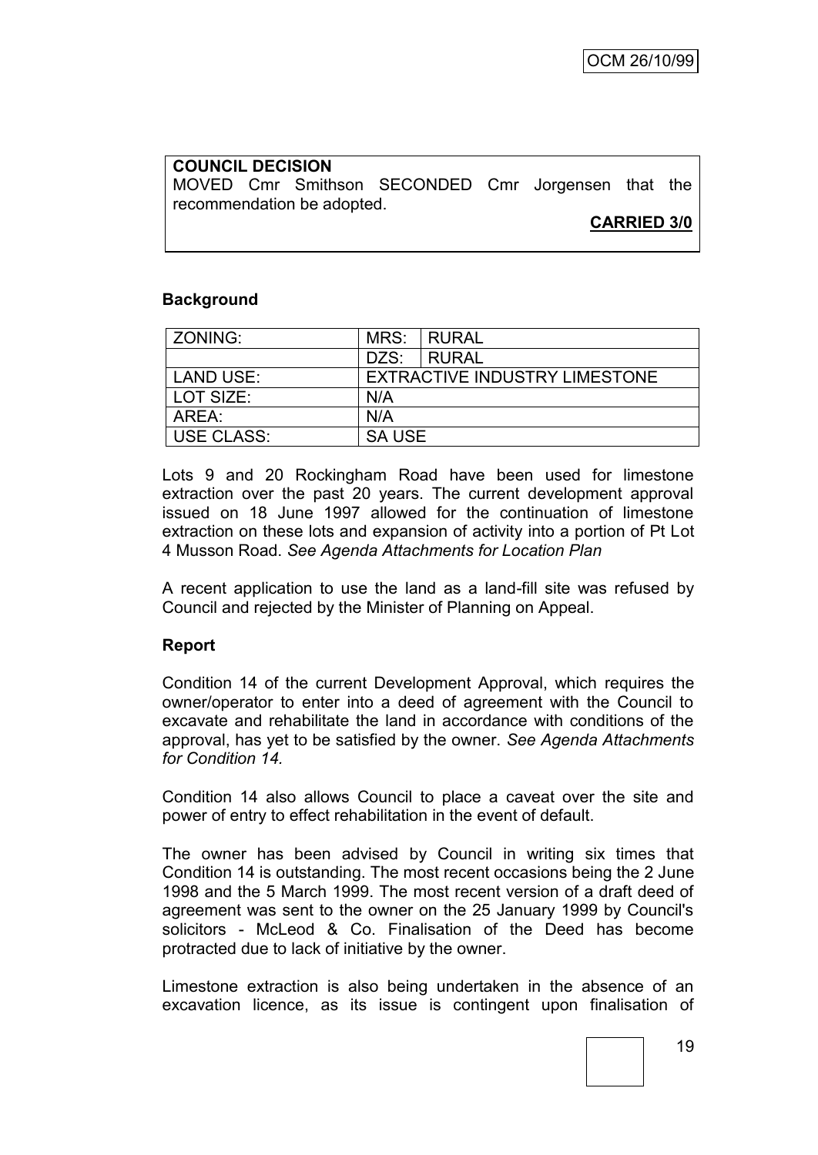# **COUNCIL DECISION** MOVED Cmr Smithson SECONDED Cmr Jorgensen that the recommendation be adopted.

**CARRIED 3/0**

### **Background**

| ZONING:           |                                      | MRS: RURAL   |
|-------------------|--------------------------------------|--------------|
|                   | DZS:                                 | <b>RURAL</b> |
| <b>LAND USE:</b>  | <b>EXTRACTIVE INDUSTRY LIMESTONE</b> |              |
| l LOT SIZE:       | N/A                                  |              |
| AREA:             | N/A                                  |              |
| <b>USE CLASS:</b> | <b>SA USE</b>                        |              |

Lots 9 and 20 Rockingham Road have been used for limestone extraction over the past 20 years. The current development approval issued on 18 June 1997 allowed for the continuation of limestone extraction on these lots and expansion of activity into a portion of Pt Lot 4 Musson Road. *See Agenda Attachments for Location Plan*

A recent application to use the land as a land-fill site was refused by Council and rejected by the Minister of Planning on Appeal.

### **Report**

Condition 14 of the current Development Approval, which requires the owner/operator to enter into a deed of agreement with the Council to excavate and rehabilitate the land in accordance with conditions of the approval, has yet to be satisfied by the owner. *See Agenda Attachments for Condition 14.*

Condition 14 also allows Council to place a caveat over the site and power of entry to effect rehabilitation in the event of default.

The owner has been advised by Council in writing six times that Condition 14 is outstanding. The most recent occasions being the 2 June 1998 and the 5 March 1999. The most recent version of a draft deed of agreement was sent to the owner on the 25 January 1999 by Council's solicitors - McLeod & Co. Finalisation of the Deed has become protracted due to lack of initiative by the owner.

Limestone extraction is also being undertaken in the absence of an excavation licence, as its issue is contingent upon finalisation of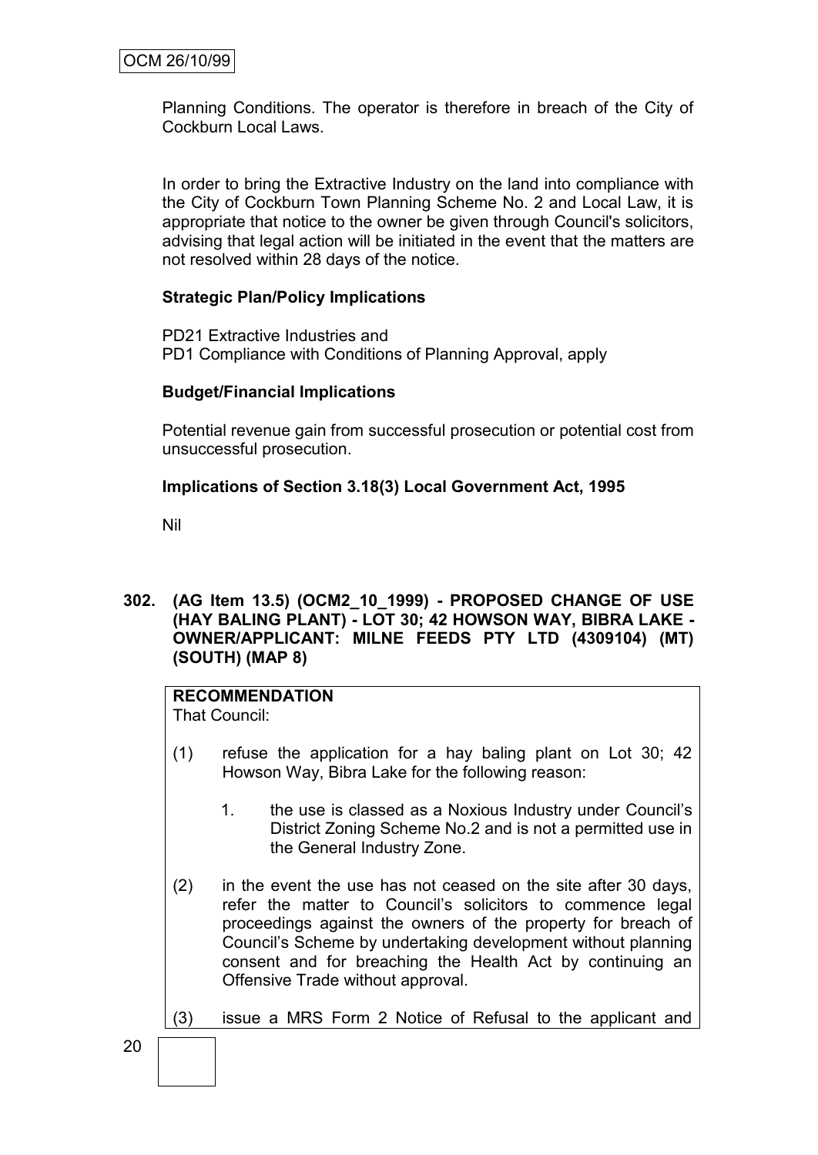Planning Conditions. The operator is therefore in breach of the City of Cockburn Local Laws.

In order to bring the Extractive Industry on the land into compliance with the City of Cockburn Town Planning Scheme No. 2 and Local Law, it is appropriate that notice to the owner be given through Council's solicitors, advising that legal action will be initiated in the event that the matters are not resolved within 28 days of the notice.

# **Strategic Plan/Policy Implications**

PD21 Extractive Industries and PD1 Compliance with Conditions of Planning Approval, apply

### **Budget/Financial Implications**

Potential revenue gain from successful prosecution or potential cost from unsuccessful prosecution.

# **Implications of Section 3.18(3) Local Government Act, 1995**

Nil

**302. (AG Item 13.5) (OCM2\_10\_1999) - PROPOSED CHANGE OF USE (HAY BALING PLANT) - LOT 30; 42 HOWSON WAY, BIBRA LAKE - OWNER/APPLICANT: MILNE FEEDS PTY LTD (4309104) (MT) (SOUTH) (MAP 8)**

# **RECOMMENDATION**

That Council:

- (1) refuse the application for a hay baling plant on Lot 30; 42 Howson Way, Bibra Lake for the following reason:
	- 1. the use is classed as a Noxious Industry under Council"s District Zoning Scheme No.2 and is not a permitted use in the General Industry Zone.
- (2) in the event the use has not ceased on the site after 30 days, refer the matter to Council"s solicitors to commence legal proceedings against the owners of the property for breach of Council"s Scheme by undertaking development without planning consent and for breaching the Health Act by continuing an Offensive Trade without approval.

(3) issue a MRS Form 2 Notice of Refusal to the applicant and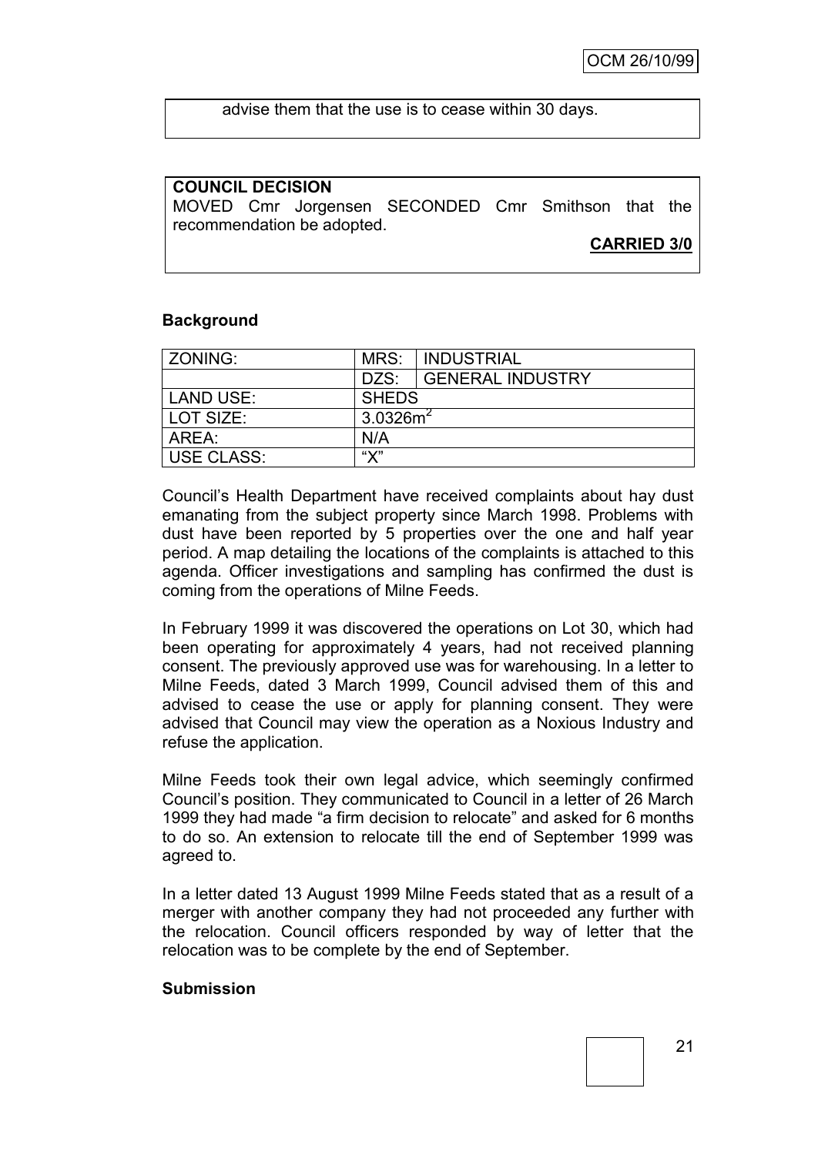advise them that the use is to cease within 30 days.

### **COUNCIL DECISION**

MOVED Cmr Jorgensen SECONDED Cmr Smithson that the recommendation be adopted.

**CARRIED 3/0**

### **Background**

| ZONING:           | MRS:         | INDUSTRIAL              |
|-------------------|--------------|-------------------------|
|                   | DZS:         | <b>GENERAL INDUSTRY</b> |
| <b>LAND USE:</b>  | <b>SHEDS</b> |                         |
| LOT SIZE:         | $3.0326m^2$  |                         |
| AREA:             | N/A          |                         |
| <b>USE CLASS:</b> | "Х"          |                         |

Council"s Health Department have received complaints about hay dust emanating from the subject property since March 1998. Problems with dust have been reported by 5 properties over the one and half year period. A map detailing the locations of the complaints is attached to this agenda. Officer investigations and sampling has confirmed the dust is coming from the operations of Milne Feeds.

In February 1999 it was discovered the operations on Lot 30, which had been operating for approximately 4 years, had not received planning consent. The previously approved use was for warehousing. In a letter to Milne Feeds, dated 3 March 1999, Council advised them of this and advised to cease the use or apply for planning consent. They were advised that Council may view the operation as a Noxious Industry and refuse the application.

Milne Feeds took their own legal advice, which seemingly confirmed Council"s position. They communicated to Council in a letter of 26 March 1999 they had made "a firm decision to relocate" and asked for 6 months to do so. An extension to relocate till the end of September 1999 was agreed to.

In a letter dated 13 August 1999 Milne Feeds stated that as a result of a merger with another company they had not proceeded any further with the relocation. Council officers responded by way of letter that the relocation was to be complete by the end of September.

### **Submission**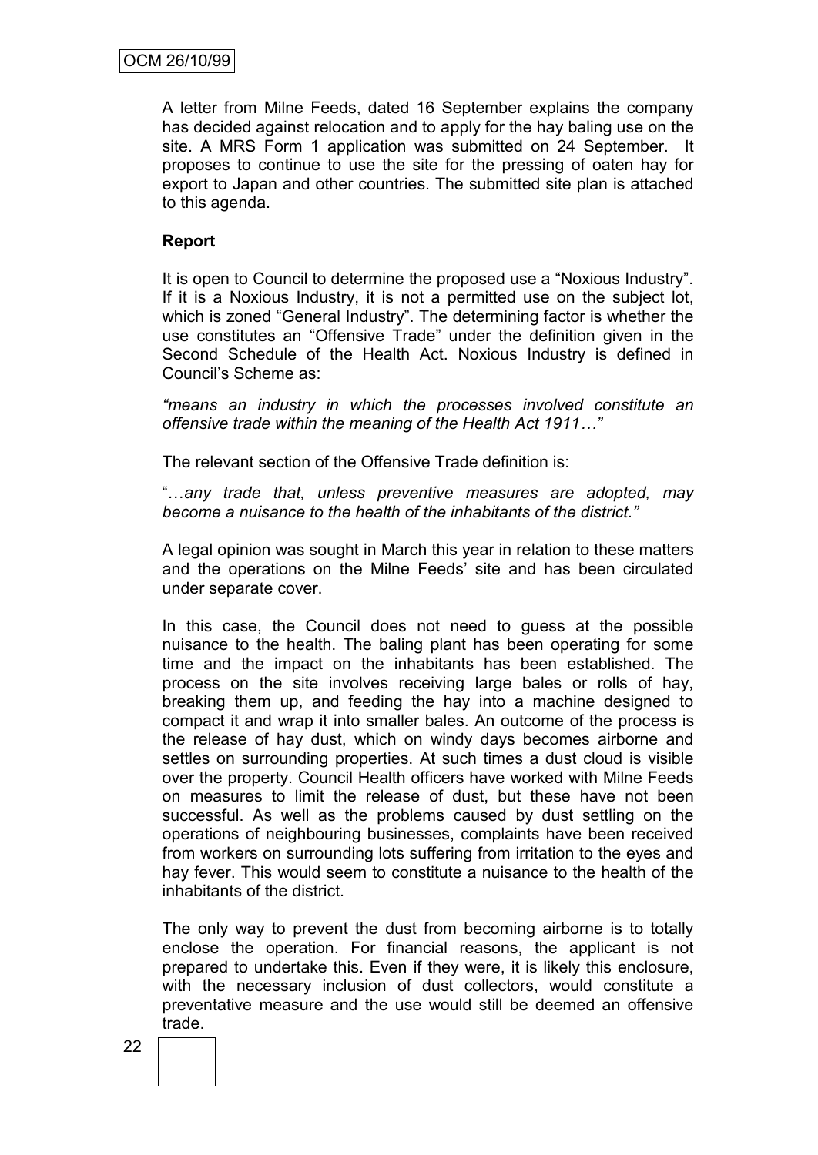A letter from Milne Feeds, dated 16 September explains the company has decided against relocation and to apply for the hay baling use on the site. A MRS Form 1 application was submitted on 24 September. It proposes to continue to use the site for the pressing of oaten hay for export to Japan and other countries. The submitted site plan is attached to this agenda.

# **Report**

It is open to Council to determine the proposed use a "Noxious Industry". If it is a Noxious Industry, it is not a permitted use on the subject lot, which is zoned "General Industry". The determining factor is whether the use constitutes an "Offensive Trade" under the definition given in the Second Schedule of the Health Act. Noxious Industry is defined in Council"s Scheme as:

*"means an industry in which the processes involved constitute an offensive trade within the meaning of the Health Act 1911…"*

The relevant section of the Offensive Trade definition is:

"…*any trade that, unless preventive measures are adopted, may become a nuisance to the health of the inhabitants of the district."* 

A legal opinion was sought in March this year in relation to these matters and the operations on the Milne Feeds" site and has been circulated under separate cover.

In this case, the Council does not need to guess at the possible nuisance to the health. The baling plant has been operating for some time and the impact on the inhabitants has been established. The process on the site involves receiving large bales or rolls of hay, breaking them up, and feeding the hay into a machine designed to compact it and wrap it into smaller bales. An outcome of the process is the release of hay dust, which on windy days becomes airborne and settles on surrounding properties. At such times a dust cloud is visible over the property. Council Health officers have worked with Milne Feeds on measures to limit the release of dust, but these have not been successful. As well as the problems caused by dust settling on the operations of neighbouring businesses, complaints have been received from workers on surrounding lots suffering from irritation to the eyes and hay fever. This would seem to constitute a nuisance to the health of the inhabitants of the district.

The only way to prevent the dust from becoming airborne is to totally enclose the operation. For financial reasons, the applicant is not prepared to undertake this. Even if they were, it is likely this enclosure, with the necessary inclusion of dust collectors, would constitute a preventative measure and the use would still be deemed an offensive trade.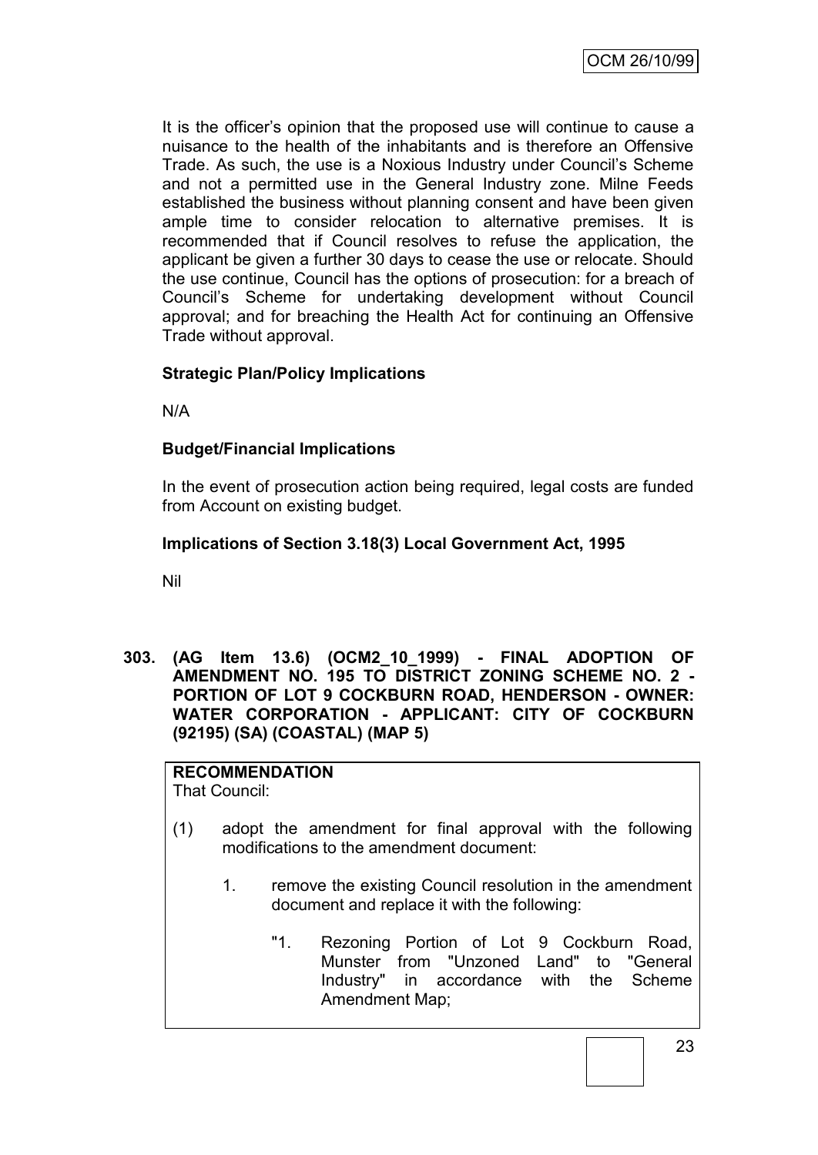It is the officer"s opinion that the proposed use will continue to cause a nuisance to the health of the inhabitants and is therefore an Offensive Trade. As such, the use is a Noxious Industry under Council"s Scheme and not a permitted use in the General Industry zone. Milne Feeds established the business without planning consent and have been given ample time to consider relocation to alternative premises. It is recommended that if Council resolves to refuse the application, the applicant be given a further 30 days to cease the use or relocate. Should the use continue, Council has the options of prosecution: for a breach of Council"s Scheme for undertaking development without Council approval; and for breaching the Health Act for continuing an Offensive Trade without approval.

# **Strategic Plan/Policy Implications**

N/A

# **Budget/Financial Implications**

In the event of prosecution action being required, legal costs are funded from Account on existing budget.

### **Implications of Section 3.18(3) Local Government Act, 1995**

Nil

**303. (AG Item 13.6) (OCM2\_10\_1999) - FINAL ADOPTION OF AMENDMENT NO. 195 TO DISTRICT ZONING SCHEME NO. 2 - PORTION OF LOT 9 COCKBURN ROAD, HENDERSON - OWNER: WATER CORPORATION - APPLICANT: CITY OF COCKBURN (92195) (SA) (COASTAL) (MAP 5)**

# **RECOMMENDATION**

That Council:

- (1) adopt the amendment for final approval with the following modifications to the amendment document:
	- 1. remove the existing Council resolution in the amendment document and replace it with the following:
		- "1. Rezoning Portion of Lot 9 Cockburn Road, Munster from "Unzoned Land" to "General Industry" in accordance with the Scheme Amendment Map;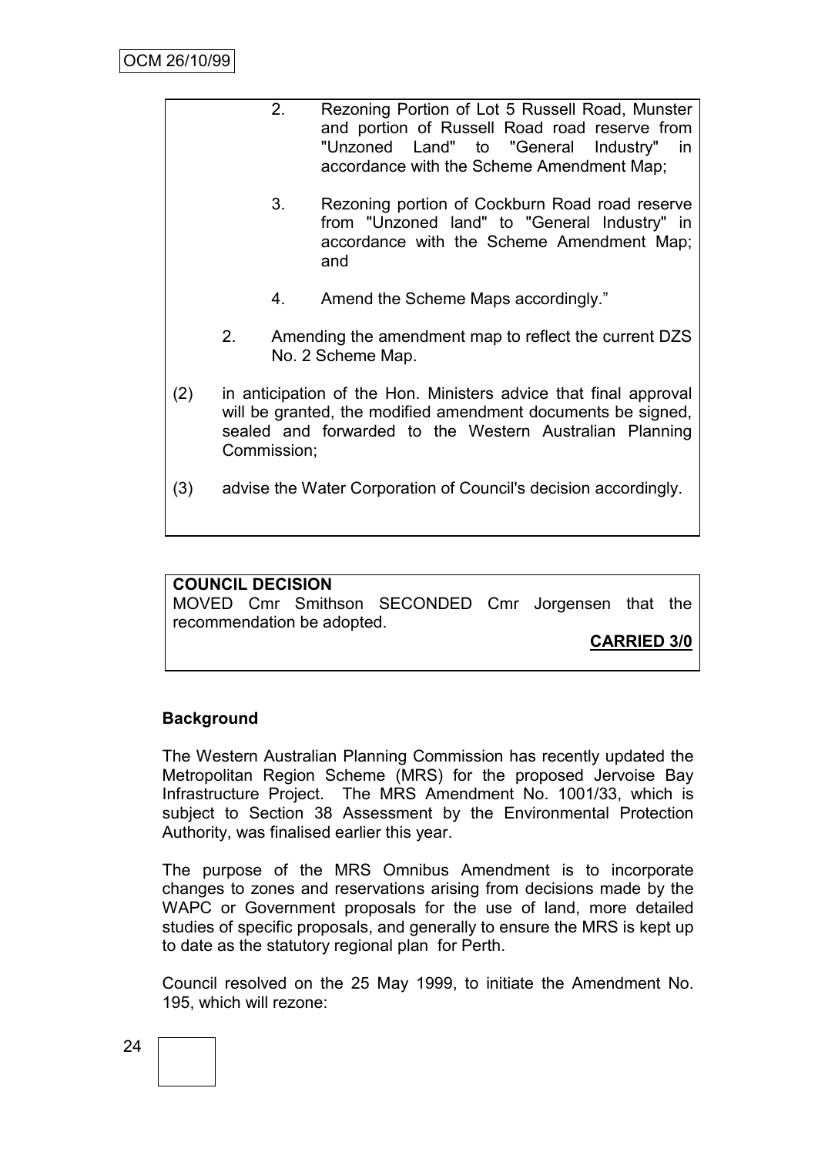|     |                                                                                                                                                                                                            | 2. | Rezoning Portion of Lot 5 Russell Road, Munster<br>and portion of Russell Road road reserve from<br>"Unzoned Land" to "General Industry"<br>in<br>accordance with the Scheme Amendment Map; |
|-----|------------------------------------------------------------------------------------------------------------------------------------------------------------------------------------------------------------|----|---------------------------------------------------------------------------------------------------------------------------------------------------------------------------------------------|
|     |                                                                                                                                                                                                            | 3. | Rezoning portion of Cockburn Road road reserve<br>from "Unzoned land" to "General Industry" in<br>accordance with the Scheme Amendment Map;<br>and                                          |
|     |                                                                                                                                                                                                            | 4. | Amend the Scheme Maps accordingly."                                                                                                                                                         |
|     | 2.                                                                                                                                                                                                         |    | Amending the amendment map to reflect the current DZS<br>No. 2 Scheme Map.                                                                                                                  |
| (2) | in anticipation of the Hon. Ministers advice that final approval<br>will be granted, the modified amendment documents be signed,<br>sealed and forwarded to the Western Australian Planning<br>Commission; |    |                                                                                                                                                                                             |
| (3) |                                                                                                                                                                                                            |    | advise the Water Corporation of Council's decision accordingly.                                                                                                                             |

# **COUNCIL DECISION** MOVED Cmr Smithson SECONDED Cmr Jorgensen that the recommendation be adopted.

**CARRIED 3/0**

# **Background**

The Western Australian Planning Commission has recently updated the Metropolitan Region Scheme (MRS) for the proposed Jervoise Bay Infrastructure Project. The MRS Amendment No. 1001/33, which is subject to Section 38 Assessment by the Environmental Protection Authority, was finalised earlier this year.

The purpose of the MRS Omnibus Amendment is to incorporate changes to zones and reservations arising from decisions made by the WAPC or Government proposals for the use of land, more detailed studies of specific proposals, and generally to ensure the MRS is kept up to date as the statutory regional plan for Perth.

Council resolved on the 25 May 1999, to initiate the Amendment No. 195, which will rezone: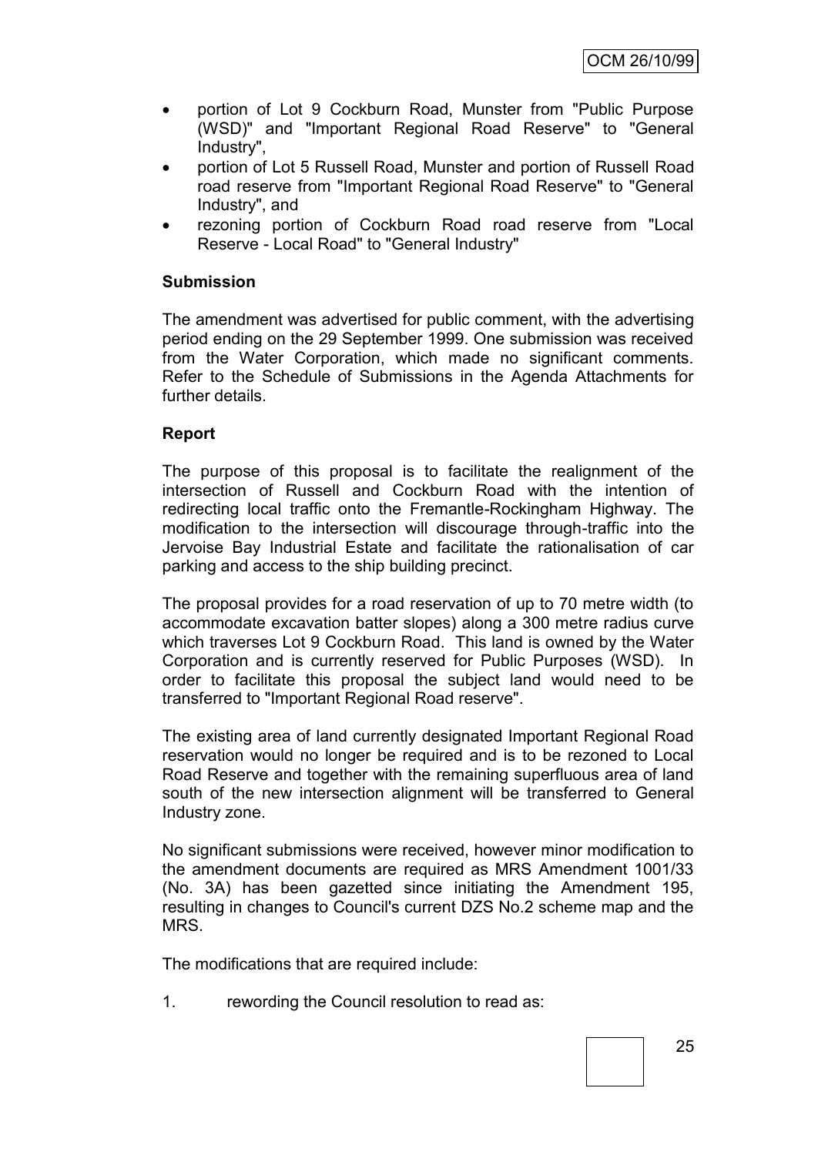- portion of Lot 9 Cockburn Road, Munster from "Public Purpose (WSD)" and "Important Regional Road Reserve" to "General Industry",
- portion of Lot 5 Russell Road, Munster and portion of Russell Road road reserve from "Important Regional Road Reserve" to "General Industry", and
- rezoning portion of Cockburn Road road reserve from "Local Reserve - Local Road" to "General Industry"

### **Submission**

The amendment was advertised for public comment, with the advertising period ending on the 29 September 1999. One submission was received from the Water Corporation, which made no significant comments. Refer to the Schedule of Submissions in the Agenda Attachments for further details.

### **Report**

The purpose of this proposal is to facilitate the realignment of the intersection of Russell and Cockburn Road with the intention of redirecting local traffic onto the Fremantle-Rockingham Highway. The modification to the intersection will discourage through-traffic into the Jervoise Bay Industrial Estate and facilitate the rationalisation of car parking and access to the ship building precinct.

The proposal provides for a road reservation of up to 70 metre width (to accommodate excavation batter slopes) along a 300 metre radius curve which traverses Lot 9 Cockburn Road. This land is owned by the Water Corporation and is currently reserved for Public Purposes (WSD). In order to facilitate this proposal the subject land would need to be transferred to "Important Regional Road reserve".

The existing area of land currently designated Important Regional Road reservation would no longer be required and is to be rezoned to Local Road Reserve and together with the remaining superfluous area of land south of the new intersection alignment will be transferred to General Industry zone.

No significant submissions were received, however minor modification to the amendment documents are required as MRS Amendment 1001/33 (No. 3A) has been gazetted since initiating the Amendment 195, resulting in changes to Council's current DZS No.2 scheme map and the MRS.

The modifications that are required include:

1. rewording the Council resolution to read as: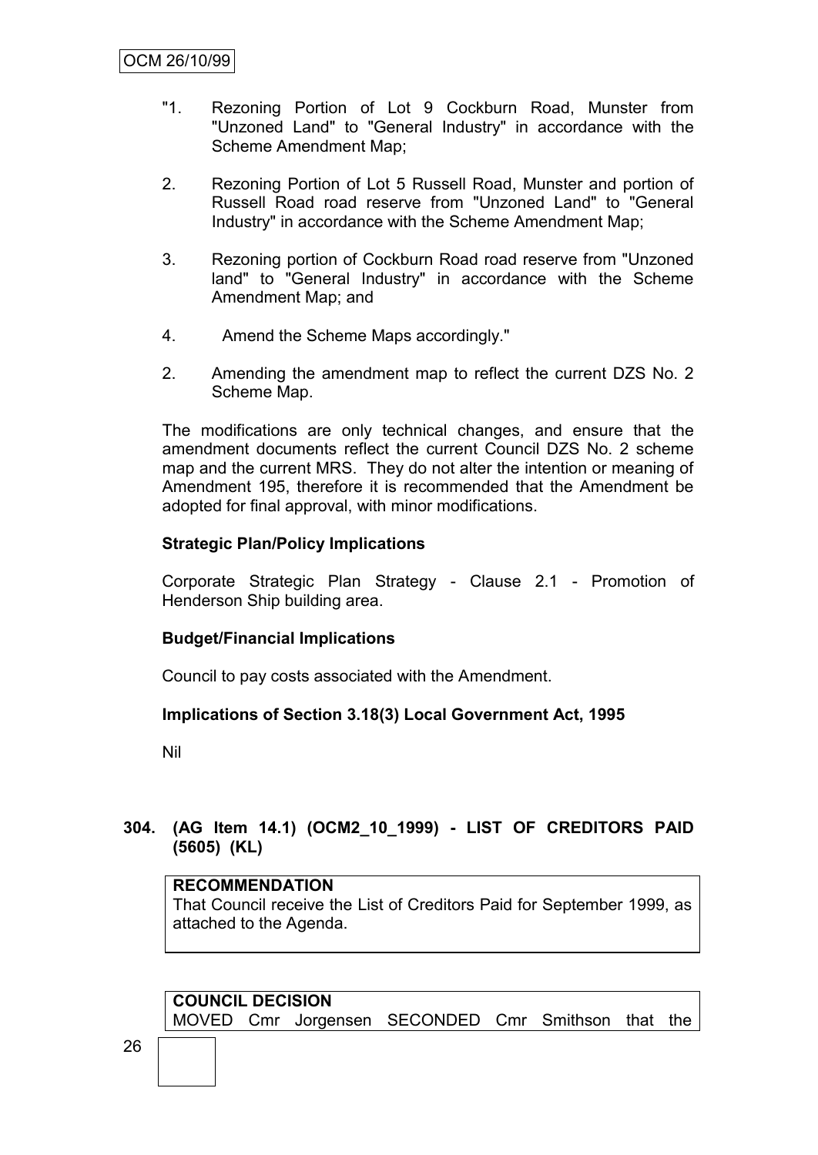- "1. Rezoning Portion of Lot 9 Cockburn Road, Munster from "Unzoned Land" to "General Industry" in accordance with the Scheme Amendment Map;
- 2. Rezoning Portion of Lot 5 Russell Road, Munster and portion of Russell Road road reserve from "Unzoned Land" to "General Industry" in accordance with the Scheme Amendment Map;
- 3. Rezoning portion of Cockburn Road road reserve from "Unzoned land" to "General Industry" in accordance with the Scheme Amendment Map; and
- 4. Amend the Scheme Maps accordingly."
- 2. Amending the amendment map to reflect the current DZS No. 2 Scheme Map.

The modifications are only technical changes, and ensure that the amendment documents reflect the current Council DZS No. 2 scheme map and the current MRS. They do not alter the intention or meaning of Amendment 195, therefore it is recommended that the Amendment be adopted for final approval, with minor modifications.

# **Strategic Plan/Policy Implications**

Corporate Strategic Plan Strategy - Clause 2.1 - Promotion of Henderson Ship building area.

### **Budget/Financial Implications**

Council to pay costs associated with the Amendment.

### **Implications of Section 3.18(3) Local Government Act, 1995**

Nil

# **304. (AG Item 14.1) (OCM2\_10\_1999) - LIST OF CREDITORS PAID (5605) (KL)**

### **RECOMMENDATION**

That Council receive the List of Creditors Paid for September 1999, as attached to the Agenda.

# **COUNCIL DECISION** MOVED Cmr Jorgensen SECONDED Cmr Smithson that the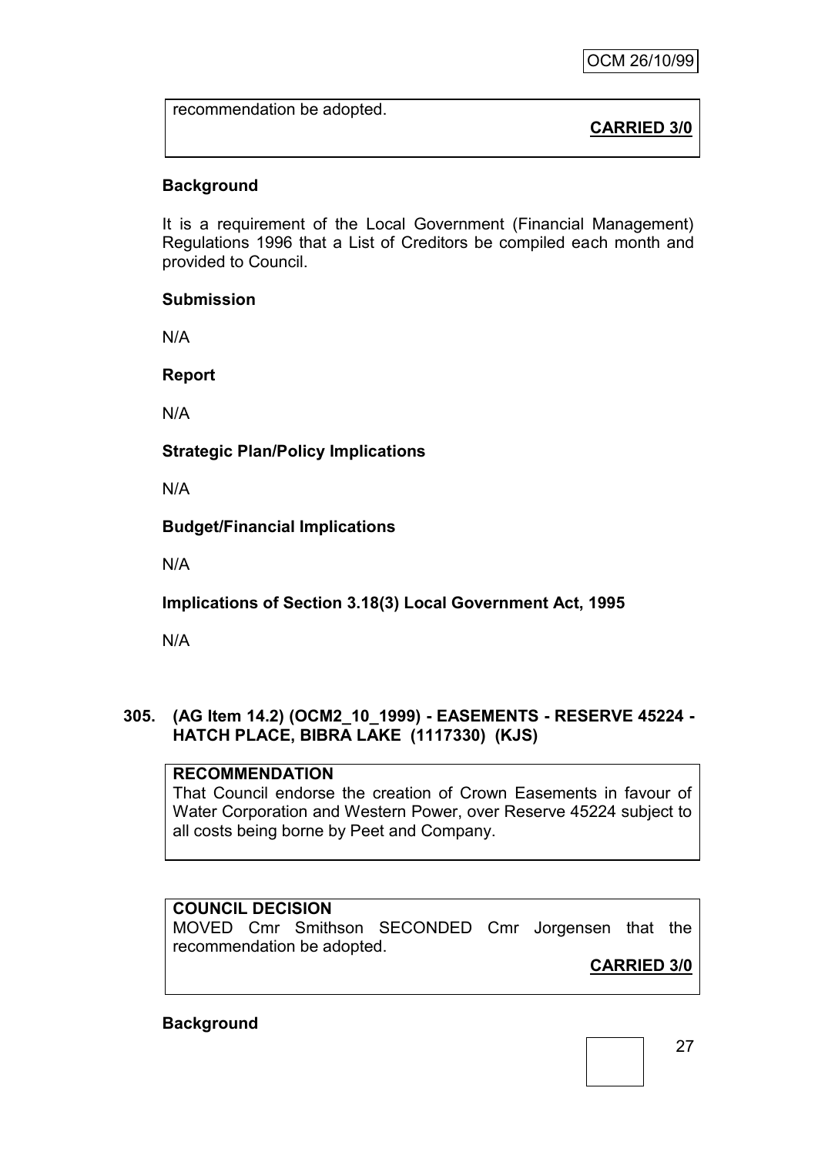recommendation be adopted.

# **CARRIED 3/0**

# **Background**

It is a requirement of the Local Government (Financial Management) Regulations 1996 that a List of Creditors be compiled each month and provided to Council.

### **Submission**

N/A

**Report**

N/A

**Strategic Plan/Policy Implications**

N/A

**Budget/Financial Implications**

N/A

**Implications of Section 3.18(3) Local Government Act, 1995**

N/A

# **305. (AG Item 14.2) (OCM2\_10\_1999) - EASEMENTS - RESERVE 45224 - HATCH PLACE, BIBRA LAKE (1117330) (KJS)**

# **RECOMMENDATION**

That Council endorse the creation of Crown Easements in favour of Water Corporation and Western Power, over Reserve 45224 subject to all costs being borne by Peet and Company.

# **COUNCIL DECISION**

MOVED Cmr Smithson SECONDED Cmr Jorgensen that the recommendation be adopted.

**CARRIED 3/0**

# **Background**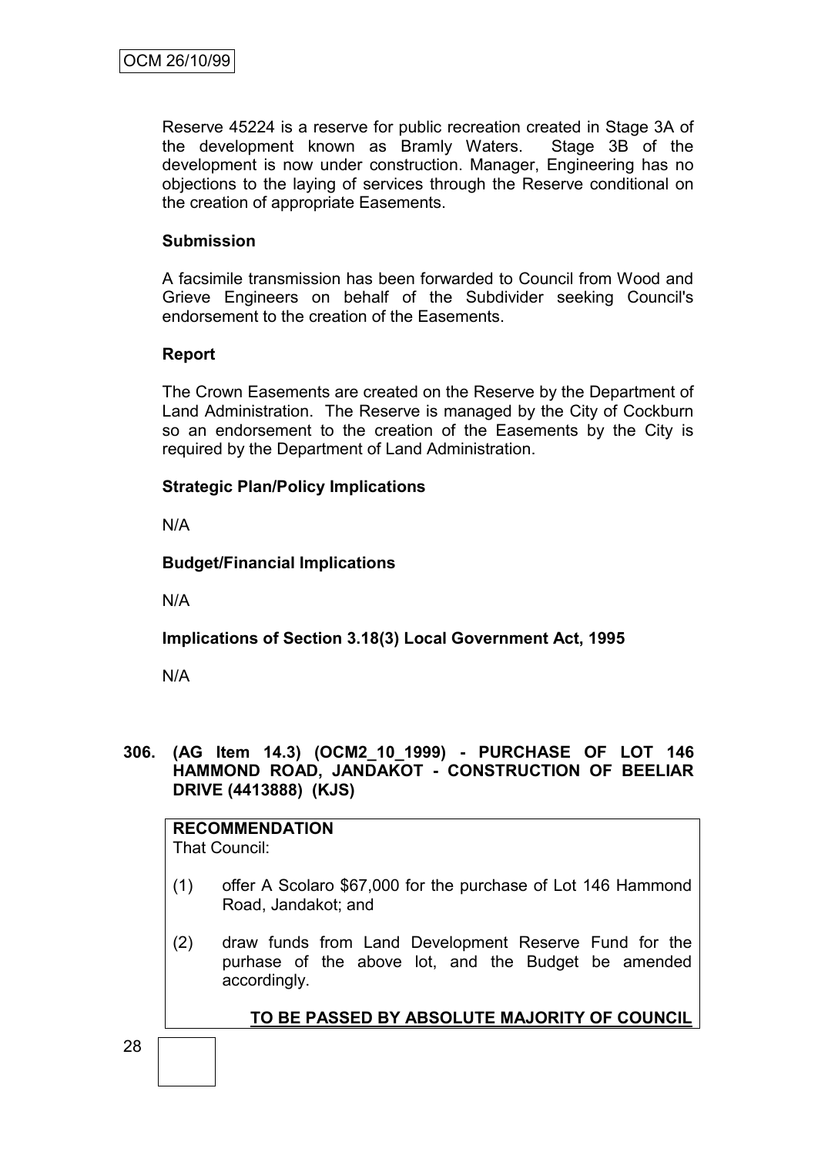Reserve 45224 is a reserve for public recreation created in Stage 3A of the development known as Bramly Waters. Stage 3B of the development is now under construction. Manager, Engineering has no objections to the laying of services through the Reserve conditional on the creation of appropriate Easements.

# **Submission**

A facsimile transmission has been forwarded to Council from Wood and Grieve Engineers on behalf of the Subdivider seeking Council's endorsement to the creation of the Easements.

# **Report**

The Crown Easements are created on the Reserve by the Department of Land Administration. The Reserve is managed by the City of Cockburn so an endorsement to the creation of the Easements by the City is required by the Department of Land Administration.

# **Strategic Plan/Policy Implications**

N/A

# **Budget/Financial Implications**

N/A

# **Implications of Section 3.18(3) Local Government Act, 1995**

N/A

### **306. (AG Item 14.3) (OCM2\_10\_1999) - PURCHASE OF LOT 146 HAMMOND ROAD, JANDAKOT - CONSTRUCTION OF BEELIAR DRIVE (4413888) (KJS)**

#### **RECOMMENDATION** That Council:

- (1) offer A Scolaro \$67,000 for the purchase of Lot 146 Hammond Road, Jandakot; and
	- (2) draw funds from Land Development Reserve Fund for the purhase of the above lot, and the Budget be amended accordingly.

**TO BE PASSED BY ABSOLUTE MAJORITY OF COUNCIL**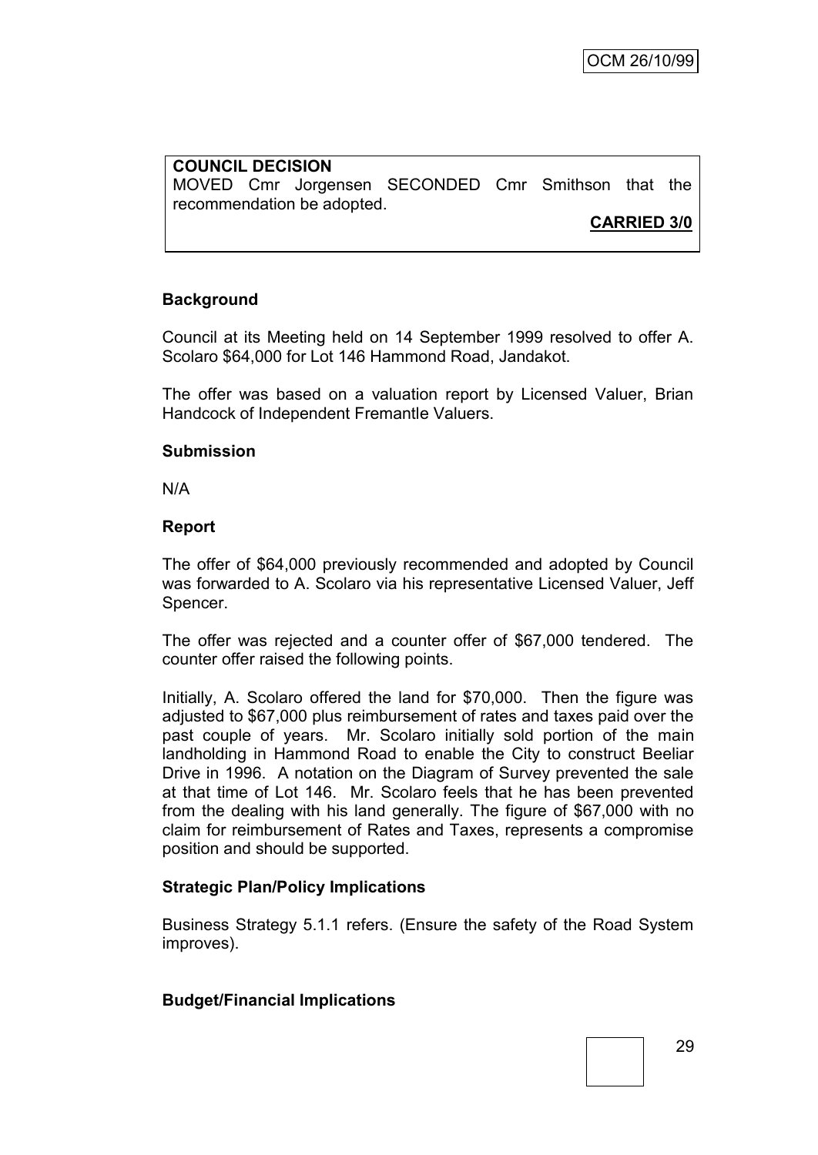## **COUNCIL DECISION** MOVED Cmr Jorgensen SECONDED Cmr Smithson that the recommendation be adopted.

**CARRIED 3/0**

# **Background**

Council at its Meeting held on 14 September 1999 resolved to offer A. Scolaro \$64,000 for Lot 146 Hammond Road, Jandakot.

The offer was based on a valuation report by Licensed Valuer, Brian Handcock of Independent Fremantle Valuers.

### **Submission**

N/A

### **Report**

The offer of \$64,000 previously recommended and adopted by Council was forwarded to A. Scolaro via his representative Licensed Valuer, Jeff Spencer.

The offer was rejected and a counter offer of \$67,000 tendered. The counter offer raised the following points.

Initially, A. Scolaro offered the land for \$70,000. Then the figure was adjusted to \$67,000 plus reimbursement of rates and taxes paid over the past couple of years. Mr. Scolaro initially sold portion of the main landholding in Hammond Road to enable the City to construct Beeliar Drive in 1996. A notation on the Diagram of Survey prevented the sale at that time of Lot 146. Mr. Scolaro feels that he has been prevented from the dealing with his land generally. The figure of \$67,000 with no claim for reimbursement of Rates and Taxes, represents a compromise position and should be supported.

### **Strategic Plan/Policy Implications**

Business Strategy 5.1.1 refers. (Ensure the safety of the Road System improves).

### **Budget/Financial Implications**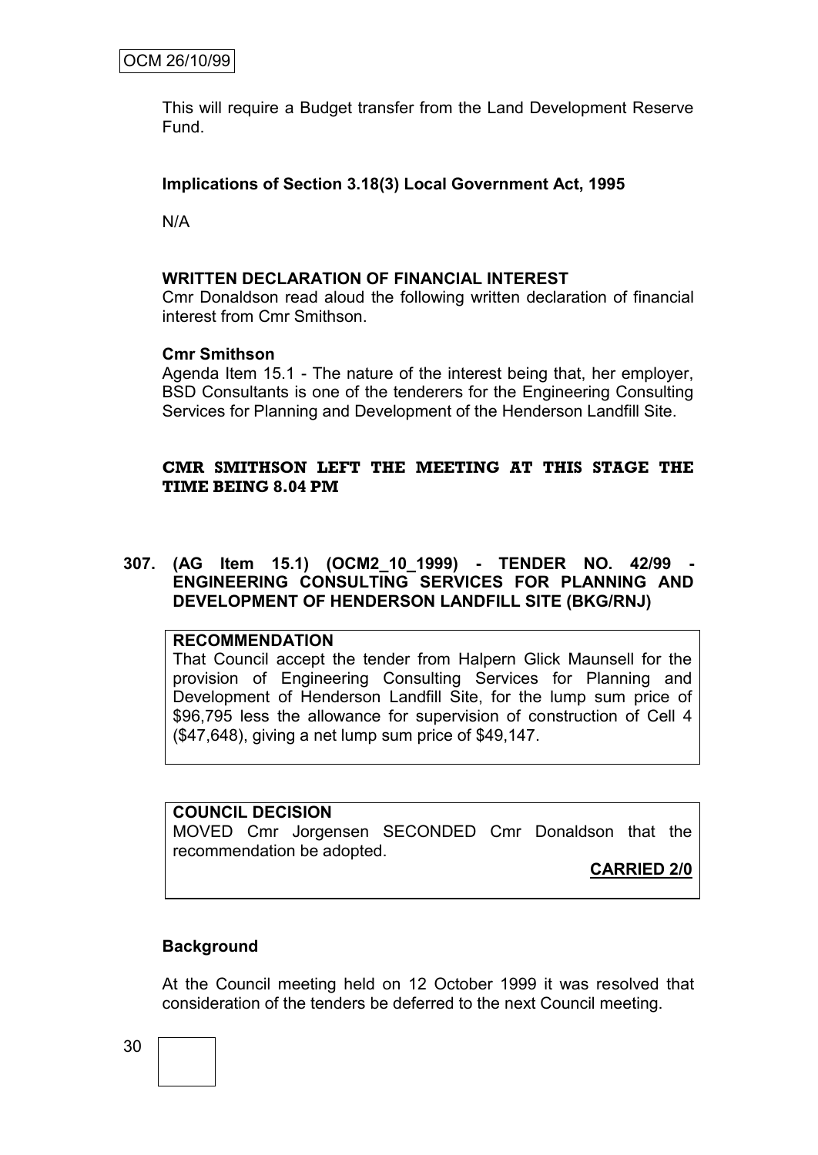This will require a Budget transfer from the Land Development Reserve Fund.

## **Implications of Section 3.18(3) Local Government Act, 1995**

N/A

### **WRITTEN DECLARATION OF FINANCIAL INTEREST**

Cmr Donaldson read aloud the following written declaration of financial interest from Cmr Smithson.

### **Cmr Smithson**

Agenda Item 15.1 - The nature of the interest being that, her employer, BSD Consultants is one of the tenderers for the Engineering Consulting Services for Planning and Development of the Henderson Landfill Site.

# **CMR SMITHSON LEFT THE MEETING AT THIS STAGE THE TIME BEING 8.04 PM**

### **307. (AG Item 15.1) (OCM2\_10\_1999) - TENDER NO. 42/99 - ENGINEERING CONSULTING SERVICES FOR PLANNING AND DEVELOPMENT OF HENDERSON LANDFILL SITE (BKG/RNJ)**

### **RECOMMENDATION**

That Council accept the tender from Halpern Glick Maunsell for the provision of Engineering Consulting Services for Planning and Development of Henderson Landfill Site, for the lump sum price of \$96,795 less the allowance for supervision of construction of Cell 4 (\$47,648), giving a net lump sum price of \$49,147.

### **COUNCIL DECISION**

MOVED Cmr Jorgensen SECONDED Cmr Donaldson that the recommendation be adopted.

**CARRIED 2/0**

### **Background**

At the Council meeting held on 12 October 1999 it was resolved that consideration of the tenders be deferred to the next Council meeting.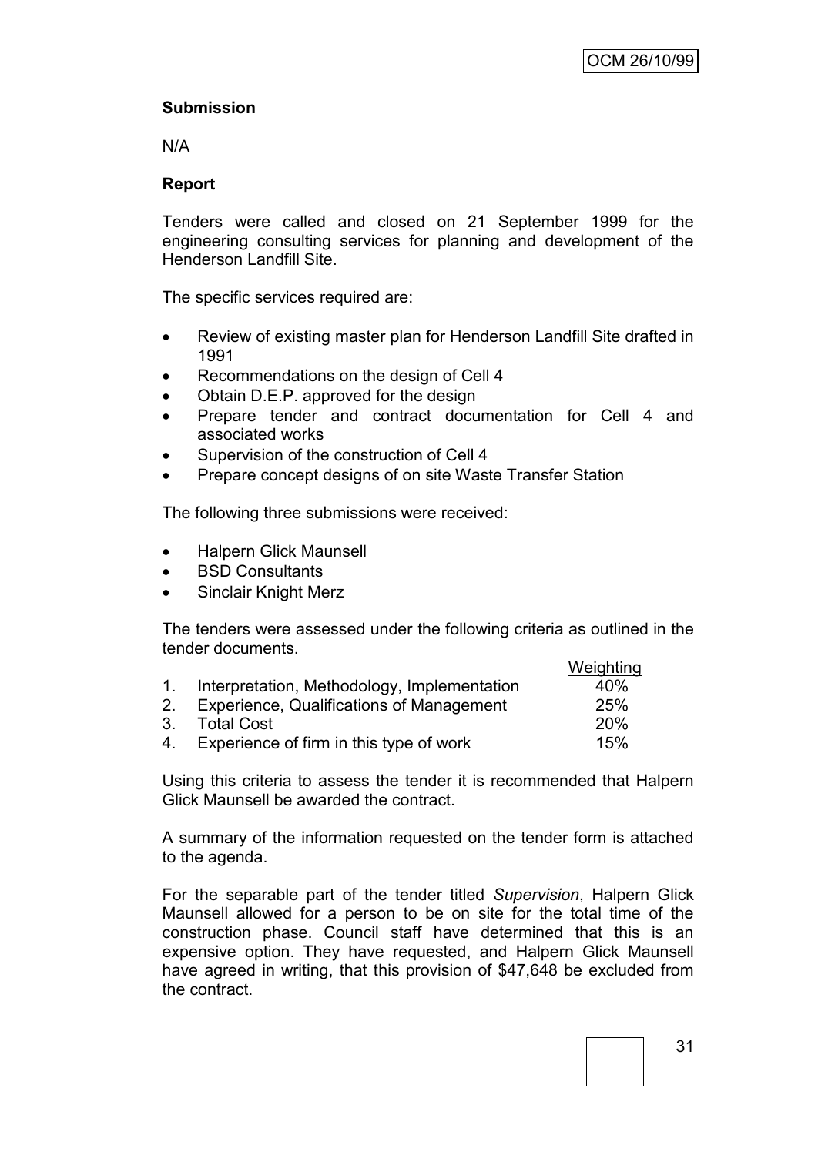# **Submission**

N/A

# **Report**

Tenders were called and closed on 21 September 1999 for the engineering consulting services for planning and development of the Henderson Landfill Site.

The specific services required are:

- Review of existing master plan for Henderson Landfill Site drafted in 1991
- Recommendations on the design of Cell 4
- Obtain D.E.P. approved for the design
- Prepare tender and contract documentation for Cell 4 and associated works
- Supervision of the construction of Cell 4
- Prepare concept designs of on site Waste Transfer Station

The following three submissions were received:

- Halpern Glick Maunsell
- BSD Consultants
- Sinclair Knight Merz

The tenders were assessed under the following criteria as outlined in the tender documents. Weighting

|    |                                                | weighting  |
|----|------------------------------------------------|------------|
|    | 1. Interpretation, Methodology, Implementation | 40%        |
|    | 2. Experience, Qualifications of Management    | 25%        |
|    | 3. Total Cost                                  | <b>20%</b> |
| 4. | Experience of firm in this type of work        | 15%        |

Using this criteria to assess the tender it is recommended that Halpern Glick Maunsell be awarded the contract.

A summary of the information requested on the tender form is attached to the agenda.

For the separable part of the tender titled *Supervision*, Halpern Glick Maunsell allowed for a person to be on site for the total time of the construction phase. Council staff have determined that this is an expensive option. They have requested, and Halpern Glick Maunsell have agreed in writing, that this provision of \$47,648 be excluded from the contract.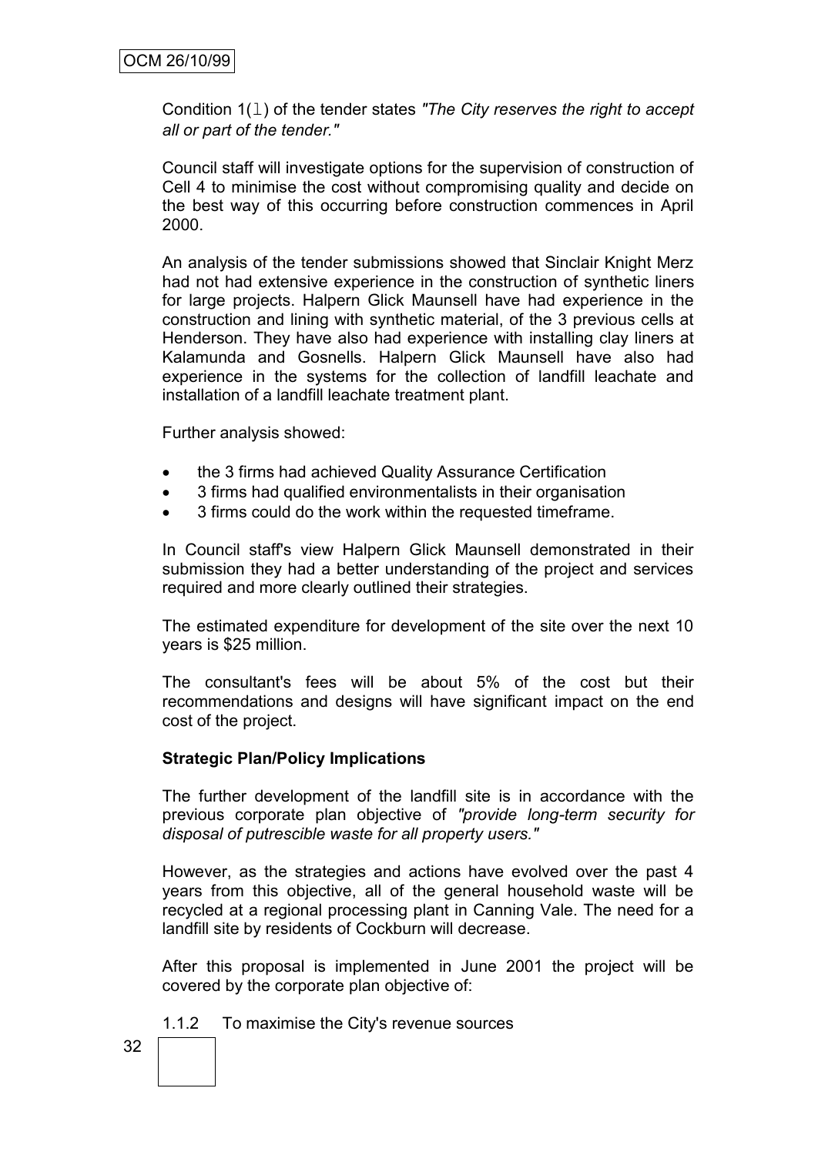Condition 1(l) of the tender states *"The City reserves the right to accept all or part of the tender."*

Council staff will investigate options for the supervision of construction of Cell 4 to minimise the cost without compromising quality and decide on the best way of this occurring before construction commences in April 2000.

An analysis of the tender submissions showed that Sinclair Knight Merz had not had extensive experience in the construction of synthetic liners for large projects. Halpern Glick Maunsell have had experience in the construction and lining with synthetic material, of the 3 previous cells at Henderson. They have also had experience with installing clay liners at Kalamunda and Gosnells. Halpern Glick Maunsell have also had experience in the systems for the collection of landfill leachate and installation of a landfill leachate treatment plant.

Further analysis showed:

- the 3 firms had achieved Quality Assurance Certification
- 3 firms had qualified environmentalists in their organisation
- 3 firms could do the work within the requested timeframe.

In Council staff's view Halpern Glick Maunsell demonstrated in their submission they had a better understanding of the project and services required and more clearly outlined their strategies.

The estimated expenditure for development of the site over the next 10 years is \$25 million.

The consultant's fees will be about 5% of the cost but their recommendations and designs will have significant impact on the end cost of the project.

### **Strategic Plan/Policy Implications**

The further development of the landfill site is in accordance with the previous corporate plan objective of *"provide long-term security for disposal of putrescible waste for all property users."*

However, as the strategies and actions have evolved over the past 4 years from this objective, all of the general household waste will be recycled at a regional processing plant in Canning Vale. The need for a landfill site by residents of Cockburn will decrease.

After this proposal is implemented in June 2001 the project will be covered by the corporate plan objective of:

1.1.2 To maximise the City's revenue sources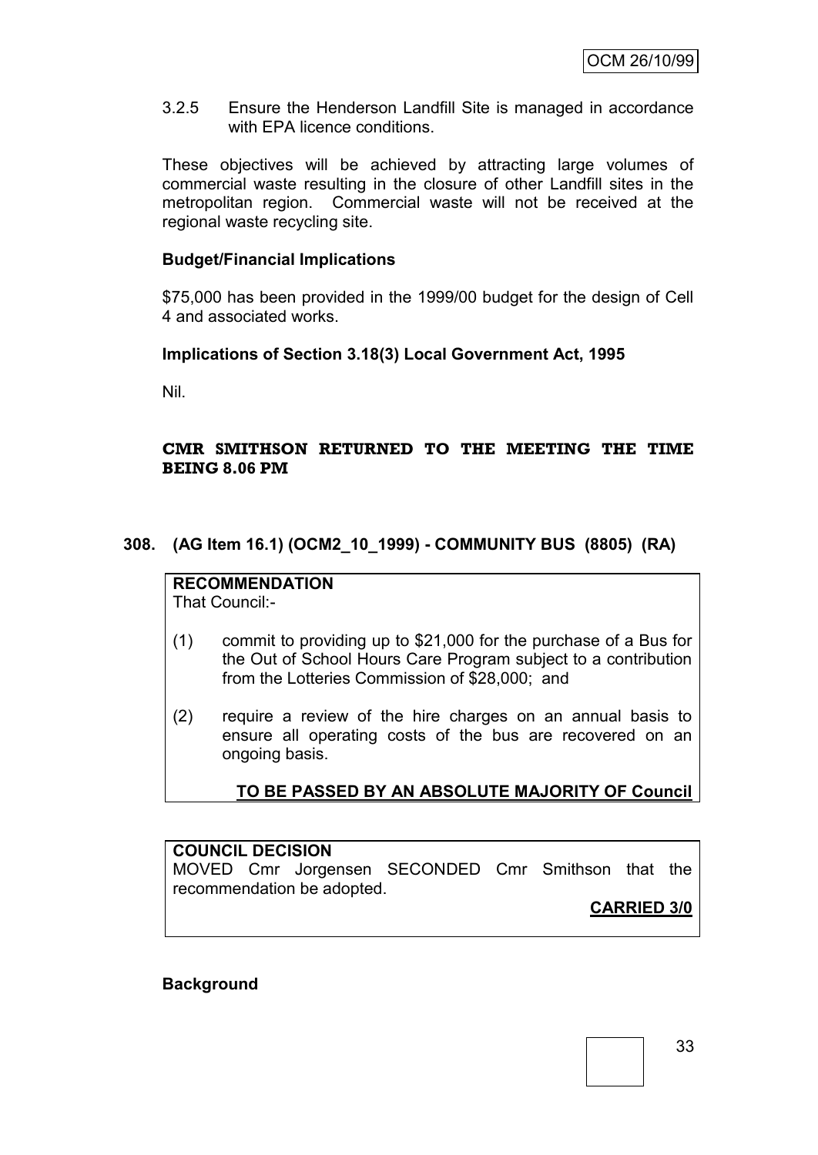3.2.5 Ensure the Henderson Landfill Site is managed in accordance with EPA licence conditions.

These objectives will be achieved by attracting large volumes of commercial waste resulting in the closure of other Landfill sites in the metropolitan region. Commercial waste will not be received at the regional waste recycling site.

### **Budget/Financial Implications**

\$75,000 has been provided in the 1999/00 budget for the design of Cell 4 and associated works.

### **Implications of Section 3.18(3) Local Government Act, 1995**

Nil.

### **CMR SMITHSON RETURNED TO THE MEETING THE TIME BEING 8.06 PM**

### **308. (AG Item 16.1) (OCM2\_10\_1999) - COMMUNITY BUS (8805) (RA)**

# **RECOMMENDATION**

That Council:-

- (1) commit to providing up to \$21,000 for the purchase of a Bus for the Out of School Hours Care Program subject to a contribution from the Lotteries Commission of \$28,000; and
- (2) require a review of the hire charges on an annual basis to ensure all operating costs of the bus are recovered on an ongoing basis.

**TO BE PASSED BY AN ABSOLUTE MAJORITY OF Council**

# **COUNCIL DECISION**

MOVED Cmr Jorgensen SECONDED Cmr Smithson that the recommendation be adopted.

**CARRIED 3/0**

**Background**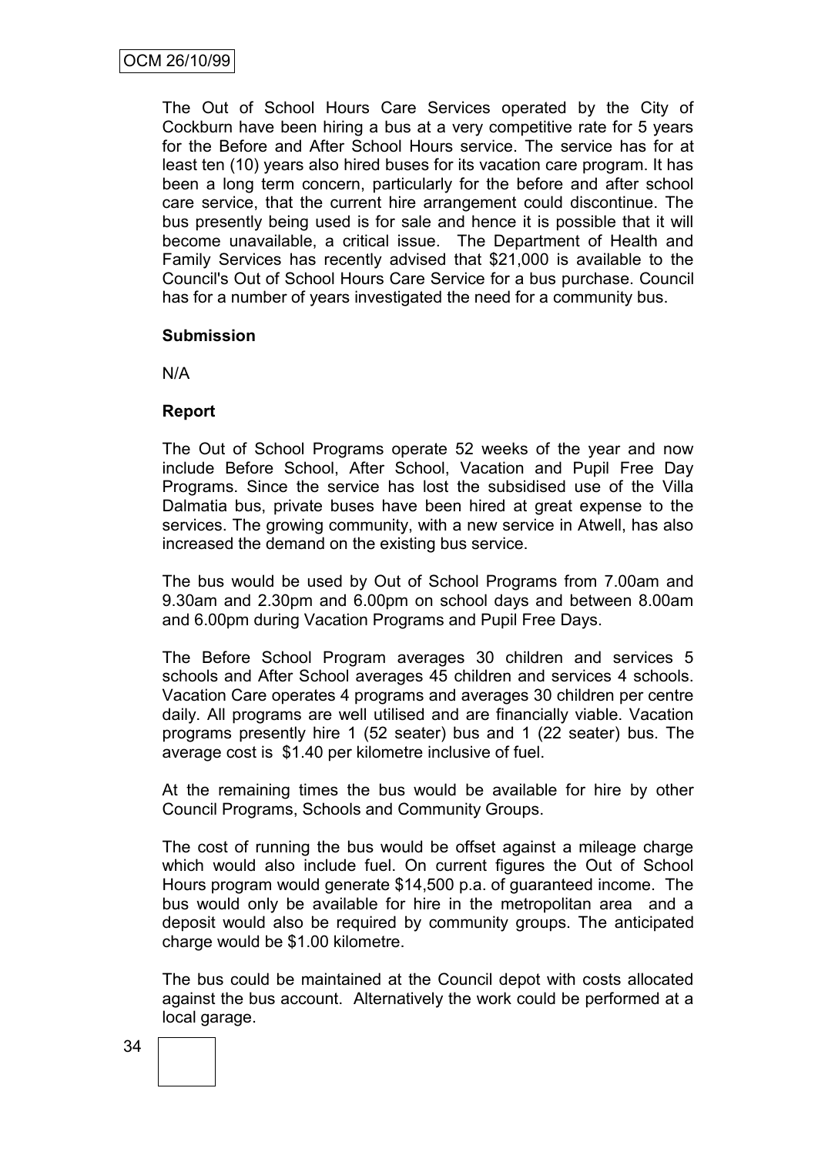The Out of School Hours Care Services operated by the City of Cockburn have been hiring a bus at a very competitive rate for 5 years for the Before and After School Hours service. The service has for at least ten (10) years also hired buses for its vacation care program. It has been a long term concern, particularly for the before and after school care service, that the current hire arrangement could discontinue. The bus presently being used is for sale and hence it is possible that it will become unavailable, a critical issue. The Department of Health and Family Services has recently advised that \$21,000 is available to the Council's Out of School Hours Care Service for a bus purchase. Council has for a number of years investigated the need for a community bus.

### **Submission**

N/A

### **Report**

The Out of School Programs operate 52 weeks of the year and now include Before School, After School, Vacation and Pupil Free Day Programs. Since the service has lost the subsidised use of the Villa Dalmatia bus, private buses have been hired at great expense to the services. The growing community, with a new service in Atwell, has also increased the demand on the existing bus service.

The bus would be used by Out of School Programs from 7.00am and 9.30am and 2.30pm and 6.00pm on school days and between 8.00am and 6.00pm during Vacation Programs and Pupil Free Days.

The Before School Program averages 30 children and services 5 schools and After School averages 45 children and services 4 schools. Vacation Care operates 4 programs and averages 30 children per centre daily. All programs are well utilised and are financially viable. Vacation programs presently hire 1 (52 seater) bus and 1 (22 seater) bus. The average cost is \$1.40 per kilometre inclusive of fuel.

At the remaining times the bus would be available for hire by other Council Programs, Schools and Community Groups.

The cost of running the bus would be offset against a mileage charge which would also include fuel. On current figures the Out of School Hours program would generate \$14,500 p.a. of guaranteed income. The bus would only be available for hire in the metropolitan area and a deposit would also be required by community groups. The anticipated charge would be \$1.00 kilometre.

The bus could be maintained at the Council depot with costs allocated against the bus account. Alternatively the work could be performed at a local garage.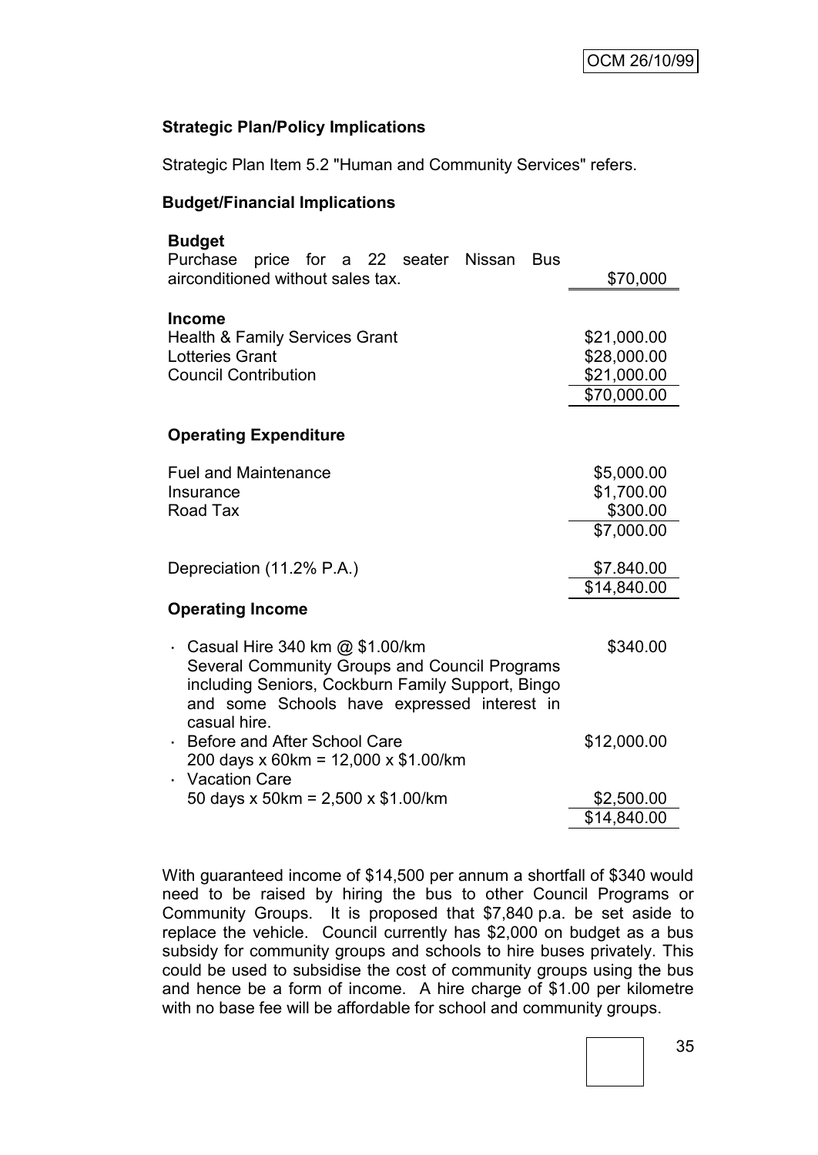# **Strategic Plan/Policy Implications**

Strategic Plan Item 5.2 "Human and Community Services" refers.

### **Budget/Financial Implications**

| <b>Budget</b>                                                                                                                        |             |
|--------------------------------------------------------------------------------------------------------------------------------------|-------------|
| Purchase<br>price for a 22 seater Nissan<br><b>Bus</b><br>airconditioned without sales tax.                                          | \$70,000    |
| <b>Income</b>                                                                                                                        |             |
| <b>Health &amp; Family Services Grant</b>                                                                                            | \$21,000.00 |
| <b>Lotteries Grant</b>                                                                                                               | \$28,000.00 |
| <b>Council Contribution</b>                                                                                                          | \$21,000.00 |
|                                                                                                                                      | \$70,000.00 |
| <b>Operating Expenditure</b>                                                                                                         |             |
|                                                                                                                                      |             |
| <b>Fuel and Maintenance</b>                                                                                                          | \$5,000.00  |
| Insurance                                                                                                                            | \$1,700.00  |
| Road Tax                                                                                                                             | \$300.00    |
|                                                                                                                                      | \$7,000.00  |
| Depreciation (11.2% P.A.)                                                                                                            | \$7.840.00  |
|                                                                                                                                      | \$14,840.00 |
| <b>Operating Income</b>                                                                                                              |             |
| Casual Hire 340 km @ \$1.00/km<br>Several Community Groups and Council Programs<br>including Seniors, Cockburn Family Support, Bingo | \$340.00    |
| and some Schools have expressed interest in<br>casual hire.                                                                          |             |
| Before and After School Care                                                                                                         | \$12,000.00 |
| 200 days x 60km = 12,000 x \$1.00/km                                                                                                 |             |
| <b>Vacation Care</b>                                                                                                                 |             |
| 50 days x 50km = 2,500 x \$1.00/km                                                                                                   | \$2,500.00  |
|                                                                                                                                      | \$14,840.00 |

With guaranteed income of \$14,500 per annum a shortfall of \$340 would need to be raised by hiring the bus to other Council Programs or Community Groups. It is proposed that \$7,840 p.a. be set aside to replace the vehicle. Council currently has \$2,000 on budget as a bus subsidy for community groups and schools to hire buses privately. This could be used to subsidise the cost of community groups using the bus and hence be a form of income. A hire charge of \$1.00 per kilometre with no base fee will be affordable for school and community groups.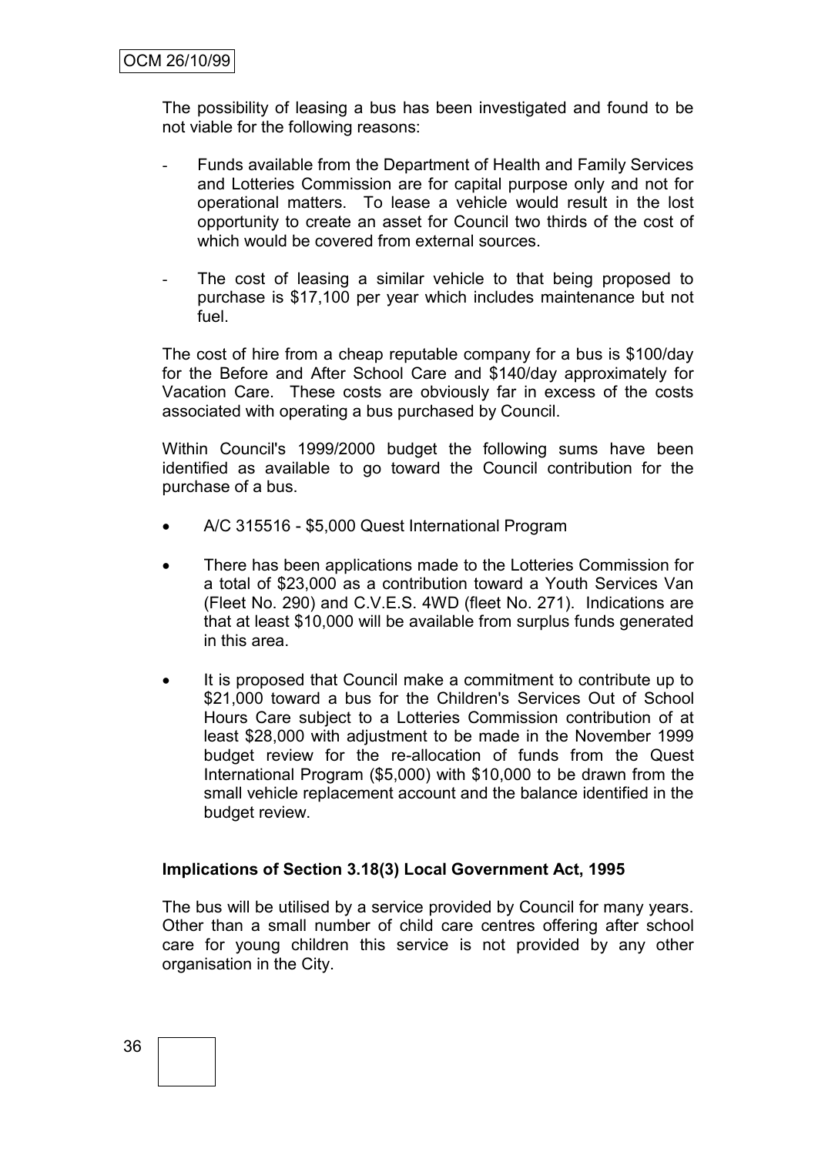The possibility of leasing a bus has been investigated and found to be not viable for the following reasons:

- Funds available from the Department of Health and Family Services and Lotteries Commission are for capital purpose only and not for operational matters. To lease a vehicle would result in the lost opportunity to create an asset for Council two thirds of the cost of which would be covered from external sources.
- The cost of leasing a similar vehicle to that being proposed to purchase is \$17,100 per year which includes maintenance but not fuel.

The cost of hire from a cheap reputable company for a bus is \$100/day for the Before and After School Care and \$140/day approximately for Vacation Care. These costs are obviously far in excess of the costs associated with operating a bus purchased by Council.

Within Council's 1999/2000 budget the following sums have been identified as available to go toward the Council contribution for the purchase of a bus.

- A/C 315516 \$5,000 Quest International Program
- There has been applications made to the Lotteries Commission for a total of \$23,000 as a contribution toward a Youth Services Van (Fleet No. 290) and C.V.E.S. 4WD (fleet No. 271). Indications are that at least \$10,000 will be available from surplus funds generated in this area.
- It is proposed that Council make a commitment to contribute up to \$21,000 toward a bus for the Children's Services Out of School Hours Care subject to a Lotteries Commission contribution of at least \$28,000 with adjustment to be made in the November 1999 budget review for the re-allocation of funds from the Quest International Program (\$5,000) with \$10,000 to be drawn from the small vehicle replacement account and the balance identified in the budget review.

### **Implications of Section 3.18(3) Local Government Act, 1995**

The bus will be utilised by a service provided by Council for many years. Other than a small number of child care centres offering after school care for young children this service is not provided by any other organisation in the City.

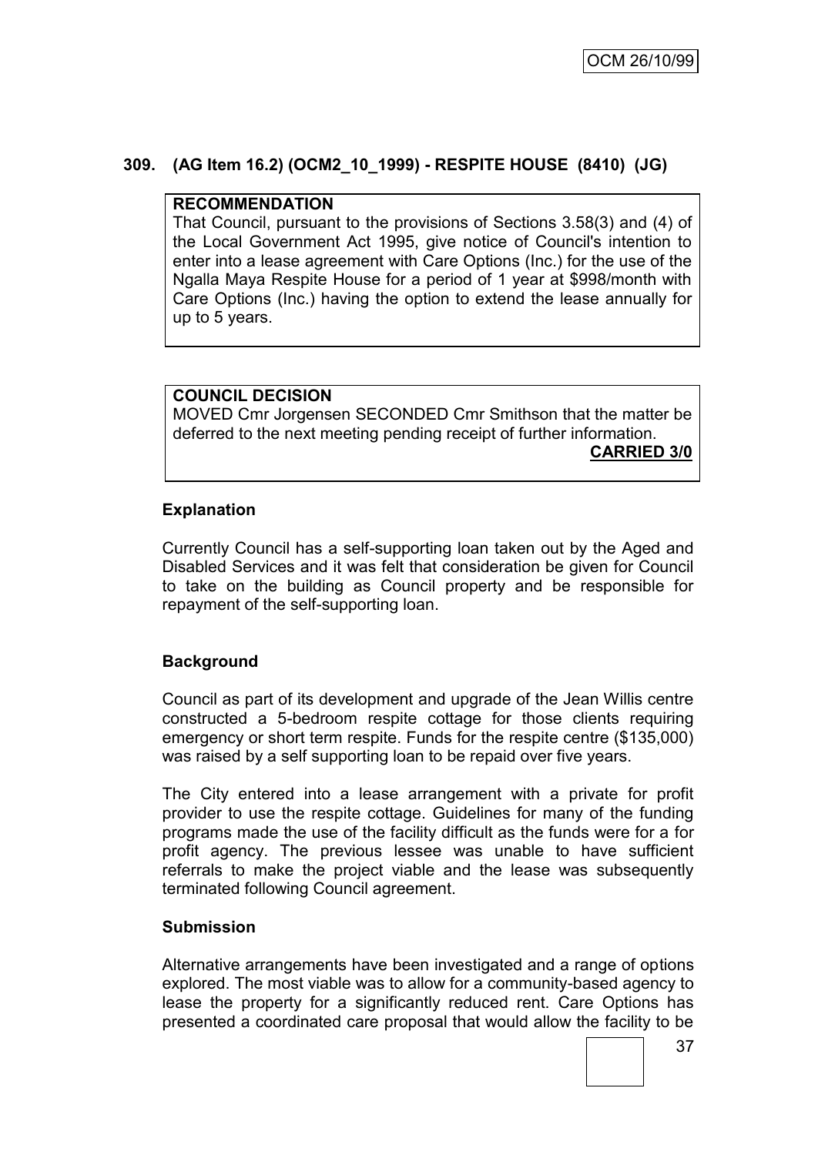# **309. (AG Item 16.2) (OCM2\_10\_1999) - RESPITE HOUSE (8410) (JG)**

### **RECOMMENDATION**

That Council, pursuant to the provisions of Sections 3.58(3) and (4) of the Local Government Act 1995, give notice of Council's intention to enter into a lease agreement with Care Options (Inc.) for the use of the Ngalla Maya Respite House for a period of 1 year at \$998/month with Care Options (Inc.) having the option to extend the lease annually for up to 5 years.

# **COUNCIL DECISION**

MOVED Cmr Jorgensen SECONDED Cmr Smithson that the matter be deferred to the next meeting pending receipt of further information. **CARRIED 3/0**

# **Explanation**

Currently Council has a self-supporting loan taken out by the Aged and Disabled Services and it was felt that consideration be given for Council to take on the building as Council property and be responsible for repayment of the self-supporting loan.

# **Background**

Council as part of its development and upgrade of the Jean Willis centre constructed a 5-bedroom respite cottage for those clients requiring emergency or short term respite. Funds for the respite centre (\$135,000) was raised by a self supporting loan to be repaid over five years.

The City entered into a lease arrangement with a private for profit provider to use the respite cottage. Guidelines for many of the funding programs made the use of the facility difficult as the funds were for a for profit agency. The previous lessee was unable to have sufficient referrals to make the project viable and the lease was subsequently terminated following Council agreement.

### **Submission**

Alternative arrangements have been investigated and a range of options explored. The most viable was to allow for a community-based agency to lease the property for a significantly reduced rent. Care Options has presented a coordinated care proposal that would allow the facility to be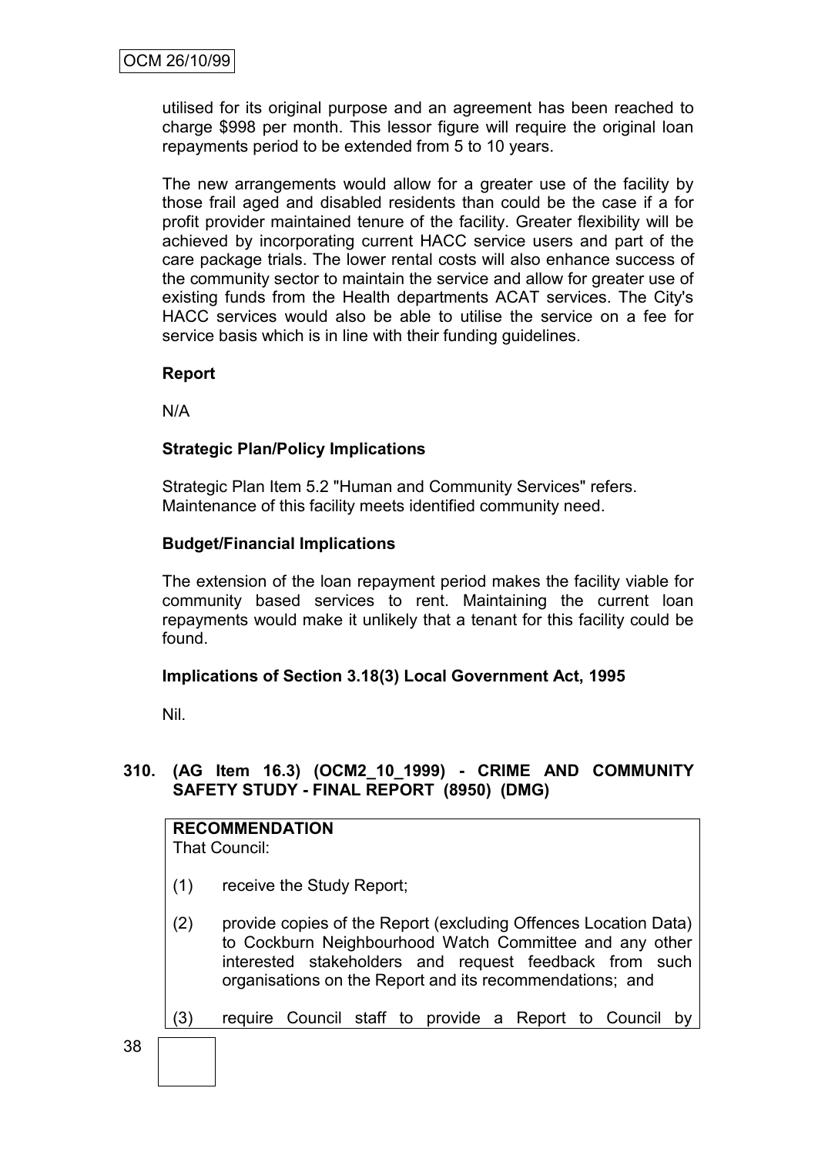utilised for its original purpose and an agreement has been reached to charge \$998 per month. This lessor figure will require the original loan repayments period to be extended from 5 to 10 years.

The new arrangements would allow for a greater use of the facility by those frail aged and disabled residents than could be the case if a for profit provider maintained tenure of the facility. Greater flexibility will be achieved by incorporating current HACC service users and part of the care package trials. The lower rental costs will also enhance success of the community sector to maintain the service and allow for greater use of existing funds from the Health departments ACAT services. The City's HACC services would also be able to utilise the service on a fee for service basis which is in line with their funding guidelines.

# **Report**

N/A

# **Strategic Plan/Policy Implications**

Strategic Plan Item 5.2 "Human and Community Services" refers. Maintenance of this facility meets identified community need.

### **Budget/Financial Implications**

The extension of the loan repayment period makes the facility viable for community based services to rent. Maintaining the current loan repayments would make it unlikely that a tenant for this facility could be found.

### **Implications of Section 3.18(3) Local Government Act, 1995**

Nil.

# **310. (AG Item 16.3) (OCM2\_10\_1999) - CRIME AND COMMUNITY SAFETY STUDY - FINAL REPORT (8950) (DMG)**

| <b>RECOMMENDATION</b> |  |
|-----------------------|--|
| That Council:         |  |

- (1) receive the Study Report;
- (2) provide copies of the Report (excluding Offences Location Data) to Cockburn Neighbourhood Watch Committee and any other interested stakeholders and request feedback from such organisations on the Report and its recommendations; and
- (3) require Council staff to provide a Report to Council by

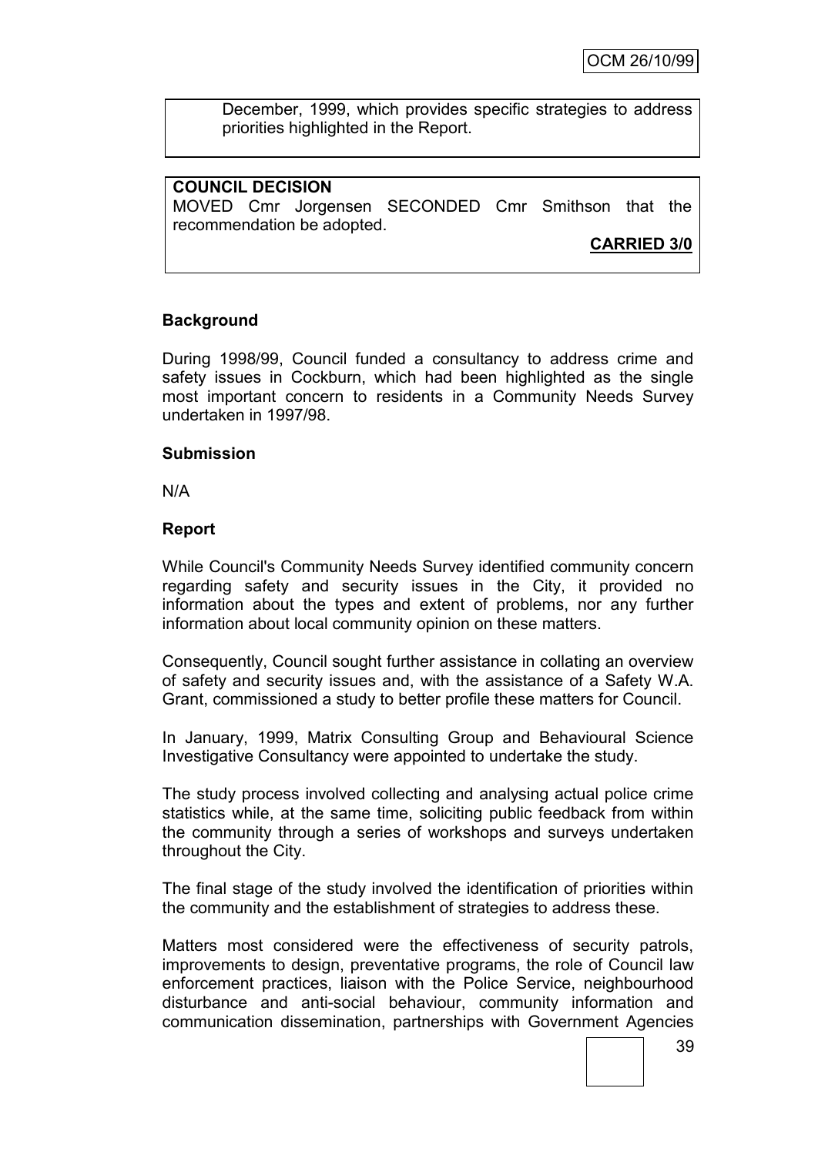December, 1999, which provides specific strategies to address priorities highlighted in the Report.

### **COUNCIL DECISION**

MOVED Cmr Jorgensen SECONDED Cmr Smithson that the recommendation be adopted.

**CARRIED 3/0**

### **Background**

During 1998/99, Council funded a consultancy to address crime and safety issues in Cockburn, which had been highlighted as the single most important concern to residents in a Community Needs Survey undertaken in 1997/98.

### **Submission**

N/A

### **Report**

While Council's Community Needs Survey identified community concern regarding safety and security issues in the City, it provided no information about the types and extent of problems, nor any further information about local community opinion on these matters.

Consequently, Council sought further assistance in collating an overview of safety and security issues and, with the assistance of a Safety W.A. Grant, commissioned a study to better profile these matters for Council.

In January, 1999, Matrix Consulting Group and Behavioural Science Investigative Consultancy were appointed to undertake the study.

The study process involved collecting and analysing actual police crime statistics while, at the same time, soliciting public feedback from within the community through a series of workshops and surveys undertaken throughout the City.

The final stage of the study involved the identification of priorities within the community and the establishment of strategies to address these.

Matters most considered were the effectiveness of security patrols, improvements to design, preventative programs, the role of Council law enforcement practices, liaison with the Police Service, neighbourhood disturbance and anti-social behaviour, community information and communication dissemination, partnerships with Government Agencies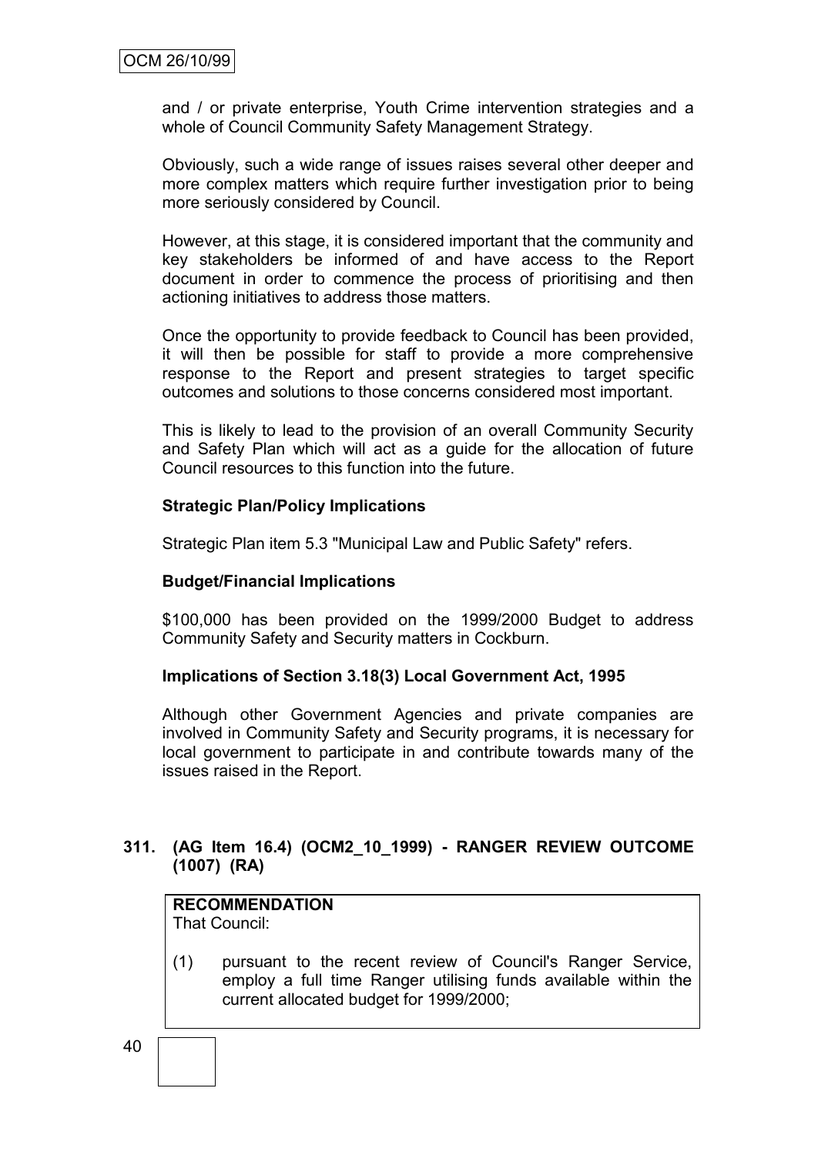and / or private enterprise, Youth Crime intervention strategies and a whole of Council Community Safety Management Strategy.

Obviously, such a wide range of issues raises several other deeper and more complex matters which require further investigation prior to being more seriously considered by Council.

However, at this stage, it is considered important that the community and key stakeholders be informed of and have access to the Report document in order to commence the process of prioritising and then actioning initiatives to address those matters.

Once the opportunity to provide feedback to Council has been provided, it will then be possible for staff to provide a more comprehensive response to the Report and present strategies to target specific outcomes and solutions to those concerns considered most important.

This is likely to lead to the provision of an overall Community Security and Safety Plan which will act as a guide for the allocation of future Council resources to this function into the future.

### **Strategic Plan/Policy Implications**

Strategic Plan item 5.3 "Municipal Law and Public Safety" refers.

### **Budget/Financial Implications**

\$100,000 has been provided on the 1999/2000 Budget to address Community Safety and Security matters in Cockburn.

### **Implications of Section 3.18(3) Local Government Act, 1995**

Although other Government Agencies and private companies are involved in Community Safety and Security programs, it is necessary for local government to participate in and contribute towards many of the issues raised in the Report.

### **311. (AG Item 16.4) (OCM2\_10\_1999) - RANGER REVIEW OUTCOME (1007) (RA)**

## **RECOMMENDATION**

That Council:

(1) pursuant to the recent review of Council's Ranger Service, employ a full time Ranger utilising funds available within the current allocated budget for 1999/2000;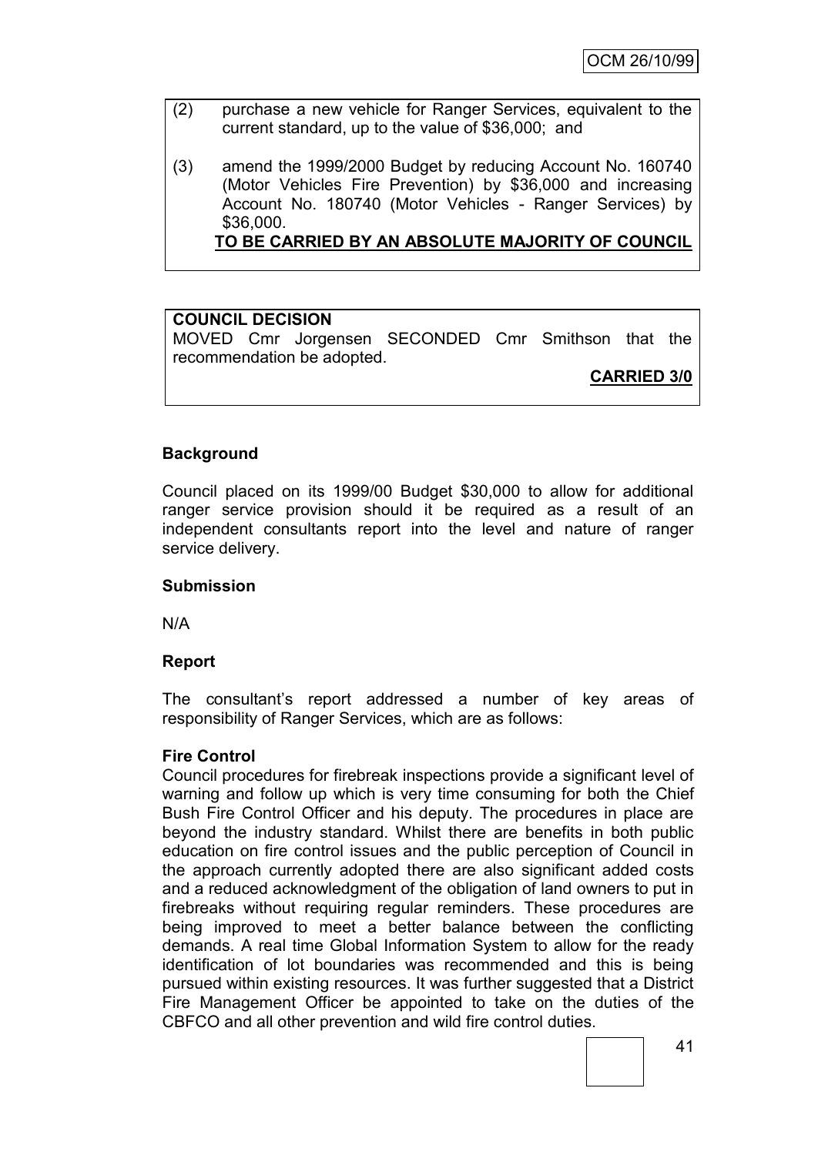- (2) purchase a new vehicle for Ranger Services, equivalent to the current standard, up to the value of \$36,000; and
- (3) amend the 1999/2000 Budget by reducing Account No. 160740 (Motor Vehicles Fire Prevention) by \$36,000 and increasing Account No. 180740 (Motor Vehicles - Ranger Services) by \$36,000.

**TO BE CARRIED BY AN ABSOLUTE MAJORITY OF COUNCIL**

### **COUNCIL DECISION**

MOVED Cmr Jorgensen SECONDED Cmr Smithson that the recommendation be adopted.

**CARRIED 3/0**

### **Background**

Council placed on its 1999/00 Budget \$30,000 to allow for additional ranger service provision should it be required as a result of an independent consultants report into the level and nature of ranger service delivery.

### **Submission**

N/A

### **Report**

The consultant"s report addressed a number of key areas of responsibility of Ranger Services, which are as follows:

### **Fire Control**

Council procedures for firebreak inspections provide a significant level of warning and follow up which is very time consuming for both the Chief Bush Fire Control Officer and his deputy. The procedures in place are beyond the industry standard. Whilst there are benefits in both public education on fire control issues and the public perception of Council in the approach currently adopted there are also significant added costs and a reduced acknowledgment of the obligation of land owners to put in firebreaks without requiring regular reminders. These procedures are being improved to meet a better balance between the conflicting demands. A real time Global Information System to allow for the ready identification of lot boundaries was recommended and this is being pursued within existing resources. It was further suggested that a District Fire Management Officer be appointed to take on the duties of the CBFCO and all other prevention and wild fire control duties.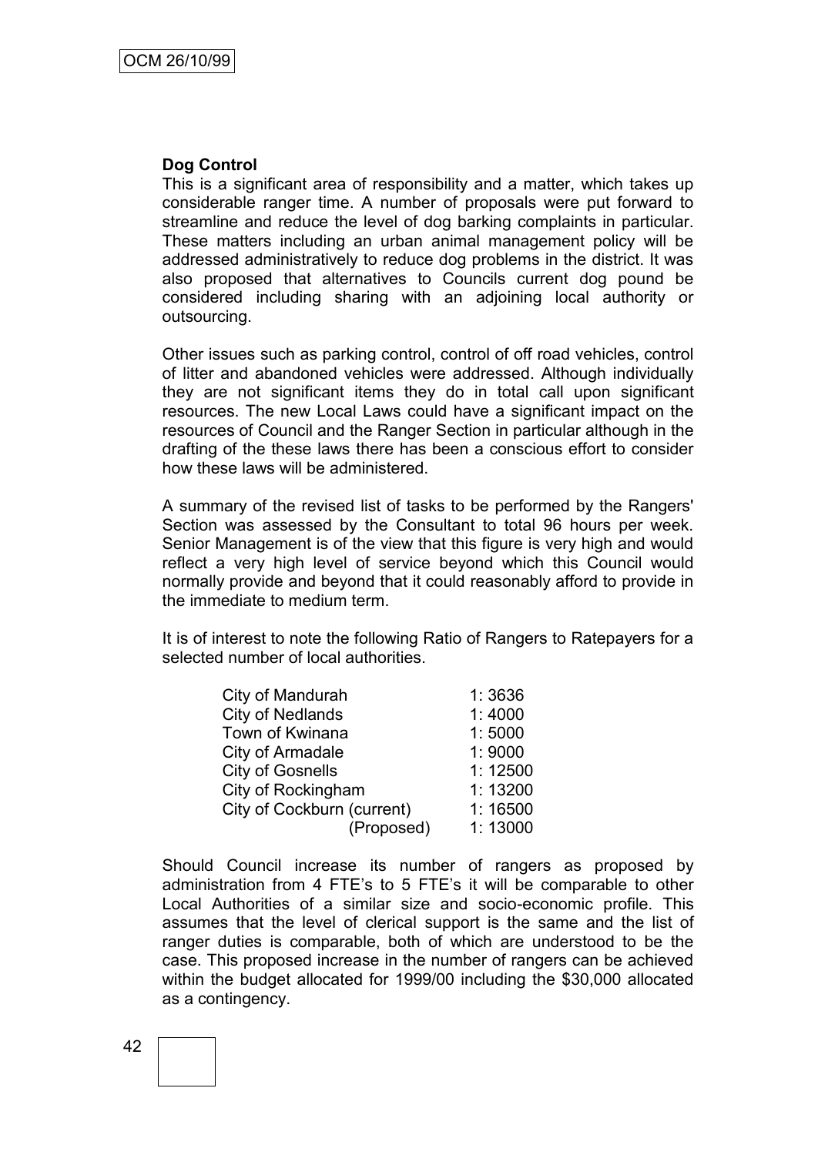### **Dog Control**

This is a significant area of responsibility and a matter, which takes up considerable ranger time. A number of proposals were put forward to streamline and reduce the level of dog barking complaints in particular. These matters including an urban animal management policy will be addressed administratively to reduce dog problems in the district. It was also proposed that alternatives to Councils current dog pound be considered including sharing with an adjoining local authority or outsourcing.

Other issues such as parking control, control of off road vehicles, control of litter and abandoned vehicles were addressed. Although individually they are not significant items they do in total call upon significant resources. The new Local Laws could have a significant impact on the resources of Council and the Ranger Section in particular although in the drafting of the these laws there has been a conscious effort to consider how these laws will be administered.

A summary of the revised list of tasks to be performed by the Rangers' Section was assessed by the Consultant to total 96 hours per week. Senior Management is of the view that this figure is very high and would reflect a very high level of service beyond which this Council would normally provide and beyond that it could reasonably afford to provide in the immediate to medium term.

It is of interest to note the following Ratio of Rangers to Ratepayers for a selected number of local authorities.

| City of Mandurah           | 1:3636  |
|----------------------------|---------|
| <b>City of Nedlands</b>    | 1:4000  |
| Town of Kwinana            | 1:5000  |
| City of Armadale           | 1:9000  |
| <b>City of Gosnells</b>    | 1:12500 |
| City of Rockingham         | 1:13200 |
| City of Cockburn (current) | 1:16500 |
| (Proposed)                 | 1:13000 |

Should Council increase its number of rangers as proposed by administration from 4 FTE"s to 5 FTE"s it will be comparable to other Local Authorities of a similar size and socio-economic profile. This assumes that the level of clerical support is the same and the list of ranger duties is comparable, both of which are understood to be the case. This proposed increase in the number of rangers can be achieved within the budget allocated for 1999/00 including the \$30,000 allocated as a contingency.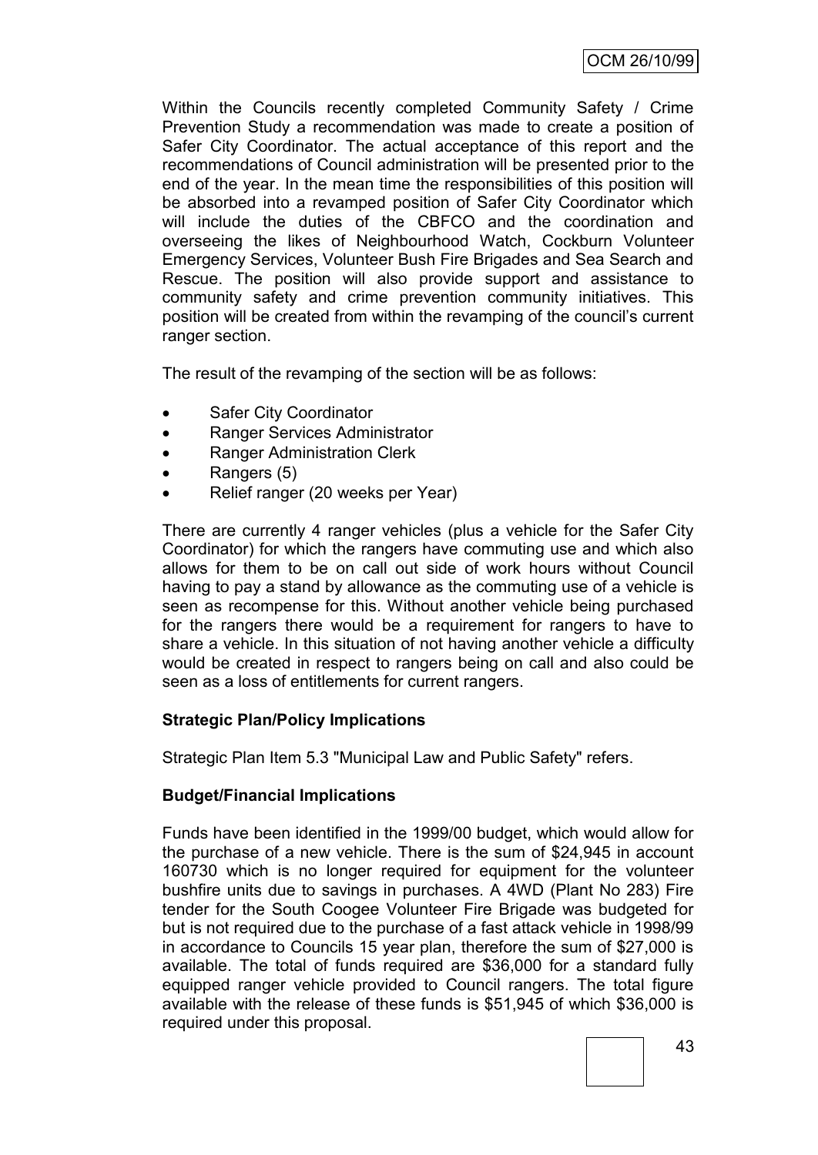Within the Councils recently completed Community Safety / Crime Prevention Study a recommendation was made to create a position of Safer City Coordinator. The actual acceptance of this report and the recommendations of Council administration will be presented prior to the end of the year. In the mean time the responsibilities of this position will be absorbed into a revamped position of Safer City Coordinator which will include the duties of the CBFCO and the coordination and overseeing the likes of Neighbourhood Watch, Cockburn Volunteer Emergency Services, Volunteer Bush Fire Brigades and Sea Search and Rescue. The position will also provide support and assistance to community safety and crime prevention community initiatives. This position will be created from within the revamping of the council"s current ranger section.

The result of the revamping of the section will be as follows:

- Safer City Coordinator
- Ranger Services Administrator
- Ranger Administration Clerk
- Rangers (5)
- Relief ranger (20 weeks per Year)

There are currently 4 ranger vehicles (plus a vehicle for the Safer City Coordinator) for which the rangers have commuting use and which also allows for them to be on call out side of work hours without Council having to pay a stand by allowance as the commuting use of a vehicle is seen as recompense for this. Without another vehicle being purchased for the rangers there would be a requirement for rangers to have to share a vehicle. In this situation of not having another vehicle a difficulty would be created in respect to rangers being on call and also could be seen as a loss of entitlements for current rangers.

### **Strategic Plan/Policy Implications**

Strategic Plan Item 5.3 "Municipal Law and Public Safety" refers.

### **Budget/Financial Implications**

Funds have been identified in the 1999/00 budget, which would allow for the purchase of a new vehicle. There is the sum of \$24,945 in account 160730 which is no longer required for equipment for the volunteer bushfire units due to savings in purchases. A 4WD (Plant No 283) Fire tender for the South Coogee Volunteer Fire Brigade was budgeted for but is not required due to the purchase of a fast attack vehicle in 1998/99 in accordance to Councils 15 year plan, therefore the sum of \$27,000 is available. The total of funds required are \$36,000 for a standard fully equipped ranger vehicle provided to Council rangers. The total figure available with the release of these funds is \$51,945 of which \$36,000 is required under this proposal.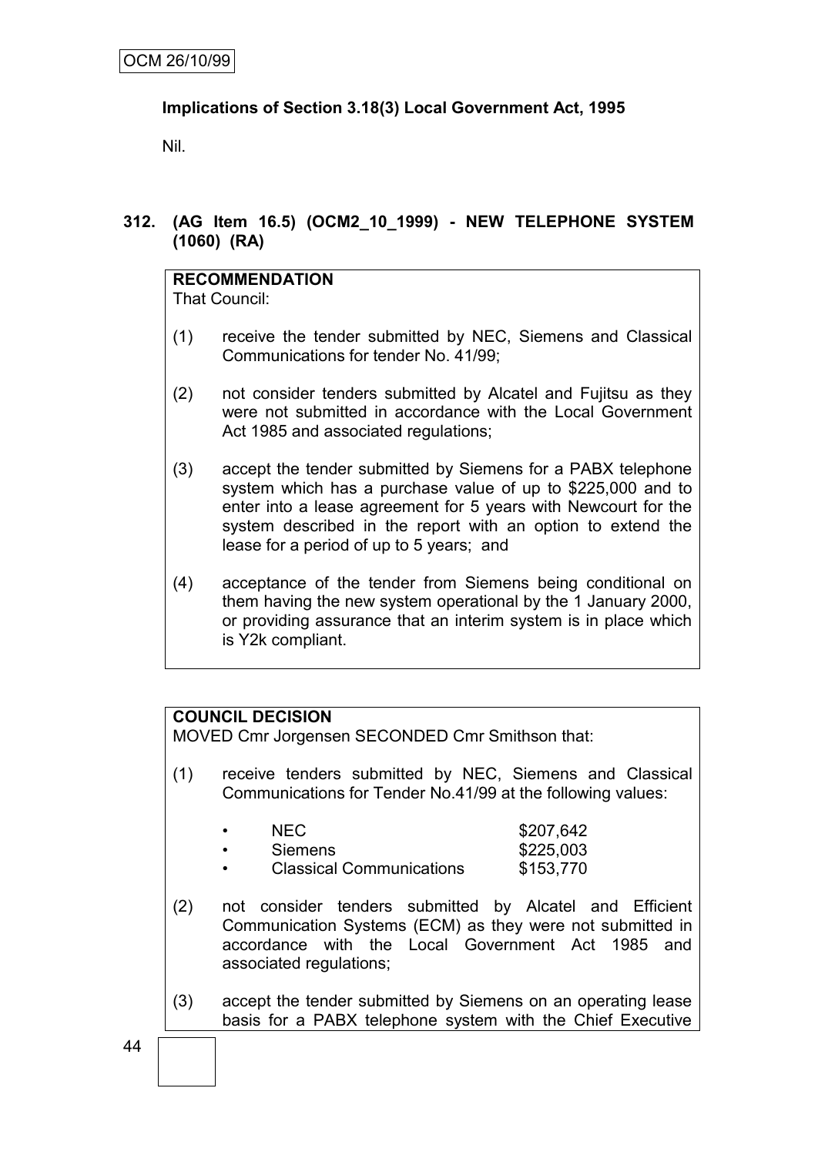# **Implications of Section 3.18(3) Local Government Act, 1995**

Nil.

# **312. (AG Item 16.5) (OCM2\_10\_1999) - NEW TELEPHONE SYSTEM (1060) (RA)**

# **RECOMMENDATION**

That Council:

- (1) receive the tender submitted by NEC, Siemens and Classical Communications for tender No. 41/99;
- (2) not consider tenders submitted by Alcatel and Fujitsu as they were not submitted in accordance with the Local Government Act 1985 and associated regulations;
- (3) accept the tender submitted by Siemens for a PABX telephone system which has a purchase value of up to \$225,000 and to enter into a lease agreement for 5 years with Newcourt for the system described in the report with an option to extend the lease for a period of up to 5 years; and
- (4) acceptance of the tender from Siemens being conditional on them having the new system operational by the 1 January 2000, or providing assurance that an interim system is in place which is Y2k compliant.

# **COUNCIL DECISION**

MOVED Cmr Jorgensen SECONDED Cmr Smithson that:

(1) receive tenders submitted by NEC, Siemens and Classical Communications for Tender No.41/99 at the following values:

| NEC.                            | \$207,642 |
|---------------------------------|-----------|
| <b>Siemens</b>                  | \$225,003 |
| <b>Classical Communications</b> | \$153.770 |

- (2) not consider tenders submitted by Alcatel and Efficient Communication Systems (ECM) as they were not submitted in accordance with the Local Government Act 1985 and associated regulations;
- (3) accept the tender submitted by Siemens on an operating lease basis for a PABX telephone system with the Chief Executive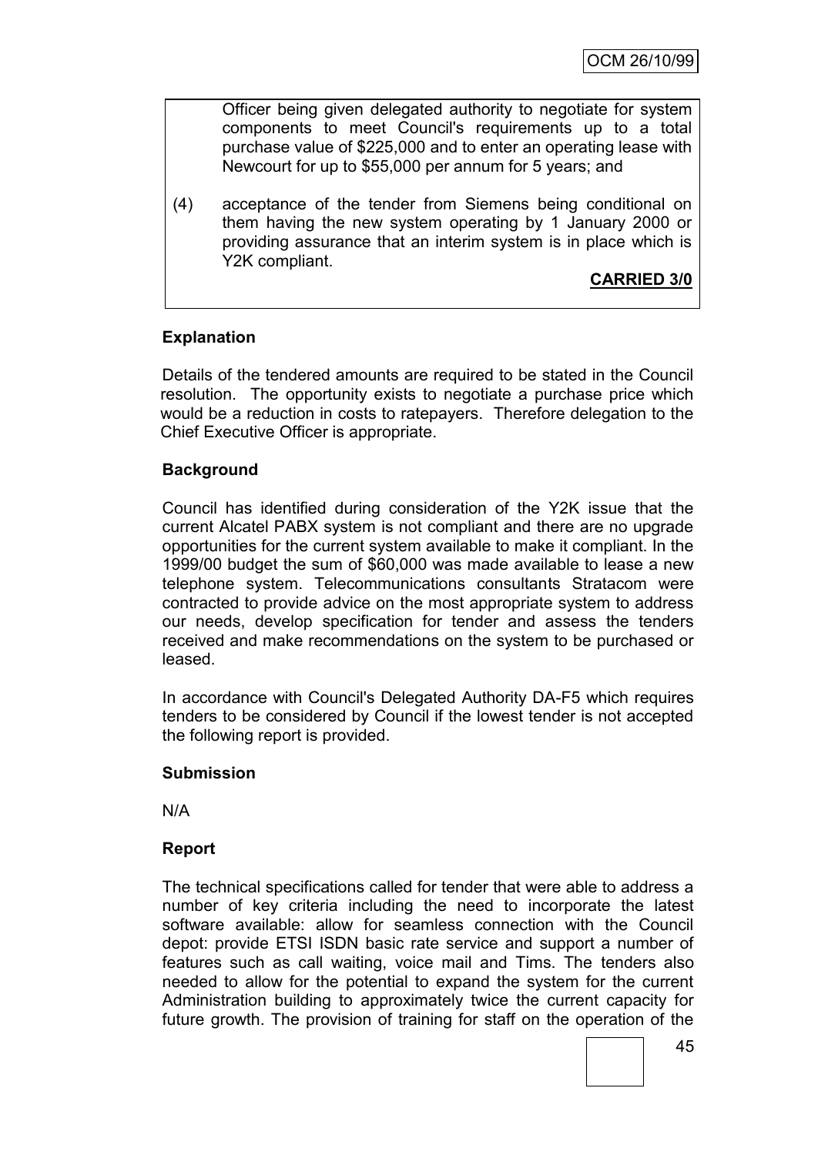Officer being given delegated authority to negotiate for system components to meet Council's requirements up to a total purchase value of \$225,000 and to enter an operating lease with Newcourt for up to \$55,000 per annum for 5 years; and

(4) acceptance of the tender from Siemens being conditional on them having the new system operating by 1 January 2000 or providing assurance that an interim system is in place which is Y2K compliant.

# **CARRIED 3/0**

# **Explanation**

Details of the tendered amounts are required to be stated in the Council resolution. The opportunity exists to negotiate a purchase price which would be a reduction in costs to ratepayers. Therefore delegation to the Chief Executive Officer is appropriate.

# **Background**

Council has identified during consideration of the Y2K issue that the current Alcatel PABX system is not compliant and there are no upgrade opportunities for the current system available to make it compliant. In the 1999/00 budget the sum of \$60,000 was made available to lease a new telephone system. Telecommunications consultants Stratacom were contracted to provide advice on the most appropriate system to address our needs, develop specification for tender and assess the tenders received and make recommendations on the system to be purchased or leased.

In accordance with Council's Delegated Authority DA-F5 which requires tenders to be considered by Council if the lowest tender is not accepted the following report is provided.

### **Submission**

N/A

### **Report**

The technical specifications called for tender that were able to address a number of key criteria including the need to incorporate the latest software available: allow for seamless connection with the Council depot: provide ETSI ISDN basic rate service and support a number of features such as call waiting, voice mail and Tims. The tenders also needed to allow for the potential to expand the system for the current Administration building to approximately twice the current capacity for future growth. The provision of training for staff on the operation of the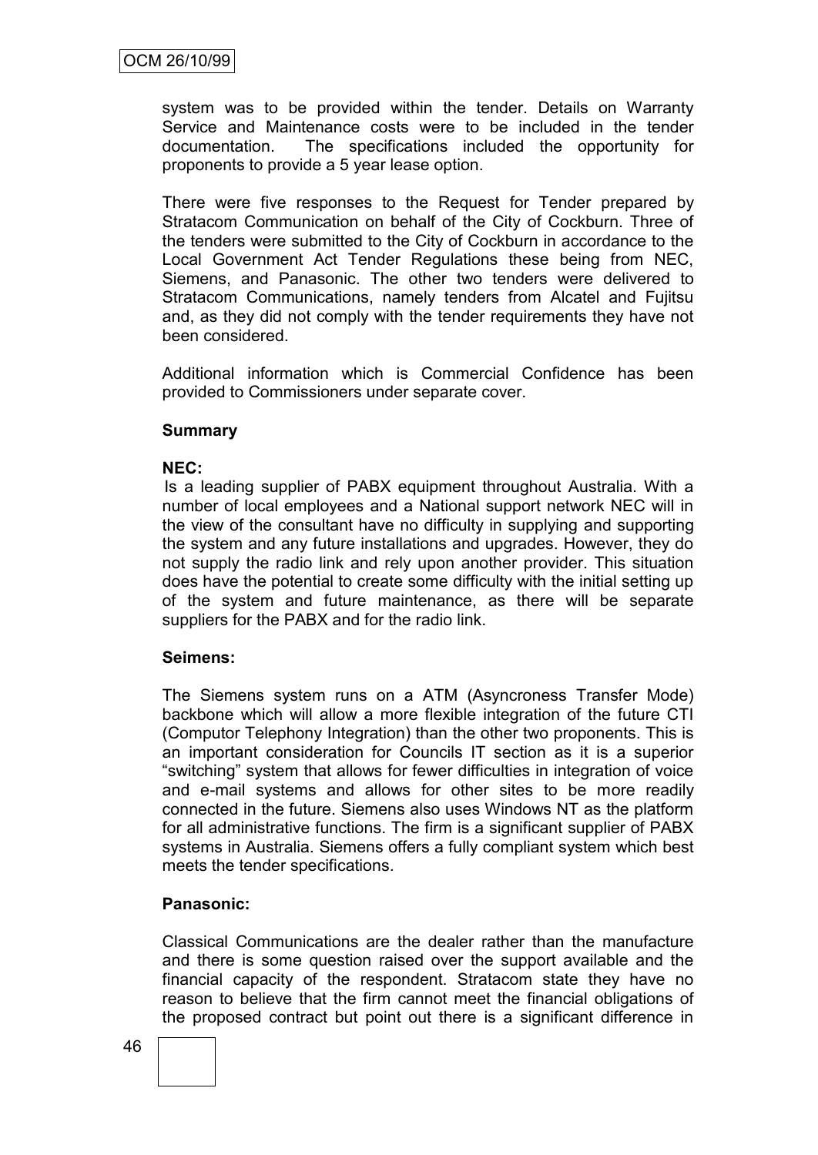system was to be provided within the tender. Details on Warranty Service and Maintenance costs were to be included in the tender documentation. The specifications included the opportunity for proponents to provide a 5 year lease option.

There were five responses to the Request for Tender prepared by Stratacom Communication on behalf of the City of Cockburn. Three of the tenders were submitted to the City of Cockburn in accordance to the Local Government Act Tender Regulations these being from NEC, Siemens, and Panasonic. The other two tenders were delivered to Stratacom Communications, namely tenders from Alcatel and Fujitsu and, as they did not comply with the tender requirements they have not been considered.

Additional information which is Commercial Confidence has been provided to Commissioners under separate cover.

### **Summary**

### **NEC:**

Is a leading supplier of PABX equipment throughout Australia. With a number of local employees and a National support network NEC will in the view of the consultant have no difficulty in supplying and supporting the system and any future installations and upgrades. However, they do not supply the radio link and rely upon another provider. This situation does have the potential to create some difficulty with the initial setting up of the system and future maintenance, as there will be separate suppliers for the PABX and for the radio link.

### **Seimens:**

The Siemens system runs on a ATM (Asyncroness Transfer Mode) backbone which will allow a more flexible integration of the future CTI (Computor Telephony Integration) than the other two proponents. This is an important consideration for Councils IT section as it is a superior "switching" system that allows for fewer difficulties in integration of voice and e-mail systems and allows for other sites to be more readily connected in the future. Siemens also uses Windows NT as the platform for all administrative functions. The firm is a significant supplier of PABX systems in Australia. Siemens offers a fully compliant system which best meets the tender specifications.

### **Panasonic:**

Classical Communications are the dealer rather than the manufacture and there is some question raised over the support available and the financial capacity of the respondent. Stratacom state they have no reason to believe that the firm cannot meet the financial obligations of the proposed contract but point out there is a significant difference in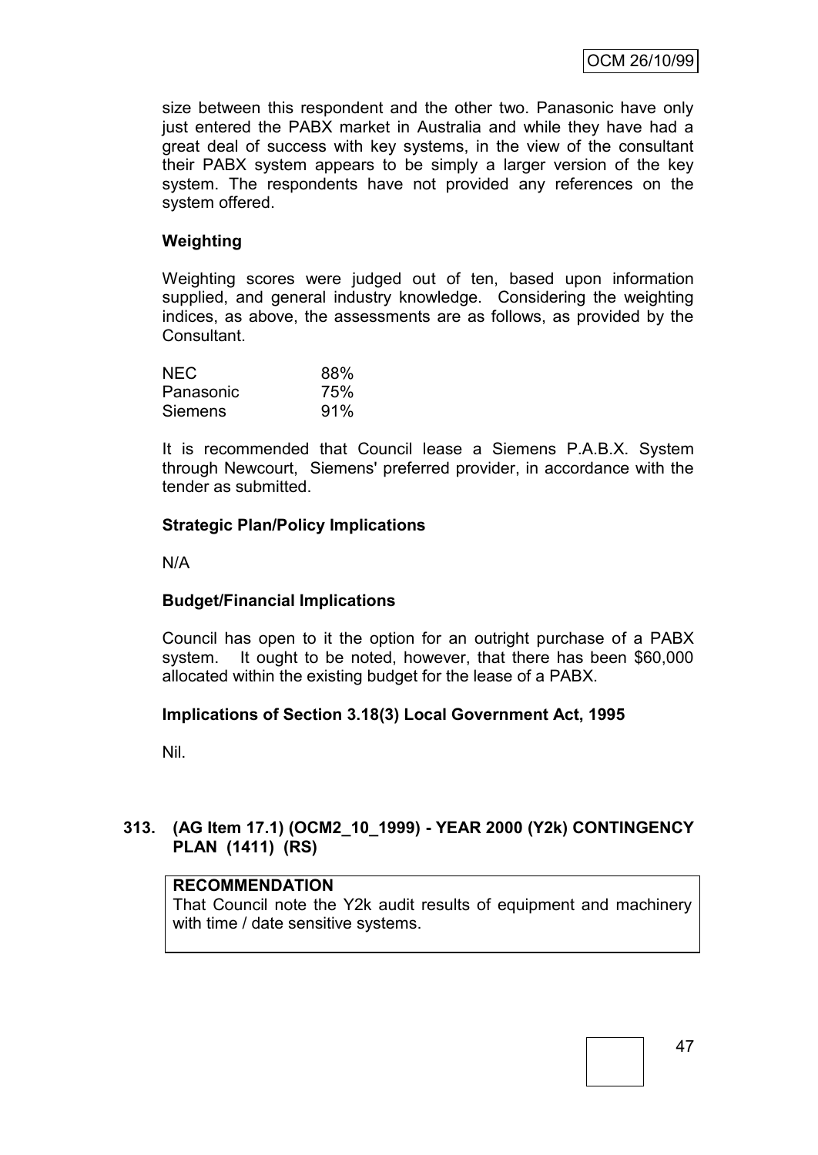size between this respondent and the other two. Panasonic have only just entered the PABX market in Australia and while they have had a great deal of success with key systems, in the view of the consultant their PABX system appears to be simply a larger version of the key system. The respondents have not provided any references on the system offered.

# **Weighting**

Weighting scores were judged out of ten, based upon information supplied, and general industry knowledge. Considering the weighting indices, as above, the assessments are as follows, as provided by the Consultant.

| <b>NEC</b>     | 88% |
|----------------|-----|
| Panasonic      | 75% |
| <b>Siemens</b> | 91% |

It is recommended that Council lease a Siemens P.A.B.X. System through Newcourt, Siemens' preferred provider, in accordance with the tender as submitted.

### **Strategic Plan/Policy Implications**

N/A

### **Budget/Financial Implications**

Council has open to it the option for an outright purchase of a PABX system. It ought to be noted, however, that there has been \$60,000 allocated within the existing budget for the lease of a PABX.

### **Implications of Section 3.18(3) Local Government Act, 1995**

Nil.

# **313. (AG Item 17.1) (OCM2\_10\_1999) - YEAR 2000 (Y2k) CONTINGENCY PLAN (1411) (RS)**

### **RECOMMENDATION**

That Council note the Y2k audit results of equipment and machinery with time / date sensitive systems.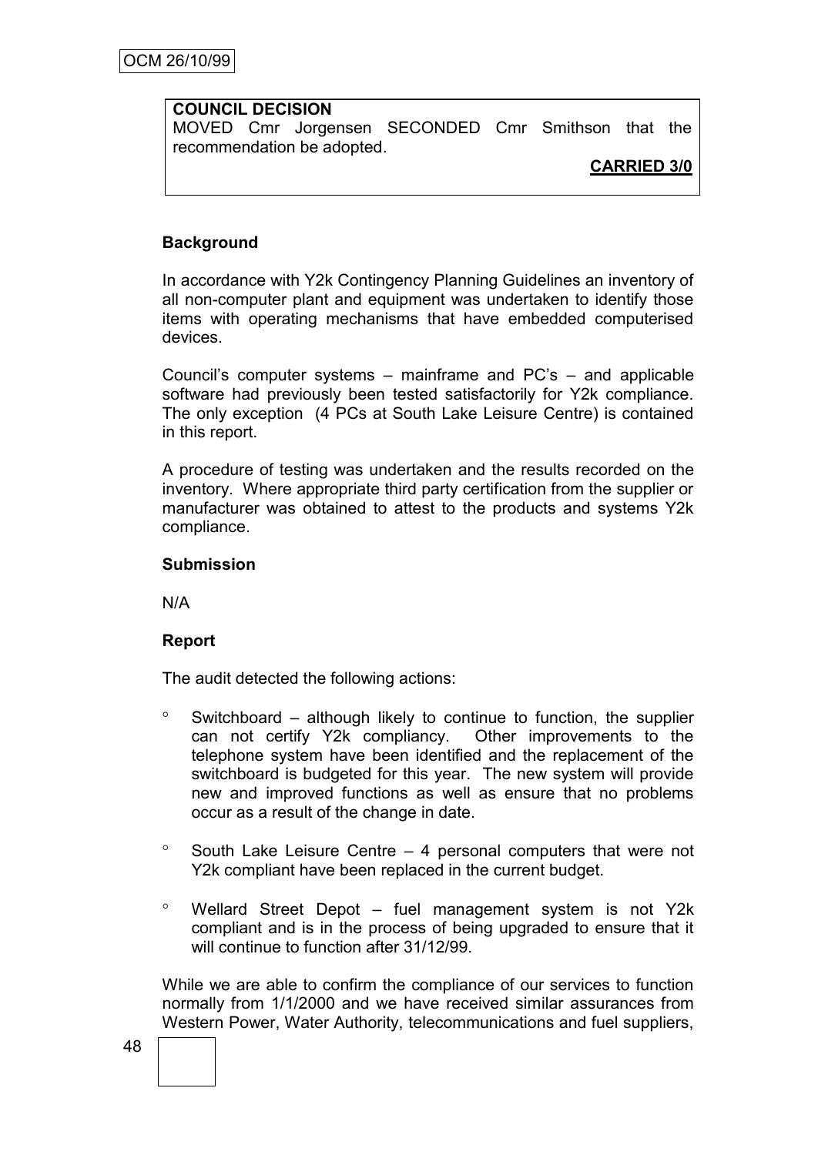# **COUNCIL DECISION**

MOVED Cmr Jorgensen SECONDED Cmr Smithson that the recommendation be adopted.

# **CARRIED 3/0**

# **Background**

In accordance with Y2k Contingency Planning Guidelines an inventory of all non-computer plant and equipment was undertaken to identify those items with operating mechanisms that have embedded computerised devices.

Council"s computer systems – mainframe and PC"s – and applicable software had previously been tested satisfactorily for Y2k compliance. The only exception (4 PCs at South Lake Leisure Centre) is contained in this report.

A procedure of testing was undertaken and the results recorded on the inventory. Where appropriate third party certification from the supplier or manufacturer was obtained to attest to the products and systems Y2k compliance.

### **Submission**

N/A

### **Report**

The audit detected the following actions:

- $\degree$  Switchboard although likely to continue to function, the supplier can not certify Y2k compliancy. Other improvements to the telephone system have been identified and the replacement of the switchboard is budgeted for this year. The new system will provide new and improved functions as well as ensure that no problems occur as a result of the change in date.
- $\degree$  South Lake Leisure Centre 4 personal computers that were not Y2k compliant have been replaced in the current budget.
- $\degree$  Wellard Street Depot fuel management system is not Y2k compliant and is in the process of being upgraded to ensure that it will continue to function after 31/12/99.

While we are able to confirm the compliance of our services to function normally from 1/1/2000 and we have received similar assurances from Western Power, Water Authority, telecommunications and fuel suppliers,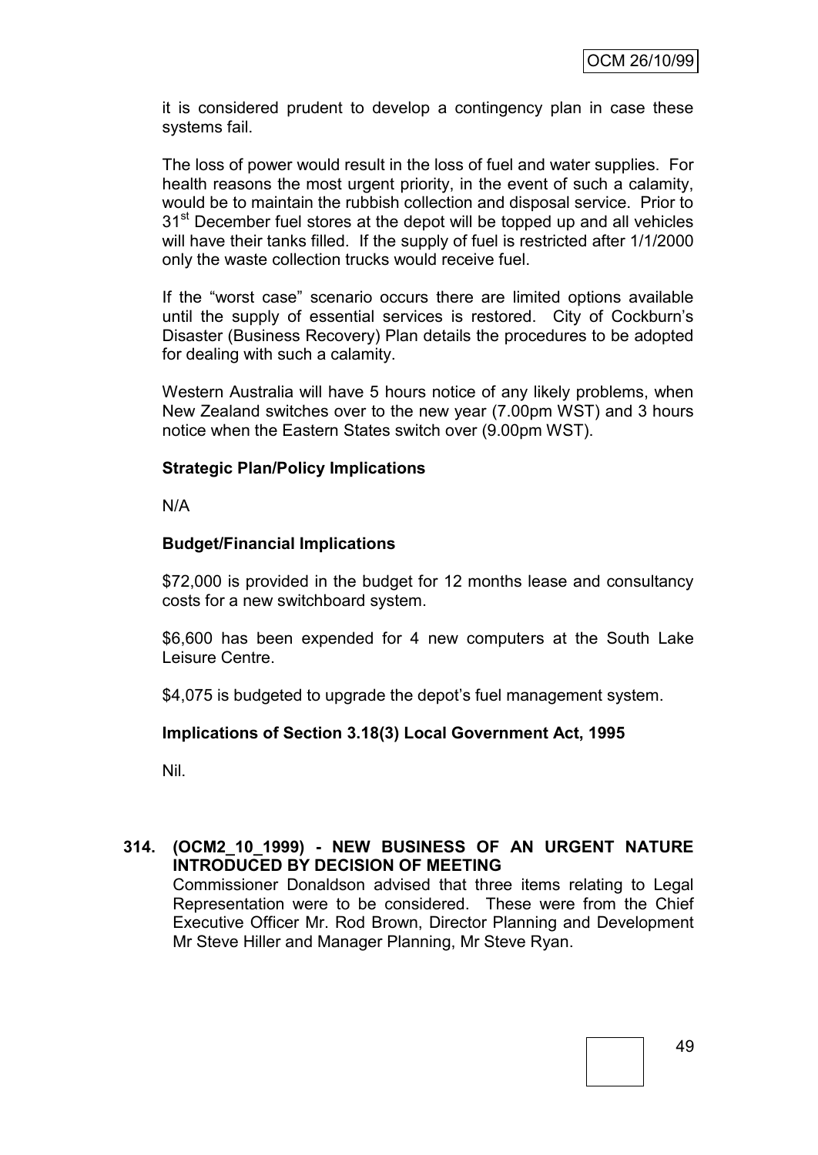it is considered prudent to develop a contingency plan in case these systems fail.

The loss of power would result in the loss of fuel and water supplies. For health reasons the most urgent priority, in the event of such a calamity, would be to maintain the rubbish collection and disposal service. Prior to 31<sup>st</sup> December fuel stores at the depot will be topped up and all vehicles will have their tanks filled. If the supply of fuel is restricted after 1/1/2000 only the waste collection trucks would receive fuel.

If the "worst case" scenario occurs there are limited options available until the supply of essential services is restored. City of Cockburn"s Disaster (Business Recovery) Plan details the procedures to be adopted for dealing with such a calamity.

Western Australia will have 5 hours notice of any likely problems, when New Zealand switches over to the new year (7.00pm WST) and 3 hours notice when the Eastern States switch over (9.00pm WST).

### **Strategic Plan/Policy Implications**

N/A

### **Budget/Financial Implications**

\$72,000 is provided in the budget for 12 months lease and consultancy costs for a new switchboard system.

\$6,600 has been expended for 4 new computers at the South Lake Leisure Centre.

\$4,075 is budgeted to upgrade the depot's fuel management system.

### **Implications of Section 3.18(3) Local Government Act, 1995**

Nil.

# **314. (OCM2\_10\_1999) - NEW BUSINESS OF AN URGENT NATURE INTRODUCED BY DECISION OF MEETING**

Commissioner Donaldson advised that three items relating to Legal Representation were to be considered. These were from the Chief Executive Officer Mr. Rod Brown, Director Planning and Development Mr Steve Hiller and Manager Planning, Mr Steve Ryan.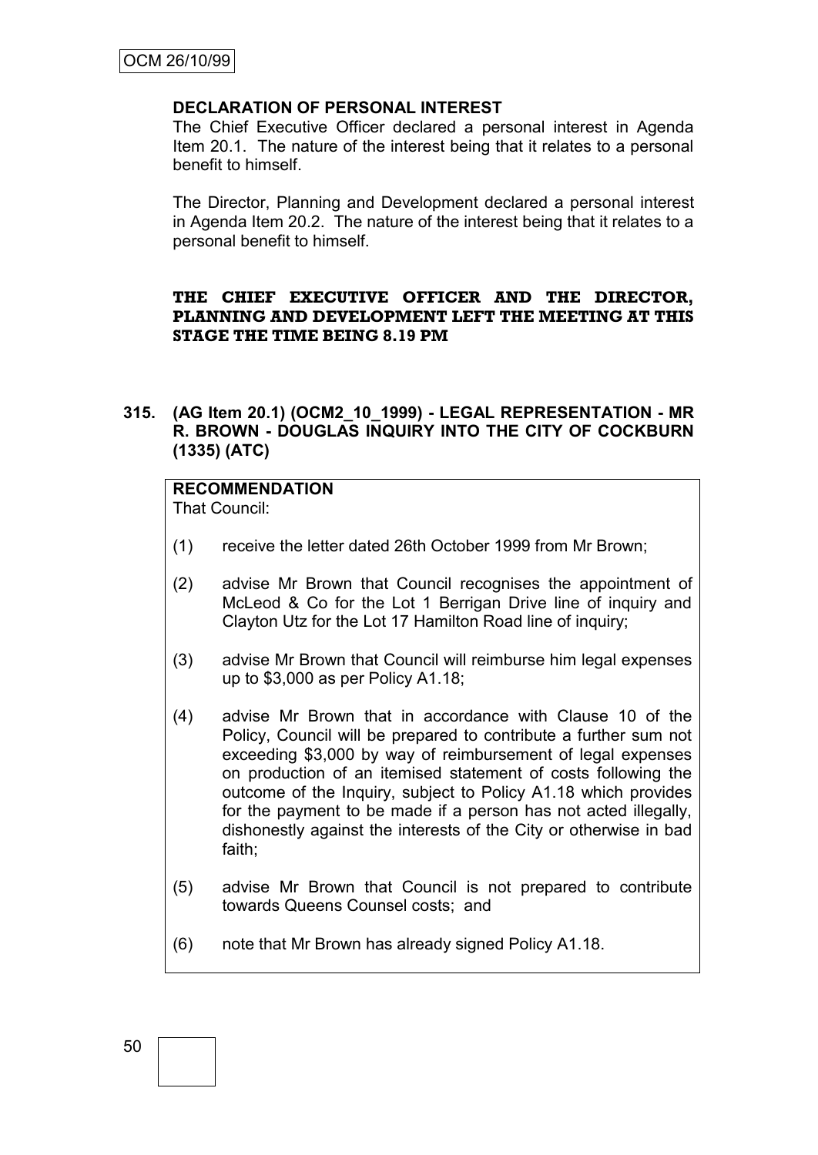### **DECLARATION OF PERSONAL INTEREST**

The Chief Executive Officer declared a personal interest in Agenda Item 20.1. The nature of the interest being that it relates to a personal benefit to himself.

The Director, Planning and Development declared a personal interest in Agenda Item 20.2. The nature of the interest being that it relates to a personal benefit to himself.

### **THE CHIEF EXECUTIVE OFFICER AND THE DIRECTOR, PLANNING AND DEVELOPMENT LEFT THE MEETING AT THIS STAGE THE TIME BEING 8.19 PM**

**315. (AG Item 20.1) (OCM2\_10\_1999) - LEGAL REPRESENTATION - MR R. BROWN - DOUGLAS INQUIRY INTO THE CITY OF COCKBURN (1335) (ATC)**

# **RECOMMENDATION**

That Council:

- (1) receive the letter dated 26th October 1999 from Mr Brown;
- (2) advise Mr Brown that Council recognises the appointment of McLeod & Co for the Lot 1 Berrigan Drive line of inquiry and Clayton Utz for the Lot 17 Hamilton Road line of inquiry;
- (3) advise Mr Brown that Council will reimburse him legal expenses up to \$3,000 as per Policy A1.18;
- (4) advise Mr Brown that in accordance with Clause 10 of the Policy, Council will be prepared to contribute a further sum not exceeding \$3,000 by way of reimbursement of legal expenses on production of an itemised statement of costs following the outcome of the Inquiry, subject to Policy A1.18 which provides for the payment to be made if a person has not acted illegally, dishonestly against the interests of the City or otherwise in bad faith;
- (5) advise Mr Brown that Council is not prepared to contribute towards Queens Counsel costs; and
- (6) note that Mr Brown has already signed Policy A1.18.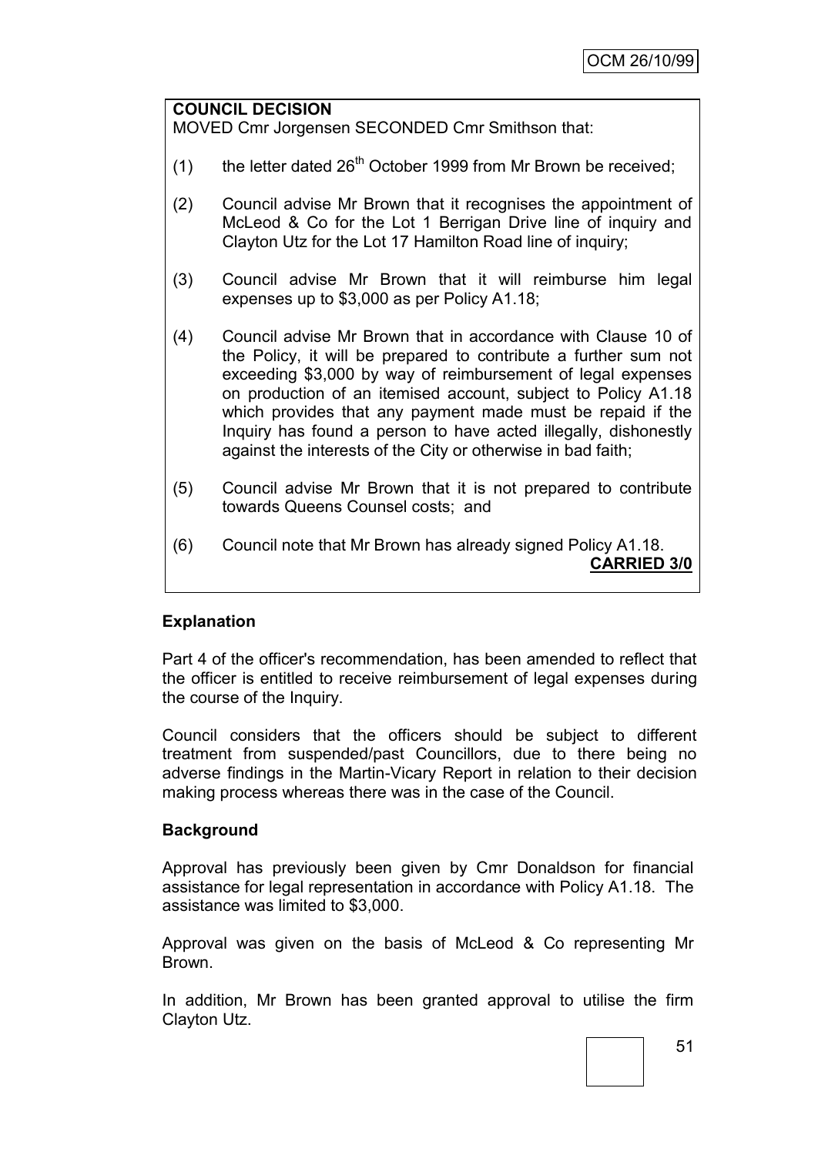#### **COUNCIL DECISION** MOVED Cmr Jorgensen SECONDED Cmr Smithson that:

- (1) the letter dated  $26<sup>th</sup>$  October 1999 from Mr Brown be received;
- (2) Council advise Mr Brown that it recognises the appointment of McLeod & Co for the Lot 1 Berrigan Drive line of inquiry and Clayton Utz for the Lot 17 Hamilton Road line of inquiry;
- (3) Council advise Mr Brown that it will reimburse him legal expenses up to \$3,000 as per Policy A1.18;
- (4) Council advise Mr Brown that in accordance with Clause 10 of the Policy, it will be prepared to contribute a further sum not exceeding \$3,000 by way of reimbursement of legal expenses on production of an itemised account, subject to Policy A1.18 which provides that any payment made must be repaid if the Inquiry has found a person to have acted illegally, dishonestly against the interests of the City or otherwise in bad faith;
- (5) Council advise Mr Brown that it is not prepared to contribute towards Queens Counsel costs; and
- (6) Council note that Mr Brown has already signed Policy A1.18. **CARRIED 3/0**

### **Explanation**

Part 4 of the officer's recommendation, has been amended to reflect that the officer is entitled to receive reimbursement of legal expenses during the course of the Inquiry.

Council considers that the officers should be subject to different treatment from suspended/past Councillors, due to there being no adverse findings in the Martin-Vicary Report in relation to their decision making process whereas there was in the case of the Council.

### **Background**

Approval has previously been given by Cmr Donaldson for financial assistance for legal representation in accordance with Policy A1.18. The assistance was limited to \$3,000.

Approval was given on the basis of McLeod & Co representing Mr Brown.

In addition, Mr Brown has been granted approval to utilise the firm Clayton Utz.

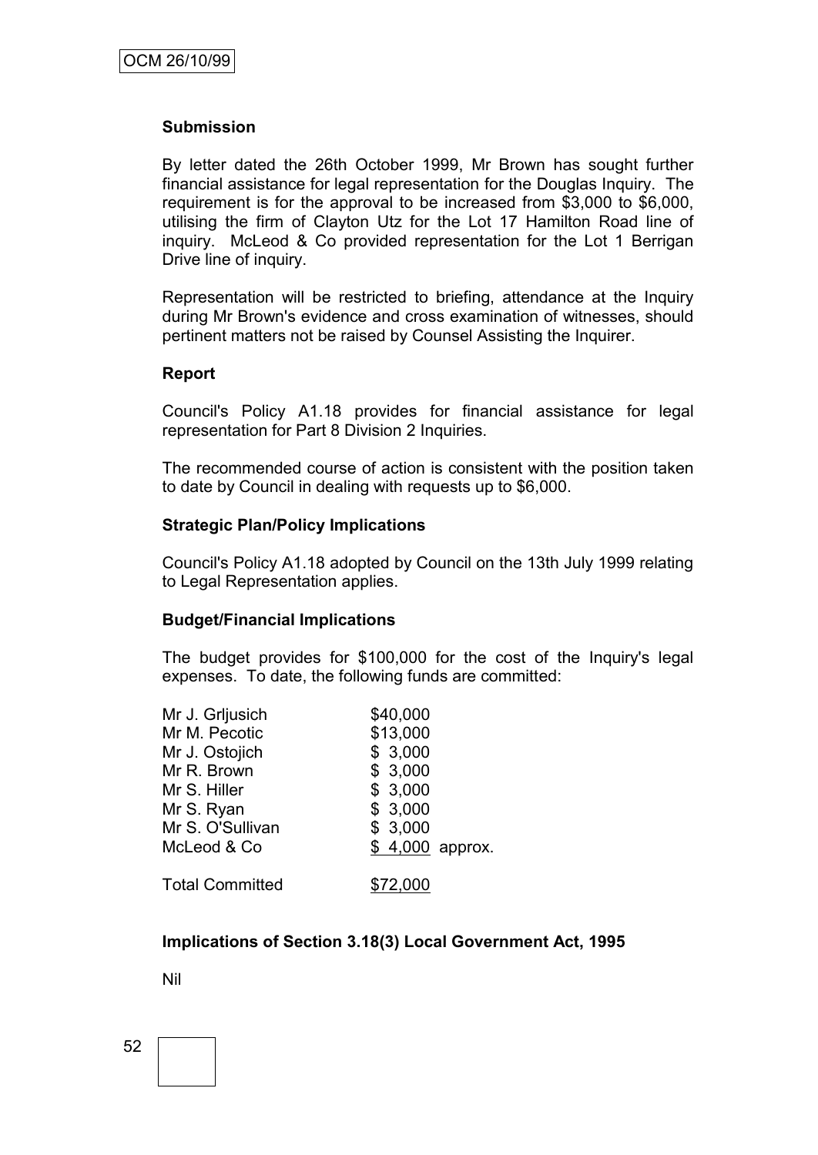### **Submission**

By letter dated the 26th October 1999, Mr Brown has sought further financial assistance for legal representation for the Douglas Inquiry. The requirement is for the approval to be increased from \$3,000 to \$6,000, utilising the firm of Clayton Utz for the Lot 17 Hamilton Road line of inquiry. McLeod & Co provided representation for the Lot 1 Berrigan Drive line of inquiry.

Representation will be restricted to briefing, attendance at the Inquiry during Mr Brown's evidence and cross examination of witnesses, should pertinent matters not be raised by Counsel Assisting the Inquirer.

### **Report**

Council's Policy A1.18 provides for financial assistance for legal representation for Part 8 Division 2 Inquiries.

The recommended course of action is consistent with the position taken to date by Council in dealing with requests up to \$6,000.

### **Strategic Plan/Policy Implications**

Council's Policy A1.18 adopted by Council on the 13th July 1999 relating to Legal Representation applies.

### **Budget/Financial Implications**

The budget provides for \$100,000 for the cost of the Inquiry's legal expenses. To date, the following funds are committed:

| Mr J. Grljusich        | \$40,000        |
|------------------------|-----------------|
| Mr M. Pecotic          | \$13,000        |
| Mr J. Ostojich         | \$3,000         |
| Mr R. Brown            | \$3,000         |
| Mr S. Hiller           | \$3,000         |
| Mr S. Ryan             | \$3,000         |
| Mr S. O'Sullivan       | \$3,000         |
| McLeod & Co            | \$4,000 approx. |
| <b>Total Committed</b> | \$72,000        |

### **Implications of Section 3.18(3) Local Government Act, 1995**

Nil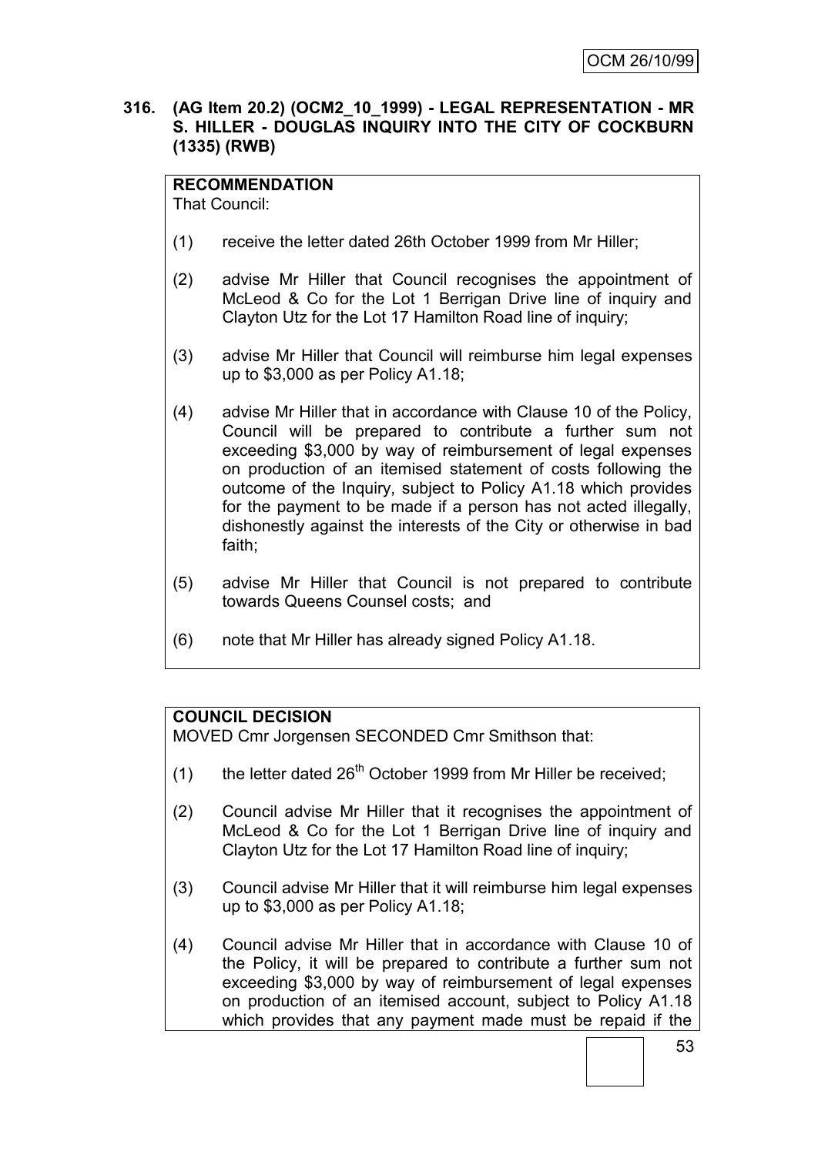## **316. (AG Item 20.2) (OCM2\_10\_1999) - LEGAL REPRESENTATION - MR S. HILLER - DOUGLAS INQUIRY INTO THE CITY OF COCKBURN (1335) (RWB)**

# **RECOMMENDATION**

That Council:

- (1) receive the letter dated 26th October 1999 from Mr Hiller;
- (2) advise Mr Hiller that Council recognises the appointment of McLeod & Co for the Lot 1 Berrigan Drive line of inquiry and Clayton Utz for the Lot 17 Hamilton Road line of inquiry;
- (3) advise Mr Hiller that Council will reimburse him legal expenses up to \$3,000 as per Policy A1.18;
- (4) advise Mr Hiller that in accordance with Clause 10 of the Policy, Council will be prepared to contribute a further sum not exceeding \$3,000 by way of reimbursement of legal expenses on production of an itemised statement of costs following the outcome of the Inquiry, subject to Policy A1.18 which provides for the payment to be made if a person has not acted illegally, dishonestly against the interests of the City or otherwise in bad faith;
- (5) advise Mr Hiller that Council is not prepared to contribute towards Queens Counsel costs; and
- (6) note that Mr Hiller has already signed Policy A1.18.

# **COUNCIL DECISION**

MOVED Cmr Jorgensen SECONDED Cmr Smithson that:

- (1) the letter dated  $26<sup>th</sup>$  October 1999 from Mr Hiller be received;
- (2) Council advise Mr Hiller that it recognises the appointment of McLeod & Co for the Lot 1 Berrigan Drive line of inquiry and Clayton Utz for the Lot 17 Hamilton Road line of inquiry;
- (3) Council advise Mr Hiller that it will reimburse him legal expenses up to \$3,000 as per Policy A1.18;
- (4) Council advise Mr Hiller that in accordance with Clause 10 of the Policy, it will be prepared to contribute a further sum not exceeding \$3,000 by way of reimbursement of legal expenses on production of an itemised account, subject to Policy A1.18 which provides that any payment made must be repaid if the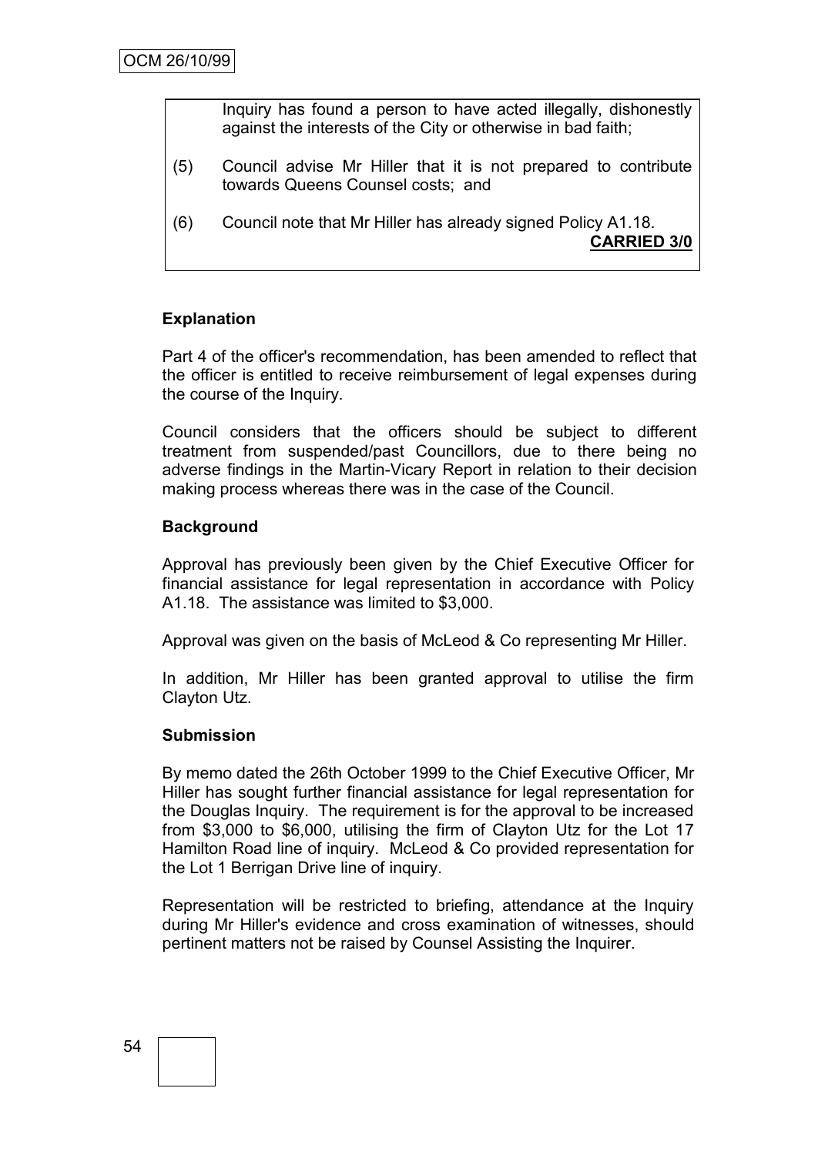Inquiry has found a person to have acted illegally, dishonestly against the interests of the City or otherwise in bad faith;

- (5) Council advise Mr Hiller that it is not prepared to contribute towards Queens Counsel costs; and
- (6) Council note that Mr Hiller has already signed Policy A1.18. **CARRIED 3/0**

# **Explanation**

Part 4 of the officer's recommendation, has been amended to reflect that the officer is entitled to receive reimbursement of legal expenses during the course of the Inquiry.

Council considers that the officers should be subject to different treatment from suspended/past Councillors, due to there being no adverse findings in the Martin-Vicary Report in relation to their decision making process whereas there was in the case of the Council.

# **Background**

Approval has previously been given by the Chief Executive Officer for financial assistance for legal representation in accordance with Policy A1.18. The assistance was limited to \$3,000.

Approval was given on the basis of McLeod & Co representing Mr Hiller.

In addition, Mr Hiller has been granted approval to utilise the firm Clayton Utz.

### **Submission**

By memo dated the 26th October 1999 to the Chief Executive Officer, Mr Hiller has sought further financial assistance for legal representation for the Douglas Inquiry. The requirement is for the approval to be increased from \$3,000 to \$6,000, utilising the firm of Clayton Utz for the Lot 17 Hamilton Road line of inquiry. McLeod & Co provided representation for the Lot 1 Berrigan Drive line of inquiry.

Representation will be restricted to briefing, attendance at the Inquiry during Mr Hiller's evidence and cross examination of witnesses, should pertinent matters not be raised by Counsel Assisting the Inquirer.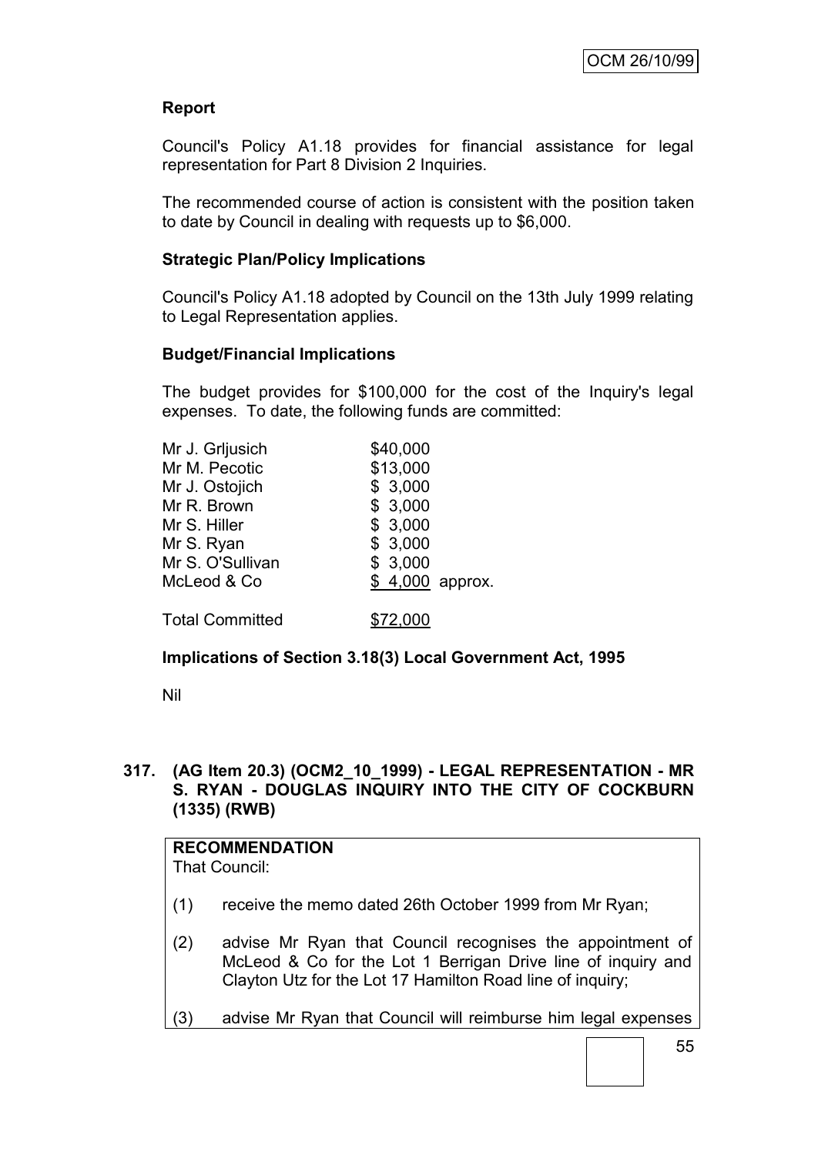# **Report**

Council's Policy A1.18 provides for financial assistance for legal representation for Part 8 Division 2 Inquiries.

The recommended course of action is consistent with the position taken to date by Council in dealing with requests up to \$6,000.

## **Strategic Plan/Policy Implications**

Council's Policy A1.18 adopted by Council on the 13th July 1999 relating to Legal Representation applies.

### **Budget/Financial Implications**

The budget provides for \$100,000 for the cost of the Inquiry's legal expenses. To date, the following funds are committed:

| Mr J. Grljusich        | \$40,000        |
|------------------------|-----------------|
| Mr M. Pecotic          | \$13,000        |
| Mr J. Ostojich         | \$3,000         |
| Mr R. Brown            | \$3,000         |
| Mr S. Hiller           | \$3,000         |
| Mr S. Ryan             | \$3,000         |
| Mr S. O'Sullivan       | \$3,000         |
| McLeod & Co            | \$4,000 approx. |
| <b>Total Committed</b> | \$72,000        |

### **Implications of Section 3.18(3) Local Government Act, 1995**

Nil

### **317. (AG Item 20.3) (OCM2\_10\_1999) - LEGAL REPRESENTATION - MR S. RYAN - DOUGLAS INQUIRY INTO THE CITY OF COCKBURN (1335) (RWB)**

# **RECOMMENDATION**

That Council:

- (1) receive the memo dated 26th October 1999 from Mr Ryan;
- (2) advise Mr Ryan that Council recognises the appointment of McLeod & Co for the Lot 1 Berrigan Drive line of inquiry and Clayton Utz for the Lot 17 Hamilton Road line of inquiry;
- (3) advise Mr Ryan that Council will reimburse him legal expenses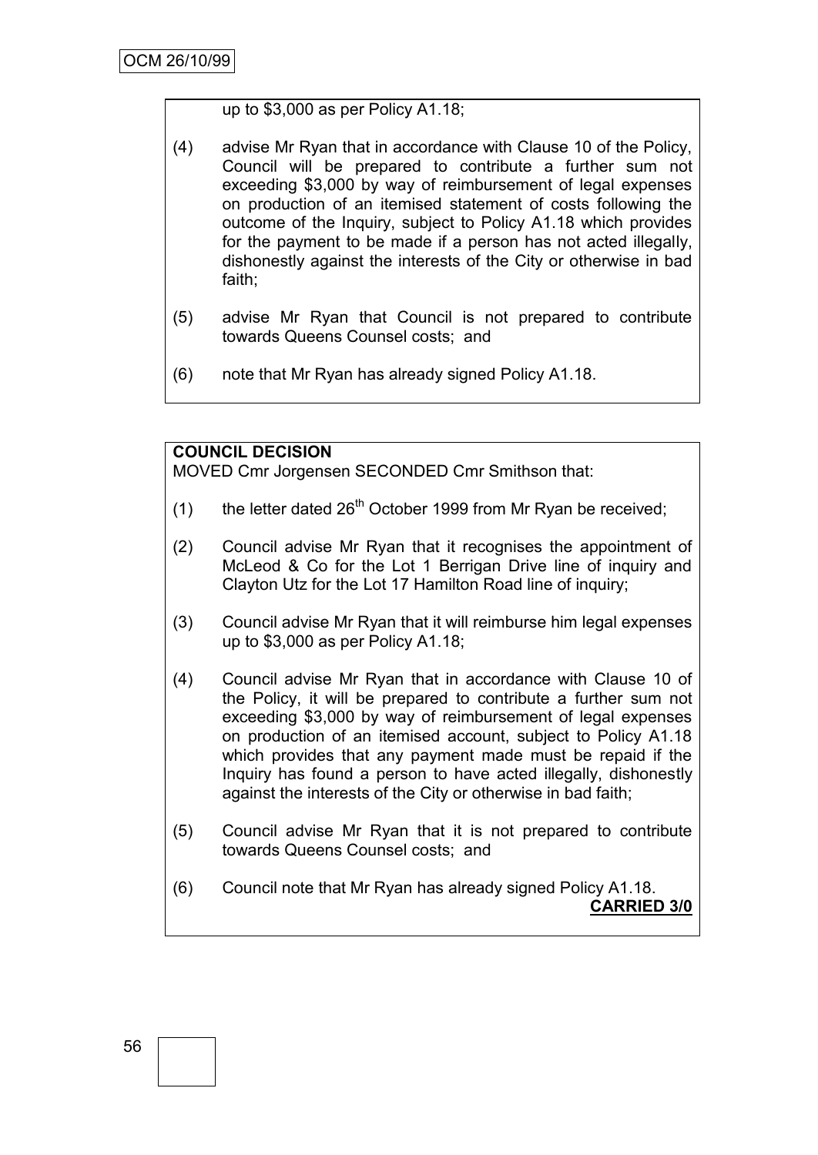### up to \$3,000 as per Policy A1.18;

- (4) advise Mr Ryan that in accordance with Clause 10 of the Policy, Council will be prepared to contribute a further sum not exceeding \$3,000 by way of reimbursement of legal expenses on production of an itemised statement of costs following the outcome of the Inquiry, subject to Policy A1.18 which provides for the payment to be made if a person has not acted illegally, dishonestly against the interests of the City or otherwise in bad faith;
- (5) advise Mr Ryan that Council is not prepared to contribute towards Queens Counsel costs; and
- (6) note that Mr Ryan has already signed Policy A1.18.

# **COUNCIL DECISION**

MOVED Cmr Jorgensen SECONDED Cmr Smithson that:

- (1) the letter dated  $26<sup>th</sup>$  October 1999 from Mr Ryan be received;
- (2) Council advise Mr Ryan that it recognises the appointment of McLeod & Co for the Lot 1 Berrigan Drive line of inquiry and Clayton Utz for the Lot 17 Hamilton Road line of inquiry;
- (3) Council advise Mr Ryan that it will reimburse him legal expenses up to \$3,000 as per Policy A1.18;
- (4) Council advise Mr Ryan that in accordance with Clause 10 of the Policy, it will be prepared to contribute a further sum not exceeding \$3,000 by way of reimbursement of legal expenses on production of an itemised account, subject to Policy A1.18 which provides that any payment made must be repaid if the Inquiry has found a person to have acted illegally, dishonestly against the interests of the City or otherwise in bad faith;
- (5) Council advise Mr Ryan that it is not prepared to contribute towards Queens Counsel costs; and
- (6) Council note that Mr Ryan has already signed Policy A1.18. **CARRIED 3/0**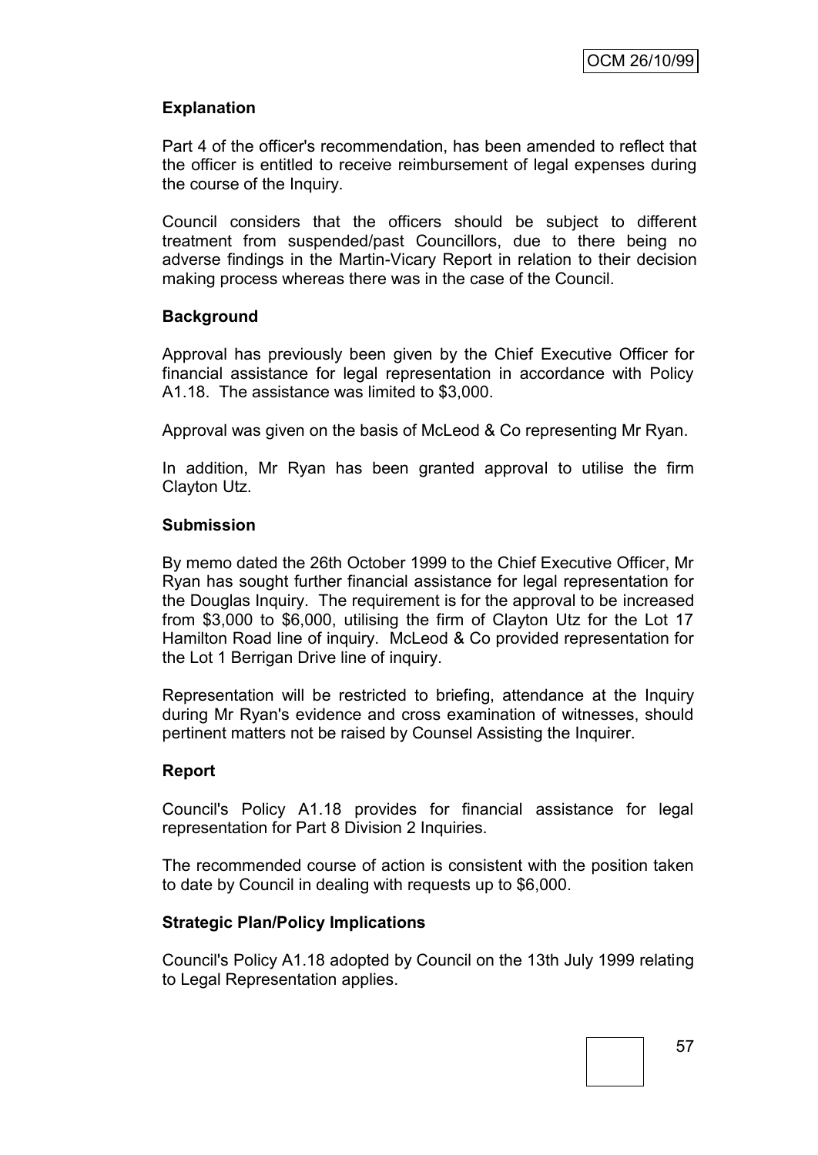# **Explanation**

Part 4 of the officer's recommendation, has been amended to reflect that the officer is entitled to receive reimbursement of legal expenses during the course of the Inquiry.

Council considers that the officers should be subject to different treatment from suspended/past Councillors, due to there being no adverse findings in the Martin-Vicary Report in relation to their decision making process whereas there was in the case of the Council.

### **Background**

Approval has previously been given by the Chief Executive Officer for financial assistance for legal representation in accordance with Policy A1.18. The assistance was limited to \$3,000.

Approval was given on the basis of McLeod & Co representing Mr Ryan.

In addition, Mr Ryan has been granted approval to utilise the firm Clayton Utz.

### **Submission**

By memo dated the 26th October 1999 to the Chief Executive Officer, Mr Ryan has sought further financial assistance for legal representation for the Douglas Inquiry. The requirement is for the approval to be increased from \$3,000 to \$6,000, utilising the firm of Clayton Utz for the Lot 17 Hamilton Road line of inquiry. McLeod & Co provided representation for the Lot 1 Berrigan Drive line of inquiry.

Representation will be restricted to briefing, attendance at the Inquiry during Mr Ryan's evidence and cross examination of witnesses, should pertinent matters not be raised by Counsel Assisting the Inquirer.

### **Report**

Council's Policy A1.18 provides for financial assistance for legal representation for Part 8 Division 2 Inquiries.

The recommended course of action is consistent with the position taken to date by Council in dealing with requests up to \$6,000.

### **Strategic Plan/Policy Implications**

Council's Policy A1.18 adopted by Council on the 13th July 1999 relating to Legal Representation applies.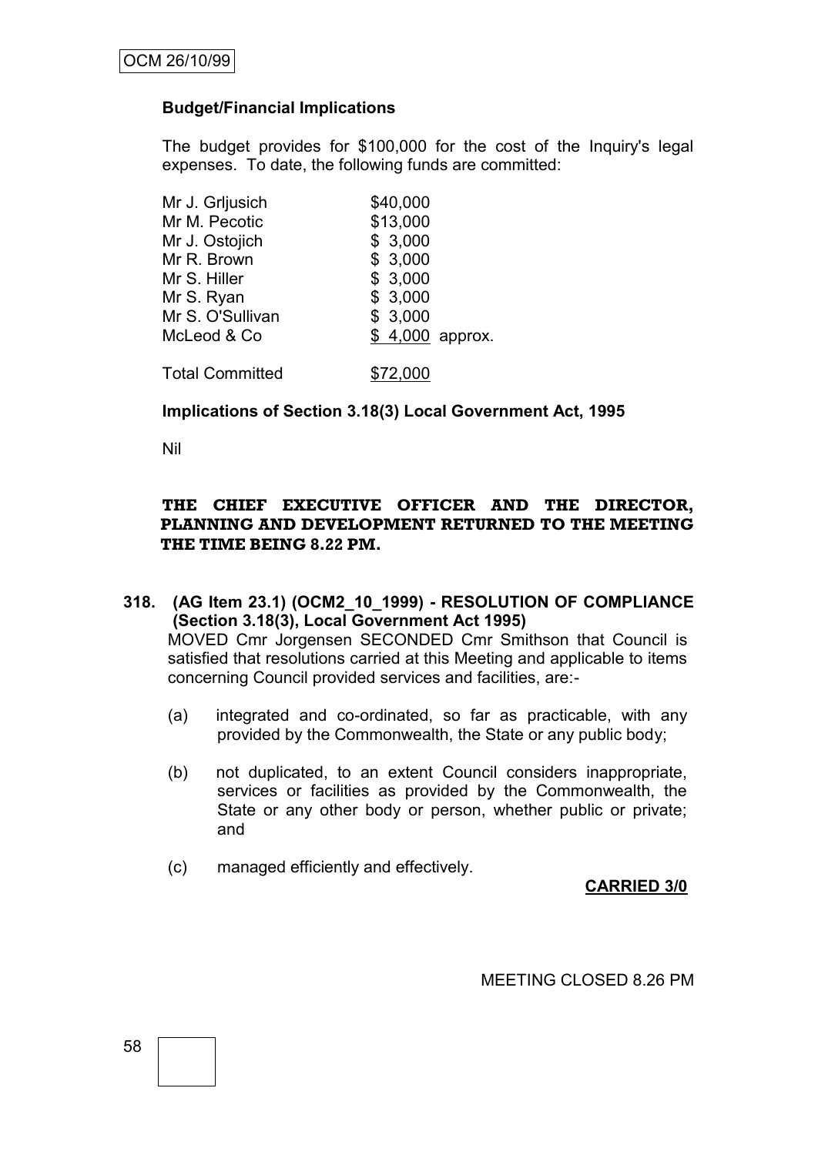### **Budget/Financial Implications**

The budget provides for \$100,000 for the cost of the Inquiry's legal expenses. To date, the following funds are committed:

| Mr J. Grljusich        | \$40,000         |
|------------------------|------------------|
| Mr M. Pecotic          | \$13,000         |
| Mr J. Ostojich         | \$3,000          |
| Mr R. Brown            | \$3,000          |
| Mr S. Hiller           | \$3,000          |
| Mr S. Ryan             | \$3,000          |
| Mr S. O'Sullivan       | \$3,000          |
| McLeod & Co            | \$ 4,000 approx. |
| <b>Total Committed</b> | \$72,000         |

**Implications of Section 3.18(3) Local Government Act, 1995**

Nil

### **THE CHIEF EXECUTIVE OFFICER AND THE DIRECTOR, PLANNING AND DEVELOPMENT RETURNED TO THE MEETING THE TIME BEING 8.22 PM.**

## **318. (AG Item 23.1) (OCM2\_10\_1999) - RESOLUTION OF COMPLIANCE (Section 3.18(3), Local Government Act 1995)** MOVED Cmr Jorgensen SECONDED Cmr Smithson that Council is satisfied that resolutions carried at this Meeting and applicable to items concerning Council provided services and facilities, are:-

- (a) integrated and co-ordinated, so far as practicable, with any provided by the Commonwealth, the State or any public body;
- (b) not duplicated, to an extent Council considers inappropriate, services or facilities as provided by the Commonwealth, the State or any other body or person, whether public or private; and
- (c) managed efficiently and effectively.

### **CARRIED 3/0**

MEETING CLOSED 8.26 PM